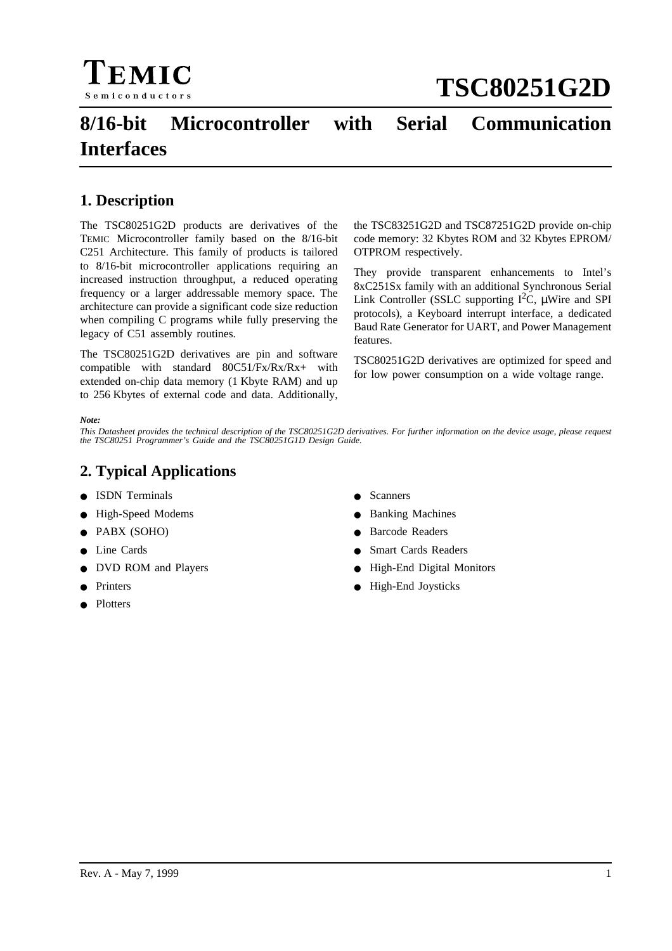

# **8/16-bit Microcontroller with Serial Communication Interfaces**

# **1. Description**

The TSC80251G2D products are derivatives of the TEMIC Microcontroller family based on the 8/16-bit C251 Architecture. This family of products is tailored to 8/16-bit microcontroller applications requiring an increased instruction throughput, a reduced operating frequency or a larger addressable memory space. The architecture can provide a significant code size reduction when compiling C programs while fully preserving the legacy of C51 assembly routines.

The TSC80251G2D derivatives are pin and software compatible with standard 80C51/Fx/Rx/Rx+ with extended on-chip data memory (1 Kbyte RAM) and up to 256 Kbytes of external code and data. Additionally, the TSC83251G2D and TSC87251G2D provide on-chip code memory: 32 Kbytes ROM and 32 Kbytes EPROM/ OTPROM respectively.

They provide transparent enhancements to Intel's 8xC251Sx family with an additional Synchronous Serial Link Controller (SSLC supporting  $I^2C$ ,  $\mu$ Wire and SPI protocols), a Keyboard interrupt interface, a dedicated Baud Rate Generator for UART, and Power Management features.

TSC80251G2D derivatives are optimized for speed and for low power consumption on a wide voltage range.

#### *Note:*

*This Datasheet provides the technical description of the TSC80251G2D derivatives. For further information on the device usage, please request the TSC80251 Programmer's Guide and the TSC80251G1D Design Guide.*

# **2. Typical Applications**

- ISDN Terminals
- High-Speed Modems
- PABX (SOHO)
- Line Cards
- DVD ROM and Players
- **Printers**
- **Plotters**
- **Scanners**
- **Banking Machines**
- **Barcode Readers**
- **Smart Cards Readers**
- High-End Digital Monitors
- High-End Joysticks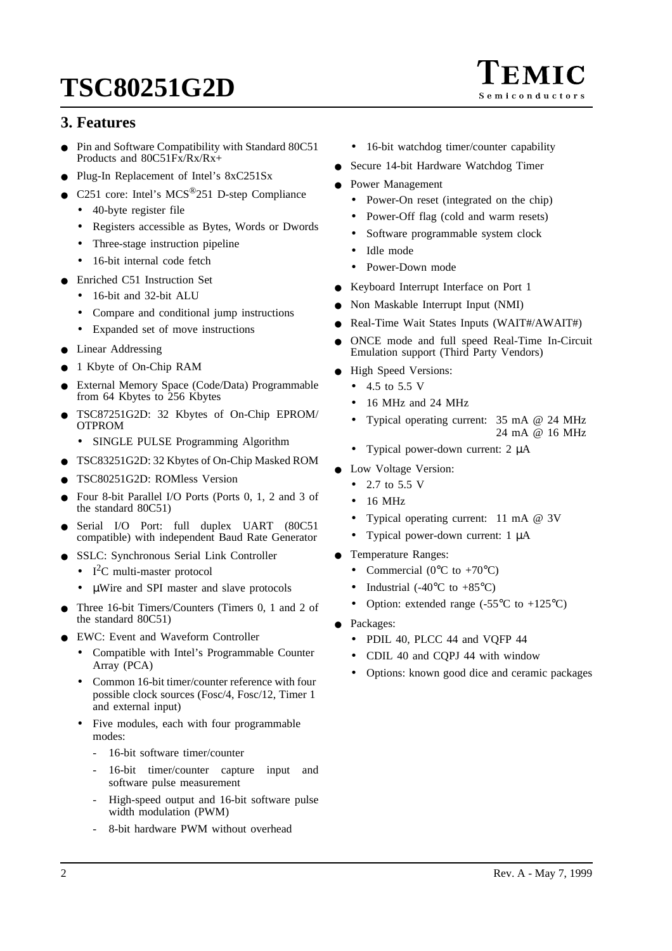

- Pin and Software Compatibility with Standard 80C51 Products and 80C51Fx/Rx/Rx+
- Plug-In Replacement of Intel's 8xC251Sx
- C251 core: Intel's  $MCS^{(0)}251$  D-step Compliance
	- 40-byte register file
	- Registers accessible as Bytes, Words or Dwords
	- Three-stage instruction pipeline
	- 16-bit internal code fetch
- Enriched C51 Instruction Set
	- 16-bit and 32-bit ALU
	- Compare and conditional jump instructions
	- Expanded set of move instructions
- Linear Addressing
- 1 Kbyte of On-Chip RAM
- External Memory Space (Code/Data) Programmable from 64 Kbytes to 256 Kbytes
- TSC87251G2D: 32 Kbytes of On-Chip EPROM/ OTPROM
	- SINGLE PULSE Programming Algorithm
- TSC83251G2D: 32 Kbytes of On-Chip Masked ROM
- TSC80251G2D: ROMless Version
- Four 8-bit Parallel I/O Ports (Ports 0, 1, 2 and 3 of the standard 80C51)
- Serial I/O Port: full duplex UART (80C51 compatible) with independent Baud Rate Generator
- SSLC: Synchronous Serial Link Controller
	- $I^2C$  multi-master protocol
	- µWire and SPI master and slave protocols
- Three 16-bit Timers/Counters (Timers 0, 1 and 2 of the standard 80C51)
- EWC: Event and Waveform Controller
	- Compatible with Intel's Programmable Counter Array (PCA)
	- Common 16-bit timer/counter reference with four possible clock sources (Fosc/4, Fosc/12, Timer 1 and external input)
	- Five modules, each with four programmable modes:
		- 16-bit software timer/counter
		- 16-bit timer/counter capture input and software pulse measurement
		- High-speed output and 16-bit software pulse width modulation (PWM)
		- 8-bit hardware PWM without overhead
- 16-bit watchdog timer/counter capability
- Secure 14-bit Hardware Watchdog Timer
- Power Management
	- Power-On reset (integrated on the chip)
	- Power-Off flag (cold and warm resets)
	- Software programmable system clock
	- Idle mode
	- Power-Down mode
- Keyboard Interrupt Interface on Port 1
- Non Maskable Interrupt Input (NMI)
- Real-Time Wait States Inputs (WAIT#/AWAIT#)
- ONCE mode and full speed Real-Time In-Circuit Emulation support (Third Party Vendors)
- **High Speed Versions:** 
	- $4.5$  to 5.5 V
	- 16 MHz and 24 MHz
	- Typical operating current: 35 mA @ 24 MHz 24 mA @ 16 MHz
	- Typical power-down current: 2  $\mu$ A
- Low Voltage Version:
	- 2.7 to 5.5 V
	- 16 MHz
	- Typical operating current: 11 mA @ 3V
	- Typical power-down current: 1 µA
- Temperature Ranges:
	- Commercial ( $0^{\circ}$ C to +70 $^{\circ}$ C)
	- Industrial (-40 $\rm{^{\circ}C}$  to +85 $\rm{^{\circ}C}$ )
	- Option: extended range  $(-55^{\circ}C \text{ to } +125^{\circ}C)$
- Packages:
	- PDIL 40, PLCC 44 and VOFP 44
	- CDIL 40 and CQPJ 44 with window
	- Options: known good dice and ceramic packages

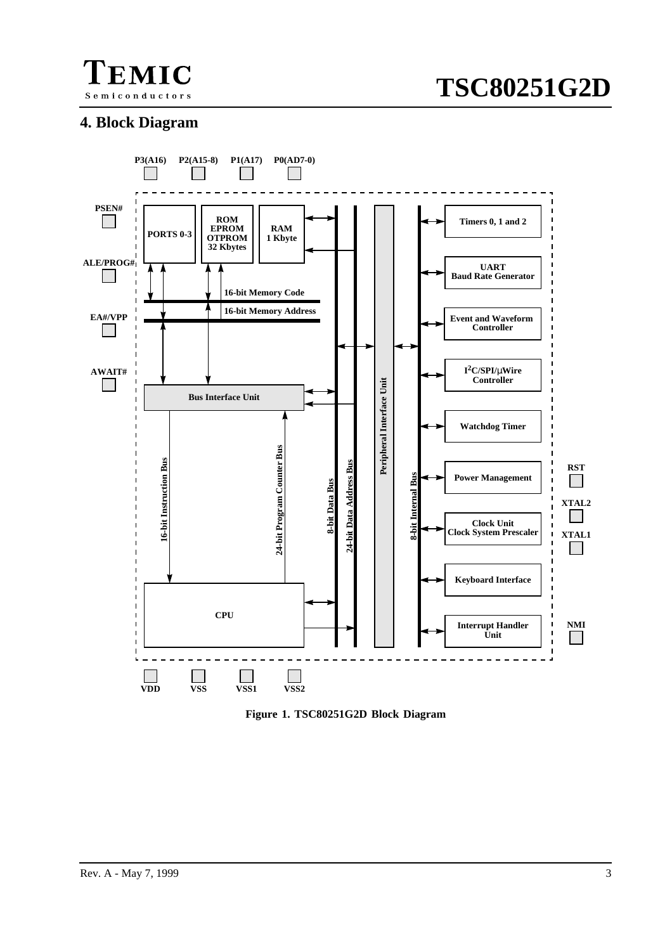

# **4. Block Diagram**



**Figure 1. TSC80251G2D Block Diagram**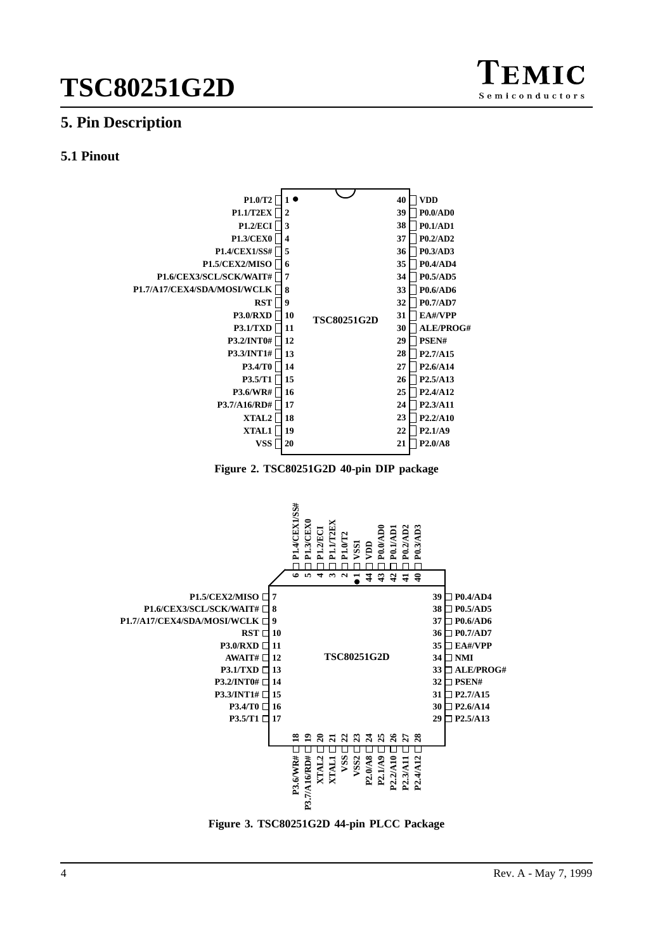

# **5. Pin Description**

# **5.1 Pinout**







**Figure 3. TSC80251G2D 44-pin PLCC Package**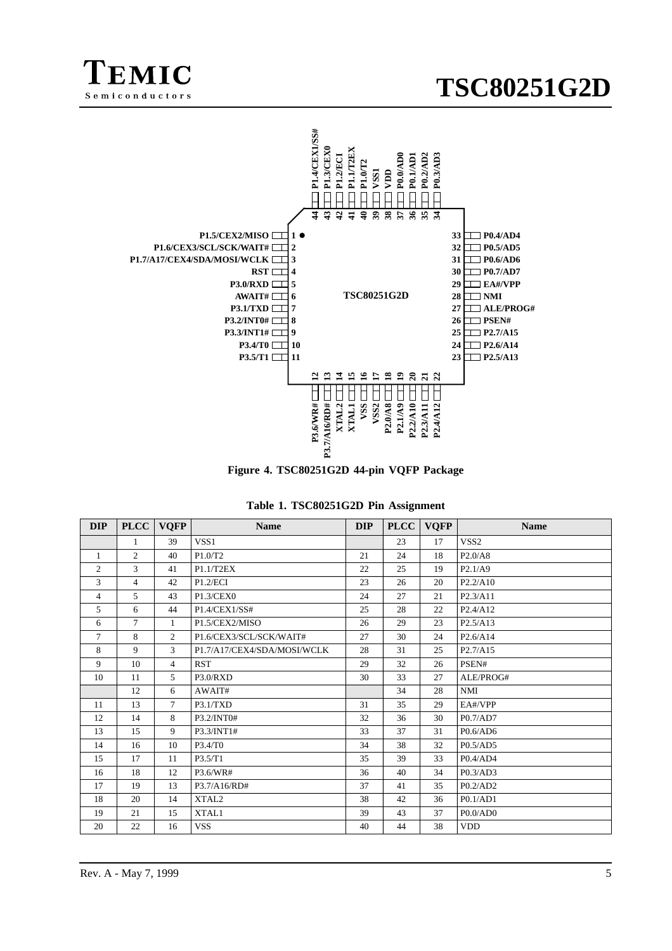





| <b>DIP</b>     | <b>PLCC</b>    | <b>VOFP</b>    | <b>Name</b>                 | <b>DIP</b> | <b>PLCC</b> | <b>VQFP</b> | <b>Name</b>                       |
|----------------|----------------|----------------|-----------------------------|------------|-------------|-------------|-----------------------------------|
|                | $\mathbf{1}$   | 39             | VSS1                        |            | 23          | 17          | VSS <sub>2</sub>                  |
| $\mathbf{1}$   | $\overline{2}$ | 40             | P1.0/T2                     | 21         | 24          | 18          | P2.0/AB                           |
| 2              | 3              | 41             | P1.1/T2EX                   | 22         | 25          | 19          | P2.1/A9                           |
| $\mathbf{3}$   | $\overline{4}$ | 42             | P1.2/ECI                    | 23         | 26          | 20          | P2.2/A10                          |
| $\overline{4}$ | 5              | 43             | P1.3/CEX0                   | 24         | 27          | 21          | P <sub>2.3</sub> /A <sub>11</sub> |
| 5              | 6              | 44             | P1.4/CEX1/SS#               | 25         | 28          | 22          | P2.4/A12                          |
| 6              | $\tau$         | $\mathbf{1}$   | P1.5/CEX2/MISO              | 26         | 29          | 23          | P2.5/A13                          |
| $\tau$         | 8              | $\overline{2}$ | P1.6/CEX3/SCL/SCK/WAIT#     | 27         | 30          | 24          | P <sub>2.6</sub> /A <sub>14</sub> |
| 8              | 9              | 3              | P1.7/A17/CEX4/SDA/MOSI/WCLK | 28         | 31          | 25          | P <sub>2.7</sub> /A <sub>15</sub> |
| 9              | 10             | $\overline{4}$ | <b>RST</b>                  | 29         | 32          | 26          | PSEN#                             |
| 10             | 11             | $\mathfrak{F}$ | P3.0/RXD                    | 30         | 33          | 27          | ALE/PROG#                         |
|                | 12             | 6              | AWAIT#                      |            | 34          | 28          | NMI                               |
| 11             | 13             | $\overline{7}$ | P3.1/TXD                    | 31         | 35          | 29          | EA#/VPP                           |
| 12             | 14             | 8              | P3.2/INT0#                  | 32         | 36          | 30          | P0.7/AD7                          |
| 13             | 15             | 9              | P3.3/INT1#                  | 33         | 37          | 31          | P0.6/AD6                          |
| 14             | 16             | 10             | P3.4/T0                     | 34         | 38          | 32          | P0.5/AD5                          |
| 15             | 17             | 11             | P3.5/T1                     | 35         | 39          | 33          | P0.4/AD4                          |
| 16             | 18             | 12             | P3.6/WR#                    | 36         | 40          | 34          | P0.3/AD3                          |
| 17             | 19             | 13             | P3.7/A16/RD#                | 37         | 41          | 35          | P0.2/AD2                          |
| 18             | 20             | 14             | XTAL <sub>2</sub>           | 38         | 42          | 36          | P0.1/AD1                          |
| 19             | 21             | 15             | XTAL1                       | 39         | 43          | 37          | P0.0/AD0                          |
| 20             | 22             | 16             | <b>VSS</b>                  | 40         | 44          | 38          | <b>VDD</b>                        |

|  |  |  |  |  | Table 1. TSC80251G2D Pin Assignment |
|--|--|--|--|--|-------------------------------------|
|--|--|--|--|--|-------------------------------------|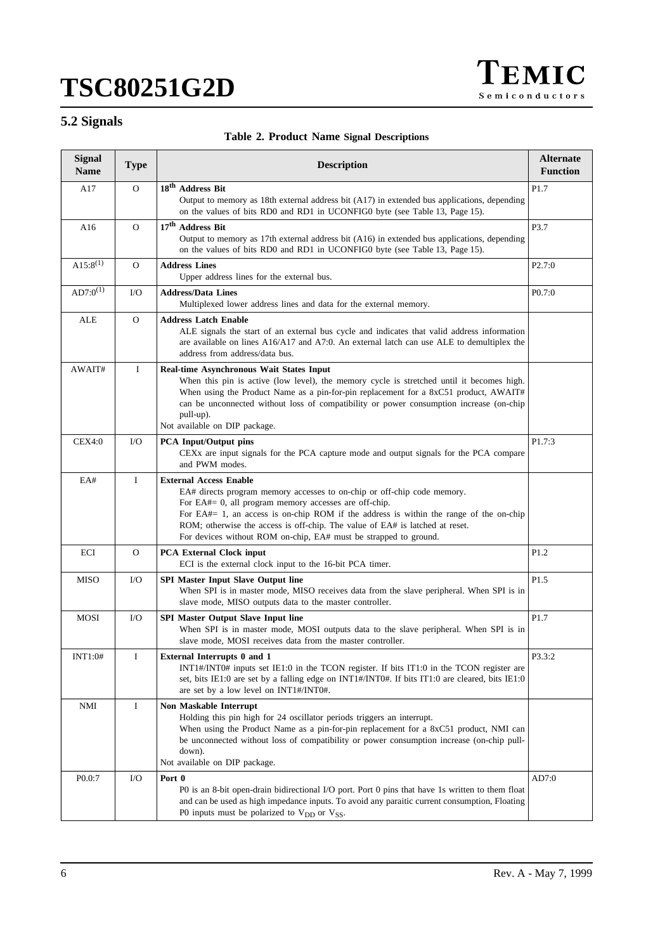

# **5.2 Signals**

|  |  |  |  |  | Table 2. Product Name Signal Descriptions |
|--|--|--|--|--|-------------------------------------------|
|--|--|--|--|--|-------------------------------------------|

| <b>Signal</b><br><b>Name</b> | <b>Type</b>  | <b>Description</b>                                                                                                                                                                                                                                                                                                                                                                                              | <b>Alternate</b><br><b>Function</b> |
|------------------------------|--------------|-----------------------------------------------------------------------------------------------------------------------------------------------------------------------------------------------------------------------------------------------------------------------------------------------------------------------------------------------------------------------------------------------------------------|-------------------------------------|
| A17                          | $\Omega$     | 18 <sup>th</sup> Address Bit<br>Output to memory as 18th external address bit (A17) in extended bus applications, depending<br>on the values of bits RD0 and RD1 in UCONFIG0 byte (see Table 13, Page 15).                                                                                                                                                                                                      | P1.7                                |
| A16                          | $\Omega$     | 17 <sup>th</sup> Address Bit<br>Output to memory as 17th external address bit (A16) in extended bus applications, depending<br>on the values of bits RD0 and RD1 in UCONFIG0 byte (see Table 13, Page 15).                                                                                                                                                                                                      | P3.7                                |
| $A15:8^{(1)}$                | $\mathbf{O}$ | <b>Address Lines</b><br>Upper address lines for the external bus.                                                                                                                                                                                                                                                                                                                                               | P <sub>2.7:0</sub>                  |
| $AD7:0^{(1)}$                | $\rm I/O$    | <b>Address/Data Lines</b><br>Multiplexed lower address lines and data for the external memory.                                                                                                                                                                                                                                                                                                                  | P0.7:0                              |
| ALE                          | $\mathbf{O}$ | <b>Address Latch Enable</b><br>ALE signals the start of an external bus cycle and indicates that valid address information<br>are available on lines A16/A17 and A7:0. An external latch can use ALE to demultiplex the<br>address from address/data bus.                                                                                                                                                       |                                     |
| AWAIT#                       | I            | Real-time Asynchronous Wait States Input<br>When this pin is active (low level), the memory cycle is stretched until it becomes high.<br>When using the Product Name as a pin-for-pin replacement for a 8xC51 product, AWAIT#<br>can be unconnected without loss of compatibility or power consumption increase (on-chip<br>pull-up).<br>Not available on DIP package.                                          |                                     |
| CEX4:0                       | $\rm LO$     | <b>PCA</b> Input/Output pins<br>CEXx are input signals for the PCA capture mode and output signals for the PCA compare<br>and PWM modes.                                                                                                                                                                                                                                                                        | P1.7:3                              |
| EA#                          | $\bf{I}$     | <b>External Access Enable</b><br>EA# directs program memory accesses to on-chip or off-chip code memory.<br>For EA#= 0, all program memory accesses are off-chip.<br>For EA#= 1, an access is on-chip ROM if the address is within the range of the on-chip<br>ROM; otherwise the access is off-chip. The value of EA# is latched at reset.<br>For devices without ROM on-chip, EA# must be strapped to ground. |                                     |
| ECI                          | $\mathbf{O}$ | <b>PCA External Clock input</b><br>ECI is the external clock input to the 16-bit PCA timer.                                                                                                                                                                                                                                                                                                                     | P1.2                                |
| MISO                         | $\rm I/O$    | <b>SPI Master Input Slave Output line</b><br>When SPI is in master mode, MISO receives data from the slave peripheral. When SPI is in<br>slave mode, MISO outputs data to the master controller.                                                                                                                                                                                                                | P <sub>1.5</sub>                    |
| <b>MOSI</b>                  | $\rm LO$     | <b>SPI Master Output Slave Input line</b><br>When SPI is in master mode, MOSI outputs data to the slave peripheral. When SPI is in<br>slave mode, MOSI receives data from the master controller.                                                                                                                                                                                                                | P1.7                                |
| <b>INT1:0#</b>               | Ι            | <b>External Interrupts 0 and 1</b><br>INT1#/INT0# inputs set IE1:0 in the TCON register. If bits IT1:0 in the TCON register are<br>set, bits IE1:0 are set by a falling edge on INT1#/INT0#. If bits IT1:0 are cleared, bits IE1:0<br>are set by a low level on INT1#/INT0#.                                                                                                                                    | P3.3:2                              |
| NMI                          | $\bf{I}$     | Non Maskable Interrupt<br>Holding this pin high for 24 oscillator periods triggers an interrupt.<br>When using the Product Name as a pin-for-pin replacement for a 8xC51 product, NMI can<br>be unconnected without loss of compatibility or power consumption increase (on-chip pull-<br>down).<br>Not available on DIP package.                                                                               |                                     |
| P0.0:7                       | I/O          | Port 0<br>P0 is an 8-bit open-drain bidirectional I/O port. Port 0 pins that have 1s written to them float<br>and can be used as high impedance inputs. To avoid any paraitic current consumption, Floating<br>P0 inputs must be polarized to $V_{DD}$ or $V_{SS}$ .                                                                                                                                            | AD7:0                               |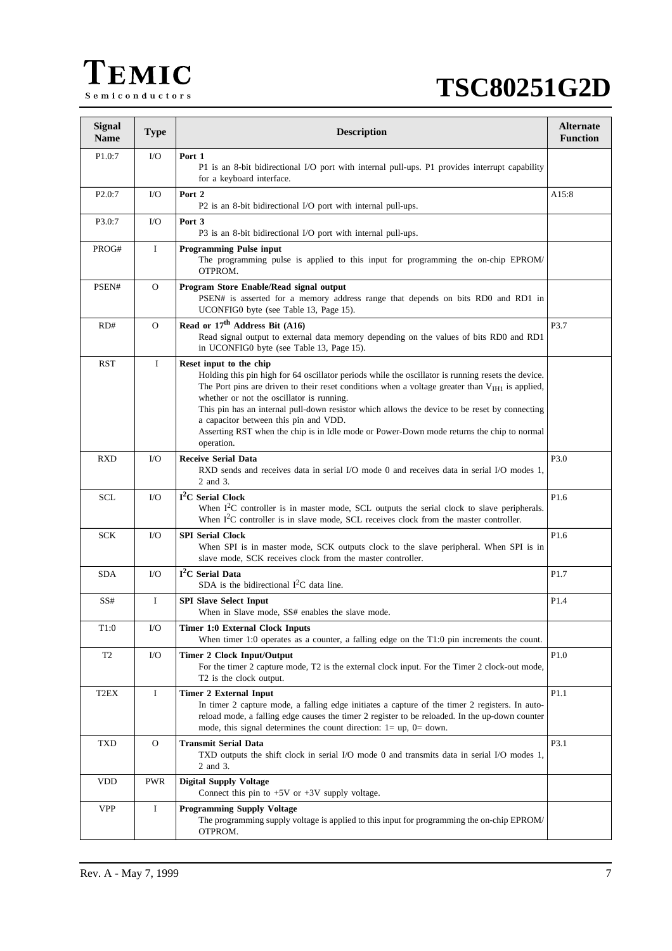

| <b>Signal</b><br><b>Name</b> | <b>Type</b>  | <b>Description</b>                                                                                                                                                                                                                                                                                                                                                                                                                                                                                                                             | <b>Alternate</b><br><b>Function</b> |
|------------------------------|--------------|------------------------------------------------------------------------------------------------------------------------------------------------------------------------------------------------------------------------------------------------------------------------------------------------------------------------------------------------------------------------------------------------------------------------------------------------------------------------------------------------------------------------------------------------|-------------------------------------|
| P <sub>1.0</sub> :7          | $\rm LO$     | Port 1<br>P1 is an 8-bit bidirectional I/O port with internal pull-ups. P1 provides interrupt capability<br>for a keyboard interface.                                                                                                                                                                                                                                                                                                                                                                                                          |                                     |
| P2.0:7                       | $\rm LO$     | Port 2<br>P2 is an 8-bit bidirectional I/O port with internal pull-ups.                                                                                                                                                                                                                                                                                                                                                                                                                                                                        | A15:8                               |
| P3.0:7                       | $\rm LO$     | Port 3<br>P3 is an 8-bit bidirectional I/O port with internal pull-ups.                                                                                                                                                                                                                                                                                                                                                                                                                                                                        |                                     |
| PROG#                        | $\bf{I}$     | <b>Programming Pulse input</b><br>The programming pulse is applied to this input for programming the on-chip EPROM/<br>OTPROM.                                                                                                                                                                                                                                                                                                                                                                                                                 |                                     |
| PSEN#                        | $\mathbf{O}$ | Program Store Enable/Read signal output<br>PSEN# is asserted for a memory address range that depends on bits RD0 and RD1 in<br>UCONFIG0 byte (see Table 13, Page 15).                                                                                                                                                                                                                                                                                                                                                                          |                                     |
| RD#                          | $\mathbf{O}$ | Read or 17 <sup>th</sup> Address Bit (A16)<br>Read signal output to external data memory depending on the values of bits RD0 and RD1<br>in UCONFIG0 byte (see Table 13, Page 15).                                                                                                                                                                                                                                                                                                                                                              | P3.7                                |
| <b>RST</b>                   | $\mathbf{I}$ | Reset input to the chip<br>Holding this pin high for 64 oscillator periods while the oscillator is running resets the device.<br>The Port pins are driven to their reset conditions when a voltage greater than $V_{\text{IH1}}$ is applied,<br>whether or not the oscillator is running.<br>This pin has an internal pull-down resistor which allows the device to be reset by connecting<br>a capacitor between this pin and VDD.<br>Asserting RST when the chip is in Idle mode or Power-Down mode returns the chip to normal<br>operation. |                                     |
| <b>RXD</b>                   | $\rm LO$     | <b>Receive Serial Data</b><br>RXD sends and receives data in serial I/O mode 0 and receives data in serial I/O modes 1,<br>2 and 3.                                                                                                                                                                                                                                                                                                                                                                                                            | P3.0                                |
| SCL                          | $\rm LO$     | I <sup>2</sup> C Serial Clock<br>When $I2C$ controller is in master mode, SCL outputs the serial clock to slave peripherals.<br>When $I2C$ controller is in slave mode, SCL receives clock from the master controller.                                                                                                                                                                                                                                                                                                                         | P1.6                                |
| <b>SCK</b>                   | $\rm LO$     | <b>SPI Serial Clock</b><br>When SPI is in master mode, SCK outputs clock to the slave peripheral. When SPI is in<br>slave mode, SCK receives clock from the master controller.                                                                                                                                                                                                                                                                                                                                                                 | P1.6                                |
| <b>SDA</b>                   | $\rm LO$     | I <sup>2</sup> C Serial Data<br>SDA is the bidirectional $I2C$ data line.                                                                                                                                                                                                                                                                                                                                                                                                                                                                      | P1.7                                |
| SS#                          | $\bf{I}$     | <b>SPI Slave Select Input</b><br>When in Slave mode, SS# enables the slave mode.                                                                                                                                                                                                                                                                                                                                                                                                                                                               | P1.4                                |
| T1:0                         | ${\rm I/O}$  | Timer 1:0 External Clock Inputs<br>When timer 1:0 operates as a counter, a falling edge on the $T1:0$ pin increments the count.                                                                                                                                                                                                                                                                                                                                                                                                                |                                     |
| T <sub>2</sub>               | I/O          | <b>Timer 2 Clock Input/Output</b><br>For the timer 2 capture mode, T2 is the external clock input. For the Timer 2 clock-out mode,<br>T2 is the clock output.                                                                                                                                                                                                                                                                                                                                                                                  | P1.0                                |
| T <sub>2</sub> EX            | Ι.           | <b>Timer 2 External Input</b><br>In timer 2 capture mode, a falling edge initiates a capture of the timer 2 registers. In auto-<br>reload mode, a falling edge causes the timer 2 register to be reloaded. In the up-down counter<br>mode, this signal determines the count direction: $1 = up$ , $0 = down$ .                                                                                                                                                                                                                                 | P1.1                                |
| <b>TXD</b>                   | $\Omega$     | <b>Transmit Serial Data</b><br>TXD outputs the shift clock in serial I/O mode 0 and transmits data in serial I/O modes 1,<br>2 and 3.                                                                                                                                                                                                                                                                                                                                                                                                          | P3.1                                |
| <b>VDD</b>                   | <b>PWR</b>   | <b>Digital Supply Voltage</b><br>Connect this pin to $+5V$ or $+3V$ supply voltage.                                                                                                                                                                                                                                                                                                                                                                                                                                                            |                                     |
| <b>VPP</b>                   | $\bf{I}$     | <b>Programming Supply Voltage</b><br>The programming supply voltage is applied to this input for programming the on-chip EPROM/<br>OTPROM.                                                                                                                                                                                                                                                                                                                                                                                                     |                                     |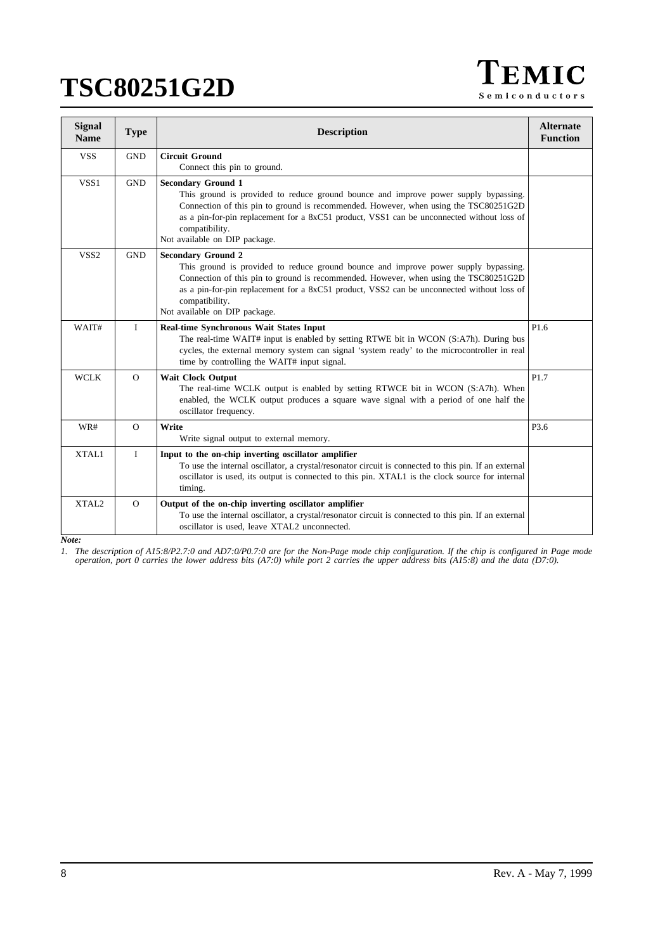TEMIC Semiconductors

| <b>Signal</b><br><b>Name</b> | <b>Type</b>  | <b>Description</b>                                                                                                                                                                                                                                                                                                                                       | <b>Alternate</b><br><b>Function</b> |
|------------------------------|--------------|----------------------------------------------------------------------------------------------------------------------------------------------------------------------------------------------------------------------------------------------------------------------------------------------------------------------------------------------------------|-------------------------------------|
| <b>VSS</b>                   | <b>GND</b>   | <b>Circuit Ground</b><br>Connect this pin to ground.                                                                                                                                                                                                                                                                                                     |                                     |
| VSS1                         | <b>GND</b>   | <b>Secondary Ground 1</b><br>This ground is provided to reduce ground bounce and improve power supply bypassing.<br>Connection of this pin to ground is recommended. However, when using the TSC80251G2D<br>as a pin-for-pin replacement for a 8xC51 product, VSS1 can be unconnected without loss of<br>compatibility.<br>Not available on DIP package. |                                     |
| VSS <sub>2</sub>             | <b>GND</b>   | <b>Secondary Ground 2</b><br>This ground is provided to reduce ground bounce and improve power supply bypassing.<br>Connection of this pin to ground is recommended. However, when using the TSC80251G2D<br>as a pin-for-pin replacement for a 8xC51 product, VSS2 can be unconnected without loss of<br>compatibility.<br>Not available on DIP package. |                                     |
| WAIT#                        | $\mathbf{I}$ | Real-time Synchronous Wait States Input<br>The real-time WAIT# input is enabled by setting RTWE bit in WCON (S:A7h). During bus<br>cycles, the external memory system can signal 'system ready' to the microcontroller in real<br>time by controlling the WAIT# input signal.                                                                            | P1.6                                |
| <b>WCLK</b>                  | $\Omega$     | <b>Wait Clock Output</b><br>The real-time WCLK output is enabled by setting RTWCE bit in WCON (S:A7h). When<br>enabled, the WCLK output produces a square wave signal with a period of one half the<br>oscillator frequency.                                                                                                                             | P1.7                                |
| WR#                          | $\Omega$     | Write<br>Write signal output to external memory.                                                                                                                                                                                                                                                                                                         | P3.6                                |
| XTAL1                        | $\bf{I}$     | Input to the on-chip inverting oscillator amplifier<br>To use the internal oscillator, a crystal/resonator circuit is connected to this pin. If an external<br>oscillator is used, its output is connected to this pin. XTAL1 is the clock source for internal<br>timing.                                                                                |                                     |
| XTAL2                        | $\Omega$     | Output of the on-chip inverting oscillator amplifier<br>To use the internal oscillator, a crystal/resonator circuit is connected to this pin. If an external<br>oscillator is used, leave XTAL2 unconnected.                                                                                                                                             |                                     |

*Note:*

*1. The description of A15:8/P2.7:0 and AD7:0/P0.7:0 are for the Non-Page mode chip configuration. If the chip is configured in Page mode operation, port 0 carries the lower address bits (A7:0) while port 2 carries the upper address bits (A15:8) and the data (D7:0).*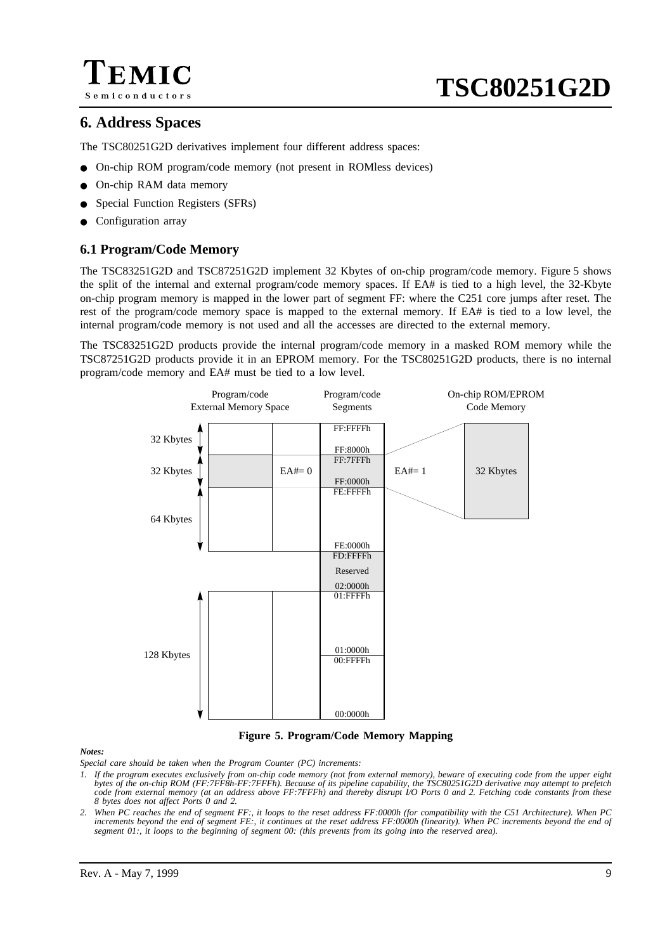

# **6. Address Spaces**

The TSC80251G2D derivatives implement four different address spaces:

- On-chip ROM program/code memory (not present in ROMless devices)
- On-chip RAM data memory
- Special Function Registers (SFRs)
- Configuration array

# **6.1 Program/Code Memory**

The TSC83251G2D and TSC87251G2D implement 32 Kbytes of on-chip program/code memory. Figure 5 shows the split of the internal and external program/code memory spaces. If EA# is tied to a high level, the 32-Kbyte on-chip program memory is mapped in the lower part of segment FF: where the C251 core jumps after reset. The rest of the program/code memory space is mapped to the external memory. If EA# is tied to a low level, the internal program/code memory is not used and all the accesses are directed to the external memory.

The TSC83251G2D products provide the internal program/code memory in a masked ROM memory while the TSC87251G2D products provide it in an EPROM memory. For the TSC80251G2D products, there is no internal program/code memory and EA# must be tied to a low level.



### **Figure 5. Program/Code Memory Mapping**

#### *Notes:*

*Special care should be taken when the Program Counter (PC) increments:*

- *1. If the program executes exclusively from on-chip code memory (not from external memory), beware of executing code from the upper eight bytes of the on-chip ROM (FF:7FF8h-FF:7FFFh). Because of its pipeline capability, the TSC80251G2D derivative may attempt to prefetch code from external memory (at an address above FF:7FFFh) and thereby disrupt I/O Ports 0 and 2. Fetching code constants from these 8 bytes does not affect Ports 0 and 2.*
- *2. When PC reaches the end of segment FF:, it loops to the reset address FF:0000h (for compatibility with the C51 Architecture). When PC increments beyond the end of segment FE:, it continues at the reset address FF:0000h (linearity). When PC increments beyond the end of segment 01:, it loops to the beginning of segment 00: (this prevents from its going into the reserved area).*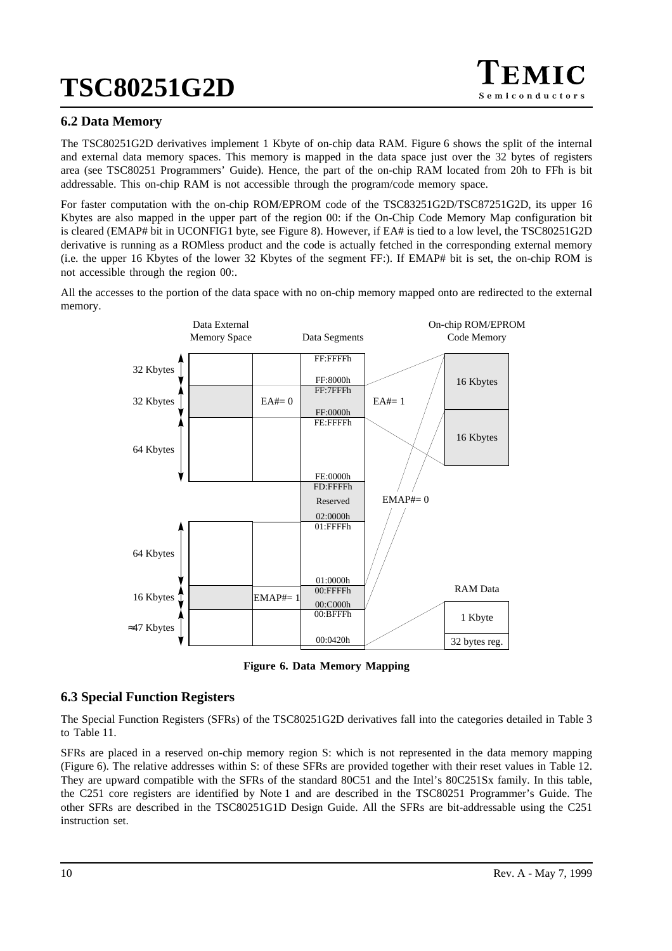

# **6.2 Data Memory**

The TSC80251G2D derivatives implement 1 Kbyte of on-chip data RAM. Figure 6 shows the split of the internal and external data memory spaces. This memory is mapped in the data space just over the 32 bytes of registers area (see TSC80251 Programmers' Guide). Hence, the part of the on-chip RAM located from 20h to FFh is bit addressable. This on-chip RAM is not accessible through the program/code memory space.

For faster computation with the on-chip ROM/EPROM code of the TSC83251G2D/TSC87251G2D, its upper 16 Kbytes are also mapped in the upper part of the region 00: if the On-Chip Code Memory Map configuration bit is cleared (EMAP# bit in UCONFIG1 byte, see [Figure 8\)](#page-14-0). However, if EA# is tied to a low level, the TSC80251G2D derivative is running as a ROMless product and the code is actually fetched in the corresponding external memory (i.e. the upper 16 Kbytes of the lower 32 Kbytes of the segment FF:). If EMAP# bit is set, the on-chip ROM is not accessible through the region 00:.

All the accesses to the portion of the data space with no on-chip memory mapped onto are redirected to the external memory.



**Figure 6. Data Memory Mapping**

# **6.3 Special Function Registers**

The Special Function Registers (SFRs) of the TSC80251G2D derivatives fall into the categories detailed in [Table 3](#page-10-0) to [Table 11.](#page-11-0)

SFRs are placed in a reserved on-chip memory region S: which is not represented in the data memory mapping (Figure 6). The relative addresses within S: of these SFRs are provided together with their reset values in [Table 12.](#page-12-0) They are upward compatible with the SFRs of the standard 80C51 and the Intel's 80C251Sx family. In this table, the C251 core registers are identified by Note 1 and are described in the TSC80251 Programmer's Guide. The other SFRs are described in the TSC80251G1D Design Guide. All the SFRs are bit-addressable using the C251 instruction set.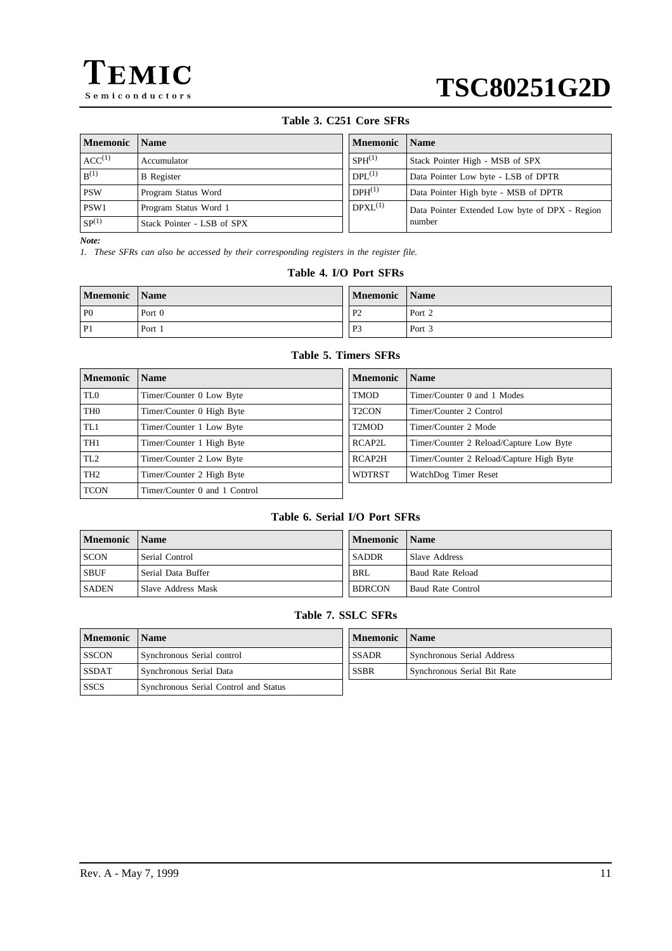<span id="page-10-0"></span>

# **Table 3. C251 Core SFRs**

| Mnemonic          | <b>Name</b>                | <b>Mnemonic</b> | <b>Name</b>                                    |
|-------------------|----------------------------|-----------------|------------------------------------------------|
| $ACC^{(1)}$       | Accumulator                | $SPH^{(1)}$     | Stack Pointer High - MSB of SPX                |
| $B^{(1)}$         | <b>B</b> Register          | $DPL^{(1)}$     | Data Pointer Low byte - LSB of DPTR            |
| <b>PSW</b>        | Program Status Word        | $DPH^{(1)}$     | Data Pointer High byte - MSB of DPTR           |
| PSW1              | Program Status Word 1      | $D P X L^{(1)}$ | Data Pointer Extended Low byte of DPX - Region |
| SP <sup>(1)</sup> | Stack Pointer - LSB of SPX |                 | number                                         |

*Note:*

*1. These SFRs can also be accessed by their corresponding registers in the register file.*

## **Table 4. I/O Port SFRs**

| Mnemonic       | <b>Name</b> | <b>Mnemonic</b> | <b>Name</b> |
|----------------|-------------|-----------------|-------------|
| P <sub>0</sub> | Port 0      | P <sub>2</sub>  | Port 2      |
| P <sub>1</sub> | Port 1      | P <sub>3</sub>  | Port 3      |

# **Table 5. Timers SFRs**

| <b>Mnemonic</b> | <b>Name</b>                   | <b>Mnemonic</b>    | <b>Name</b>                              |
|-----------------|-------------------------------|--------------------|------------------------------------------|
| TL <sub>0</sub> | Timer/Counter 0 Low Byte      | <b>TMOD</b>        | Timer/Counter 0 and 1 Modes              |
| TH <sub>0</sub> | Timer/Counter 0 High Byte     | T <sub>2</sub> CON | Timer/Counter 2 Control                  |
| TL1             | Timer/Counter 1 Low Byte      | T2MOD              | Timer/Counter 2 Mode                     |
| TH <sub>1</sub> | Timer/Counter 1 High Byte     | RCAP2L             | Timer/Counter 2 Reload/Capture Low Byte  |
| TL2             | Timer/Counter 2 Low Byte      | RCAP2H             | Timer/Counter 2 Reload/Capture High Byte |
| TH <sub>2</sub> | Timer/Counter 2 High Byte     | <b>WDTRST</b>      | WatchDog Timer Reset                     |
| <b>TCON</b>     | Timer/Counter 0 and 1 Control |                    |                                          |

# **Table 6. Serial I/O Port SFRs**

| Mnemonic | <b>Name</b>        | Mnemonic      | ' Name            |
|----------|--------------------|---------------|-------------------|
| SCON     | Serial Control     | <b>SADDR</b>  | Slave Address     |
| SBUF     | Serial Data Buffer | <b>BRL</b>    | Baud Rate Reload  |
| SADEN    | Slave Address Mask | <b>BDRCON</b> | Baud Rate Control |

## **Table 7. SSLC SFRs**

| Mnemonic     | <b>Name</b>                           | Mnemonic     | <b>Name</b>                 |
|--------------|---------------------------------------|--------------|-----------------------------|
| SSCON        | Synchronous Serial control            | <b>SSADR</b> | Synchronous Serial Address  |
| <b>SSDAT</b> | Synchronous Serial Data               | <b>SSBR</b>  | Synchronous Serial Bit Rate |
| l SSCS       | Synchronous Serial Control and Status |              |                             |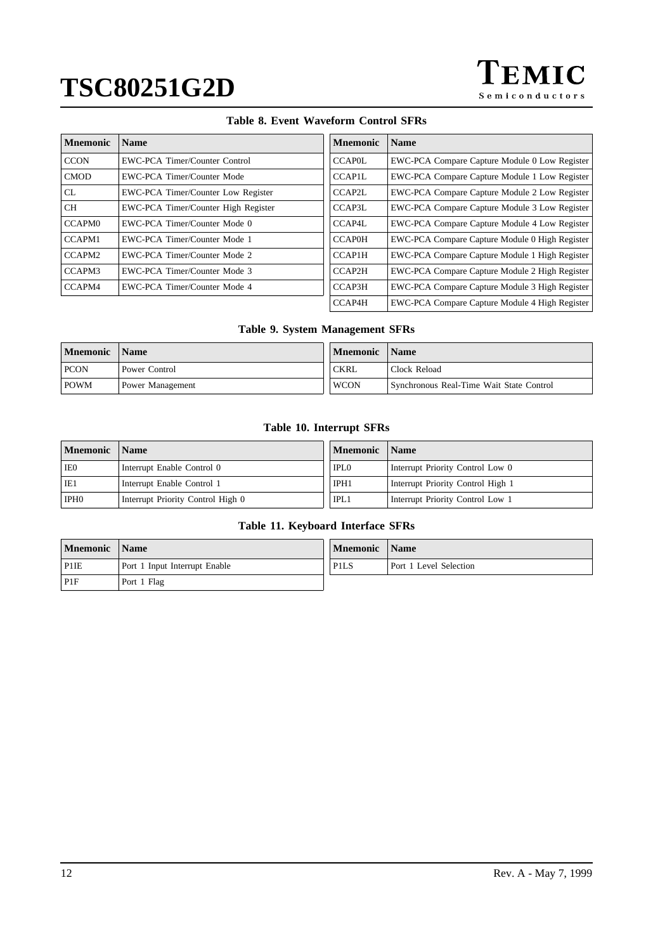

## **Table 8. Event Waveform Control SFRs**

<span id="page-11-0"></span>

| <b>M</b> nemonic   | <b>Name</b>                         | <b>Mnemonic</b> | <b>Name</b>                                    |
|--------------------|-------------------------------------|-----------------|------------------------------------------------|
| <b>CCON</b>        | EWC-PCA Timer/Counter Control       | <b>CCAPOL</b>   | EWC-PCA Compare Capture Module 0 Low Register  |
| <b>CMOD</b>        | EWC-PCA Timer/Counter Mode          | <b>CCAP1L</b>   | EWC-PCA Compare Capture Module 1 Low Register  |
| <b>CL</b>          | EWC-PCA Timer/Counter Low Register  | CCAP2L          | EWC-PCA Compare Capture Module 2 Low Register  |
| <b>CH</b>          | EWC-PCA Timer/Counter High Register | CCAP3L          | EWC-PCA Compare Capture Module 3 Low Register  |
| CCAPM <sub>0</sub> | EWC-PCA Timer/Counter Mode 0        | CCAP4L          | EWC-PCA Compare Capture Module 4 Low Register  |
| CCAPM1             | EWC-PCA Timer/Counter Mode 1        | <b>CCAP0H</b>   | EWC-PCA Compare Capture Module 0 High Register |
| CCAPM2             | EWC-PCA Timer/Counter Mode 2        | <b>CCAP1H</b>   | EWC-PCA Compare Capture Module 1 High Register |
| CCAPM3             | EWC-PCA Timer/Counter Mode 3        | CCAP2H          | EWC-PCA Compare Capture Module 2 High Register |
| CCAPM4             | EWC-PCA Timer/Counter Mode 4        | CCAP3H          | EWC-PCA Compare Capture Module 3 High Register |
|                    |                                     | CCAP4H          | EWC-PCA Compare Capture Module 4 High Register |

## **Table 9. System Management SFRs**

| <b>Mnemonic</b> | <b>Name</b>      | Mnemonic    | Name                                     |
|-----------------|------------------|-------------|------------------------------------------|
| <b>PCON</b>     | Power Control    | <b>CKRL</b> | Clock Reload                             |
| <b>POWM</b>     | Power Management | <b>WCON</b> | Synchronous Real-Time Wait State Control |

## **Table 10. Interrupt SFRs**

| <b>Mnemonic</b>  | <b>Name</b>                       | Mnemonic    | Name                              |
|------------------|-----------------------------------|-------------|-----------------------------------|
| IE0              | Interrupt Enable Control 0        | <b>IPLO</b> | Interrupt Priority Control Low 0  |
| IE1              | Interrupt Enable Control 1        | IPH1        | Interrupt Priority Control High 1 |
| IPH <sub>0</sub> | Interrupt Priority Control High 0 | IPL1        | Interrupt Priority Control Low 1  |

# **Table 11. Keyboard Interface SFRs**

| <b>Mnemonic</b>   | <b>Name</b>                   | <b>Mnemonic</b>               | Name                   |
|-------------------|-------------------------------|-------------------------------|------------------------|
| P <sub>1</sub> IE | Port 1 Input Interrupt Enable | P <sub>1</sub> L <sub>S</sub> | Port 1 Level Selection |
| PIF               | Port 1 Flag                   |                               |                        |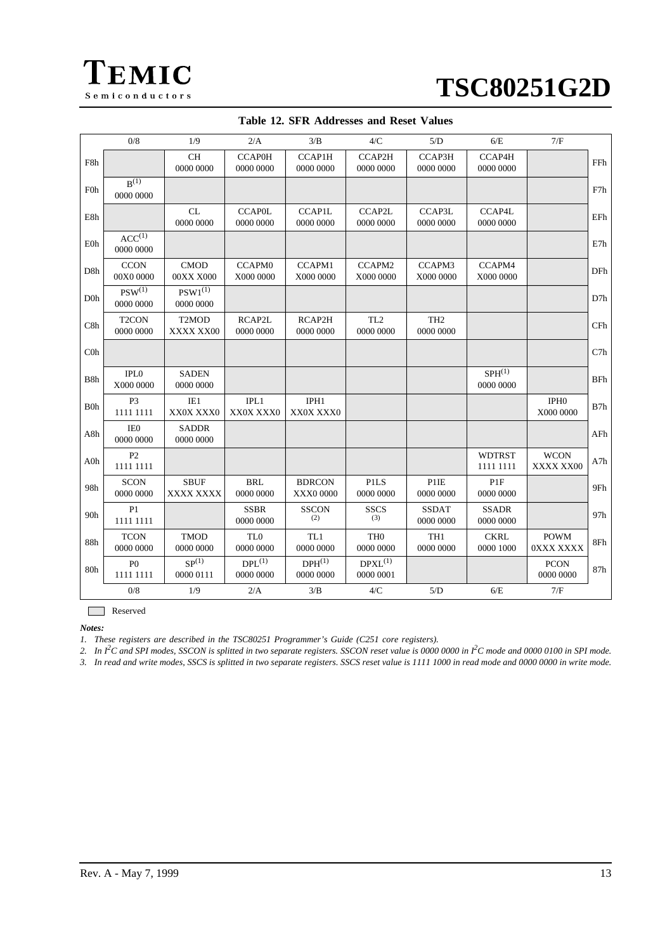<span id="page-12-0"></span>

| <b>TSC80251G2D</b> |  |
|--------------------|--|
|--------------------|--|

|                  | 0/8                             | 1/9                                         | 2/A                          | 3/B                        | 4/C                          | 5/D                          | 6/E                          | 7/F                           |            |
|------------------|---------------------------------|---------------------------------------------|------------------------------|----------------------------|------------------------------|------------------------------|------------------------------|-------------------------------|------------|
| F8h              |                                 | CH<br>0000 0000                             | <b>CCAP0H</b><br>0000 0000   | CCAP1H<br>0000 0000        | CCAP2H<br>0000 0000          | CCAP3H<br>0000 0000          | CCAP4H<br>0000 0000          |                               | FFh        |
| <b>F0h</b>       | $B^{(1)}$<br>0000 0000          |                                             |                              |                            |                              |                              |                              |                               | F7h        |
| E8h              |                                 | CL<br>0000 0000                             | <b>CCAP0L</b><br>0000 0000   | <b>CCAP1L</b><br>0000 0000 | CCAP2L<br>0000 0000          | CCAP3L<br>0000 0000          | CCAP4L<br>0000 0000          |                               | EFh        |
| E0h              | $ACC^{(1)}$<br>0000 0000        |                                             |                              |                            |                              |                              |                              |                               | E7h        |
| D8h              | <b>CCON</b><br>00X0 0000        | <b>CMOD</b><br>00XX X000                    | <b>CCAPM0</b><br>X000 0000   | CCAPM1<br>X000 0000        | CCAPM2<br>X000 0000          | CCAPM3<br>X000 0000          | CCAPM4<br>X000 0000          |                               | DFh        |
| D <sub>0</sub> h | $PSW^{(1)}$<br>0000 0000        | $PSW1^{(1)}$<br>0000 0000                   |                              |                            |                              |                              |                              |                               | D7h        |
| C8h              | T <sub>2</sub> CON<br>0000 0000 | T <sub>2</sub> MO <sub>D</sub><br>XXXX XX00 | RCAP2L<br>0000 0000          | RCAP2H<br>0000 0000        | TL <sub>2</sub><br>0000 0000 | TH <sub>2</sub><br>0000 0000 |                              |                               | CFh        |
| C <sub>0</sub>   |                                 |                                             |                              |                            |                              |                              |                              |                               | C7h        |
| B8h              | IPL <sub>0</sub><br>X000 0000   | <b>SADEN</b><br>0000 0000                   |                              |                            |                              |                              | $SPH^{(1)}$<br>0000 0000     |                               | <b>BFh</b> |
| B <sub>0</sub> h | P <sub>3</sub><br>1111 1111     | IE1<br>XX0X XXX0                            | IPL1<br>XX0X XXX0            | IPH1<br>XX0X XXX0          |                              |                              |                              | IPH <sub>0</sub><br>X000 0000 | B7h        |
| A8h              | IE <sub>0</sub><br>0000 0000    | <b>SADDR</b><br>0000 0000                   |                              |                            |                              |                              |                              |                               | AFh        |
| A0h              | P <sub>2</sub><br>1111 1111     |                                             |                              |                            |                              |                              | <b>WDTRST</b><br>1111 1111   | <b>WCON</b><br>XXXX XX00      | A7h        |
| 98h              | <b>SCON</b><br>0000 0000        | <b>SBUF</b><br>XXXX XXXX                    | <b>BRL</b><br>0000 0000      | <b>BDRCON</b><br>XXX0 0000 | <b>PILS</b><br>0000 0000     | P1IE<br>0000 0000            | P <sub>1F</sub><br>0000 0000 |                               | 9Fh        |
| 90h              | P1<br>1111 1111                 |                                             | <b>SSBR</b><br>0000 0000     | <b>SSCON</b><br>(2)        | <b>SSCS</b><br>(3)           | <b>SSDAT</b><br>0000 0000    | <b>SSADR</b><br>0000 0000    |                               | 97h        |
| 88h              | <b>TCON</b><br>0000 0000        | <b>TMOD</b><br>0000 0000                    | TL <sub>0</sub><br>0000 0000 | TL1<br>0000 0000           | TH <sub>0</sub><br>0000 0000 | TH1<br>0000 0000             | <b>CKRL</b><br>0000 1000     | <b>POWM</b><br>0XXX XXXX      | 8Fh        |
| 80h              | P <sub>0</sub><br>1111 1111     | SP <sup>(1)</sup><br>0000 0111              | $DPL^{(1)}$<br>0000 0000     | $DPH^{(1)}$<br>0000 0000   | $D P X L^{(1)}$<br>0000 0001 |                              |                              | <b>PCON</b><br>0000 0000      | 87h        |
|                  | 0/8                             | 1/9                                         | 2/A                          | 3/B                        | 4/C                          | 5/D                          | 6/E                          | 7/F                           |            |

**Table 12. SFR Addresses and Reset Values**

Reserved

*Notes:*

*1. These registers are described in the TSC80251 Programmer's Guide (C251 core registers).*

*2. In I<sup>2</sup> C and SPI modes, SSCON is splitted in two separate registers. SSCON reset value is 0000 0000 in I2 C mode and 0000 0100 in SPI mode.*

*3. In read and write modes, SSCS is splitted in two separate registers. SSCS reset value is 1111 1000 in read mode and 0000 0000 in write mode.*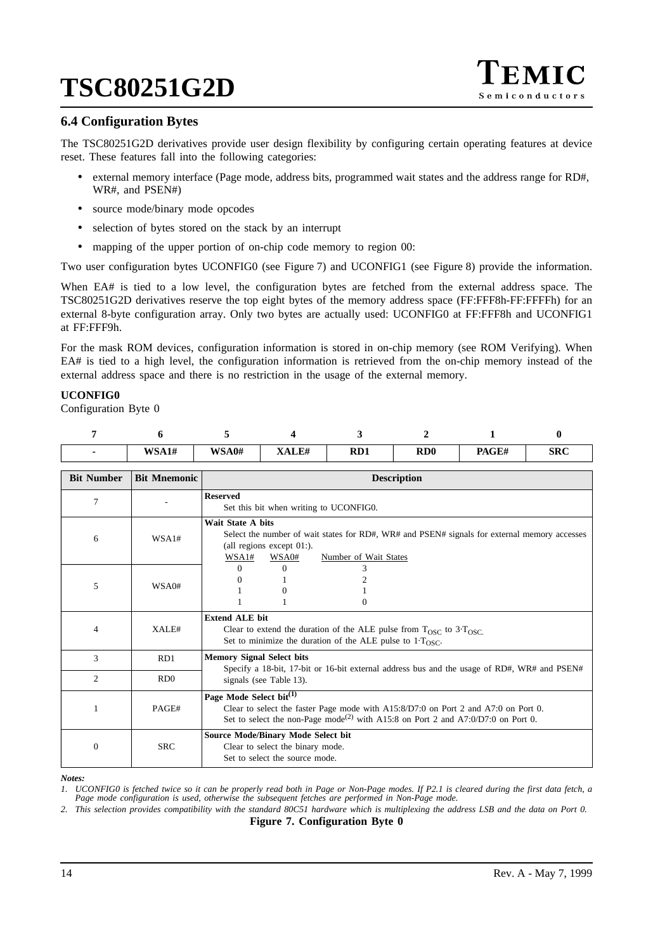

# **6.4 Configuration Bytes**

The TSC80251G2D derivatives provide user design flexibility by configuring certain operating features at device reset. These features fall into the following categories:

- external memory interface (Page mode, address bits, programmed wait states and the address range for RD#, WR#, and PSEN#)
- source mode/binary mode opcodes
- selection of bytes stored on the stack by an interrupt
- mapping of the upper portion of on-chip code memory to region 00:

Two user configuration bytes UCONFIG0 (see Figure 7) and UCONFIG1 (see [Figure 8](#page-14-0)) provide the information.

When EA# is tied to a low level, the configuration bytes are fetched from the external address space. The TSC80251G2D derivatives reserve the top eight bytes of the memory address space (FF:FFF8h-FF:FFFFh) for an external 8-byte configuration array. Only two bytes are actually used: UCONFIG0 at FF:FFF8h and UCONFIG1 at FF:FFF9h.

For the mask ROM devices, configuration information is stored in on-chip memory (see ROM Verifying). When EA# is tied to a high level, the configuration information is retrieved from the on-chip memory instead of the external address space and there is no restriction in the usage of the external memory.

### **UCONFIG0**

Configuration Byte 0

| WSA1# | WSA0# | VATTH | RD1 | R <sub>D</sub> | PAGE# | <b>SRC</b> |
|-------|-------|-------|-----|----------------|-------|------------|

| <b>Bit Number</b> | <b>Bit Mnemonic</b> | <b>Description</b>                                                                                                                                                                                                            |  |  |  |
|-------------------|---------------------|-------------------------------------------------------------------------------------------------------------------------------------------------------------------------------------------------------------------------------|--|--|--|
| $\overline{7}$    |                     | <b>Reserved</b><br>Set this bit when writing to UCONFIG0.                                                                                                                                                                     |  |  |  |
| 6                 | WSA1#               | <b>Wait State A bits</b><br>Select the number of wait states for RD#, WR# and PSEN# signals for external memory accesses<br>(all regions except $01$ :).<br>WSA1#<br>WSA0#<br>Number of Wait States                           |  |  |  |
| 5                 | WSA0#               | $\Omega$<br>0<br>$\Omega$<br>0                                                                                                                                                                                                |  |  |  |
| 4                 | XALE#               | <b>Extend ALE bit</b><br>Clear to extend the duration of the ALE pulse from $T_{\rm OSC}$ to 3. $T_{\rm OSC}$ .<br>Set to minimize the duration of the ALE pulse to $1 \cdot T_{\text{OSC}}$ .                                |  |  |  |
| 3                 | RD1                 | <b>Memory Signal Select bits</b><br>Specify a 18-bit, 17-bit or 16-bit external address bus and the usage of RD#, WR# and PSEN#                                                                                               |  |  |  |
| $\mathfrak{D}$    | RD <sub>0</sub>     | signals (see Table 13).                                                                                                                                                                                                       |  |  |  |
|                   | PAGE#               | Page Mode Select bit <sup>(1)</sup><br>Clear to select the faster Page mode with $A15:8/D7:0$ on Port 2 and $A7:0$ on Port 0.<br>Set to select the non-Page mode <sup>(2)</sup> with A15:8 on Port 2 and A7:0/D7:0 on Port 0. |  |  |  |
| $\Omega$          | <b>SRC</b>          | <b>Source Mode/Binary Mode Select bit</b><br>Clear to select the binary mode.<br>Set to select the source mode.                                                                                                               |  |  |  |

#### *Notes:*

*1. UCONFIG0 is fetched twice so it can be properly read both in Page or Non-Page modes. If P2.1 is cleared during the first data fetch, a Page mode configuration is used, otherwise the subsequent fetches are performed in Non-Page mode. 2. This selection provides compatibility with the standard 80C51 hardware which is multiplexing the address LSB and the data on Port 0.*

**Figure 7. Configuration Byte 0**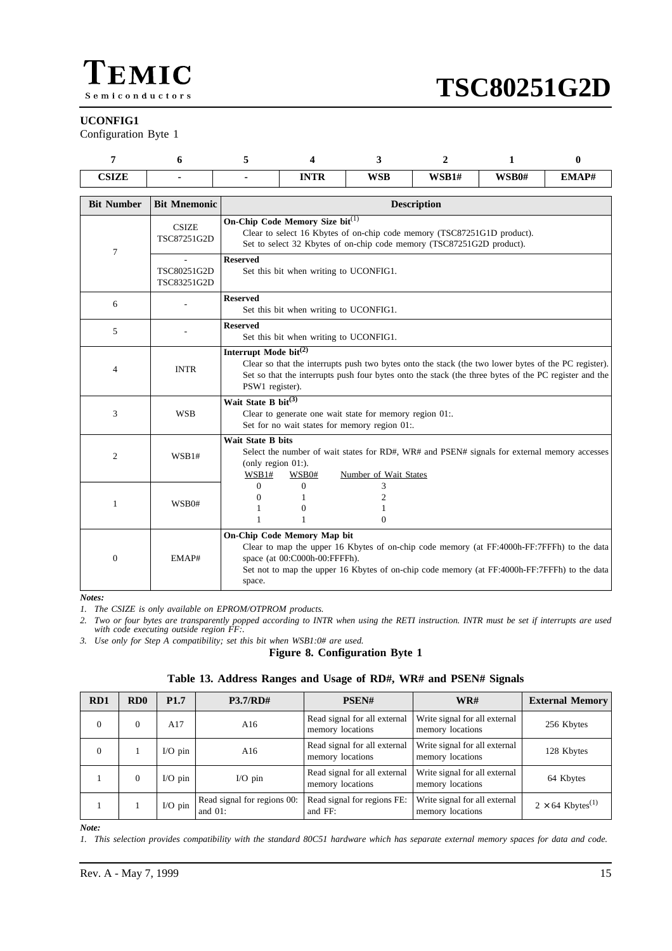<span id="page-14-0"></span>

### **UCONFIG1**

Configuration Byte 1

| $\alpha$ $\alpha$ $\alpha$ $\beta$<br>00.LL |  | ------<br>.<br>1 I IV<br>-- | <b>WSB</b> | <b>WSB1#</b> | WSB0# | EMAP# |
|---------------------------------------------|--|-----------------------------|------------|--------------|-------|-------|

| <b>Bit Number</b> | <b>Bit Mnemonic</b>         | <b>Description</b>                                                                                                                                                                                                                                                    |
|-------------------|-----------------------------|-----------------------------------------------------------------------------------------------------------------------------------------------------------------------------------------------------------------------------------------------------------------------|
| 7                 | <b>CSIZE</b><br>TSC87251G2D | On-Chip Code Memory Size bit(1)<br>Clear to select 16 Kbytes of on-chip code memory (TSC87251G1D product).<br>Set to select 32 Kbytes of on-chip code memory (TSC87251G2D product).                                                                                   |
|                   | TSC80251G2D<br>TSC83251G2D  | <b>Reserved</b><br>Set this bit when writing to UCONFIG1.                                                                                                                                                                                                             |
| 6                 |                             | <b>Reserved</b><br>Set this bit when writing to UCONFIG1.                                                                                                                                                                                                             |
| 5                 |                             | <b>Reserved</b><br>Set this bit when writing to UCONFIG1.                                                                                                                                                                                                             |
| 4                 | <b>INTR</b>                 | Interrupt Mode bit <sup>(2)</sup><br>Clear so that the interrupts push two bytes onto the stack (the two lower bytes of the PC register).<br>Set so that the interrupts push four bytes onto the stack (the three bytes of the PC register and the<br>PSW1 register). |
| 3                 | <b>WSB</b>                  | Wait State B bit $^{(3)}$<br>Clear to generate one wait state for memory region 01:.<br>Set for no wait states for memory region 01:.                                                                                                                                 |
| $\overline{c}$    | WSB1#                       | <b>Wait State B bits</b><br>Select the number of wait states for RD#, WR# and PSEN# signals for external memory accesses<br>(only region $01$ :).<br>WSB1#<br>WSB0#<br>Number of Wait States                                                                          |
| 1                 | WSB0#                       | $\Omega$<br>$\mathbf{0}$<br>3<br>$\overline{c}$<br>$\Omega$<br>1<br>$\Omega$<br>1<br>1<br>$\Omega$                                                                                                                                                                    |
| $\overline{0}$    | EMAP#                       | On-Chip Code Memory Map bit<br>Clear to map the upper 16 Kbytes of on-chip code memory (at FF:4000h-FF:7FFFh) to the data<br>space (at 00:C000h-00:FFFFh).<br>Set not to map the upper 16 Kbytes of on-chip code memory (at FF:4000h-FF:7FFFh) to the data<br>space.  |

#### *Notes:*

*1. The CSIZE is only available on EPROM/OTPROM products.*

*2. Two or four bytes are transparently popped according to INTR when using the RETI instruction. INTR must be set if interrupts are used with code executing outside region FF:.*

*3. Use only for Step A compatibility; set this bit when WSB1:0# are used.*

### **Figure 8. Configuration Byte 1**

|  | Table 13. Address Ranges and Usage of RD#, WR# and PSEN# Signals |  |  |  |
|--|------------------------------------------------------------------|--|--|--|
|  |                                                                  |  |  |  |

| RD1      | RD <sub>0</sub> | P <sub>1.7</sub> | <b>P3.7/RD#</b>                           | PSEN#                                            | WR#                                               | <b>External Memory</b>              |
|----------|-----------------|------------------|-------------------------------------------|--------------------------------------------------|---------------------------------------------------|-------------------------------------|
| $\theta$ | $\Omega$        | A17              | A $16$                                    | Read signal for all external<br>memory locations | Write signal for all external<br>memory locations | 256 Kbytes                          |
| $\Omega$ |                 | $I/O$ pin        | A $16$                                    | Read signal for all external<br>memory locations | Write signal for all external<br>memory locations | 128 Kbytes                          |
|          | $\Omega$        | $I/O$ pin        | $I/O$ pin                                 | Read signal for all external<br>memory locations | Write signal for all external<br>memory locations | 64 Kbytes                           |
|          |                 | $I/O$ pin        | Read signal for regions 00:<br>and $01$ : | Read signal for regions FE:<br>and FF:           | Write signal for all external<br>memory locations | $2 \times 64$ Kbytes <sup>(1)</sup> |

*Note:*

*1. This selection provides compatibility with the standard 80C51 hardware which has separate external memory spaces for data and code.*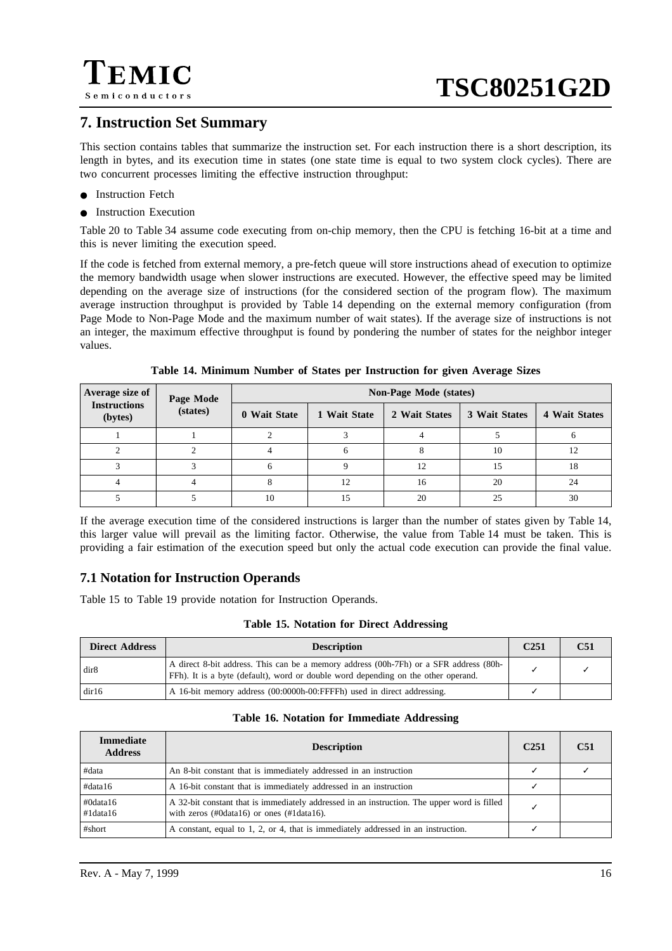

# **7. Instruction Set Summary**

This section contains tables that summarize the instruction set. For each instruction there is a short description, its length in bytes, and its execution time in states (one state time is equal to two system clock cycles). There are two concurrent processes limiting the effective instruction throughput:

- Instruction Fetch
- Instruction Execution

[Table 20](#page-17-0) to [Table 34](#page-26-0) assume code executing from on-chip memory, then the CPU is fetching 16-bit at a time and this is never limiting the execution speed.

If the code is fetched from external memory, a pre-fetch queue will store instructions ahead of execution to optimize the memory bandwidth usage when slower instructions are executed. However, the effective speed may be limited depending on the average size of instructions (for the considered section of the program flow). The maximum average instruction throughput is provided by Table 14 depending on the external memory configuration (from Page Mode to Non-Page Mode and the maximum number of wait states). If the average size of instructions is not an integer, the maximum effective throughput is found by pondering the number of states for the neighbor integer values.

| Average size of                | Page Mode | <b>Non-Page Mode (states)</b> |              |               |               |               |  |  |
|--------------------------------|-----------|-------------------------------|--------------|---------------|---------------|---------------|--|--|
| <b>Instructions</b><br>(bytes) | (states)  | 0 Wait State                  | 1 Wait State | 2 Wait States | 3 Wait States | 4 Wait States |  |  |
|                                |           |                               |              |               |               |               |  |  |
|                                |           |                               |              |               | 10            | 12            |  |  |
|                                |           | 6                             |              | 12            | 15            | 18            |  |  |
|                                |           | 8                             | 12           | 16            | 20            | 24            |  |  |
|                                |           | 10                            |              | 20            | 25            | 30            |  |  |

**Table 14. Minimum Number of States per Instruction for given Average Sizes**

If the average execution time of the considered instructions is larger than the number of states given by Table 14, this larger value will prevail as the limiting factor. Otherwise, the value from Table 14 must be taken. This is providing a fair estimation of the execution speed but only the actual code execution can provide the final value.

# **7.1 Notation for Instruction Operands**

Table 15 to [Table 19 p](#page-16-0)rovide notation for Instruction Operands.

|  |  |  | Table 15. Notation for Direct Addressing |
|--|--|--|------------------------------------------|
|--|--|--|------------------------------------------|

| <b>Direct Address</b> | <b>Description</b>                                                                                                                                                         | C251 | C <sub>51</sub> |
|-----------------------|----------------------------------------------------------------------------------------------------------------------------------------------------------------------------|------|-----------------|
| dir8                  | A direct 8-bit address. This can be a memory address (00h-7Fh) or a SFR address (80h-<br>FFh). It is a byte (default), word or double word depending on the other operand. |      |                 |
| dir16                 | A 16-bit memory address (00:0000h-00:FFFFh) used in direct addressing.                                                                                                     |      |                 |

### **Table 16. Notation for Immediate Addressing**

| Immediate<br><b>Address</b> | <b>Description</b>                                                                                                                                            | C <sub>251</sub> | C <sub>51</sub> |
|-----------------------------|---------------------------------------------------------------------------------------------------------------------------------------------------------------|------------------|-----------------|
| #data                       | An 8-bit constant that is immediately addressed in an instruction                                                                                             |                  |                 |
| #data16                     | A 16-bit constant that is immediately addressed in an instruction                                                                                             |                  |                 |
| #0data16<br>$\#1$ data 16   | A 32-bit constant that is immediately addressed in an instruction. The upper word is filled<br>with zeros $(\text{\#0data16})$ or ones $(\text{\#1data16})$ . |                  |                 |
| #short                      | A constant, equal to 1, 2, or 4, that is immediately addressed in an instruction.                                                                             |                  |                 |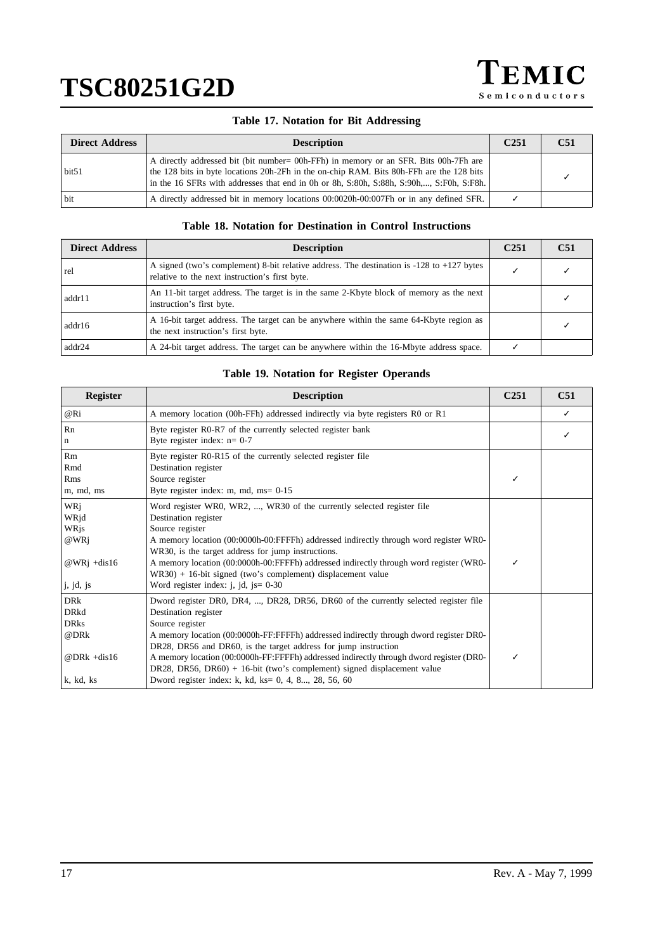

## **Table 17. Notation for Bit Addressing**

<span id="page-16-0"></span>

| <b>Direct Address</b> | <b>Description</b>                                                                                                                                                                                                                                                           | C <sub>251</sub> | C51 |
|-----------------------|------------------------------------------------------------------------------------------------------------------------------------------------------------------------------------------------------------------------------------------------------------------------------|------------------|-----|
| bit <sub>51</sub>     | A directly addressed bit (bit number = 00h-FFh) in memory or an SFR. Bits 00h-7Fh are<br>the 128 bits in byte locations 20h-2Fh in the on-chip RAM. Bits 80h-FFh are the 128 bits<br>in the 16 SFRs with addresses that end in 0h or 8h, S:80h, S:88h, S:90h,, S:F0h, S:F8h. |                  |     |
| bit                   | A directly addressed bit in memory locations 00:0020h-00:007Fh or in any defined SFR.                                                                                                                                                                                        |                  |     |

### **Table 18. Notation for Destination in Control Instructions**

| <b>Direct Address</b> | <b>Description</b>                                                                                                                              | C <sub>251</sub> | C51 |
|-----------------------|-------------------------------------------------------------------------------------------------------------------------------------------------|------------------|-----|
| rel                   | A signed (two's complement) 8-bit relative address. The destination is $-128$ to $+127$ bytes<br>relative to the next instruction's first byte. |                  |     |
| addr11                | An 11-bit target address. The target is in the same 2-Kbyte block of memory as the next<br>instruction's first byte.                            |                  |     |
| addr16                | A 16-bit target address. The target can be anywhere within the same 64-Kbyte region as<br>the next instruction's first byte.                    |                  |     |
| addr24                | A 24-bit target address. The target can be anywhere within the 16-Mbyte address space.                                                          |                  |     |

## **Table 19. Notation for Register Operands**

| <b>Register</b>                                                                  | <b>Description</b>                                                                                                                                                                                                                                                                                                                                                                                                                                                                                                        | C <sub>251</sub> | C51 |
|----------------------------------------------------------------------------------|---------------------------------------------------------------------------------------------------------------------------------------------------------------------------------------------------------------------------------------------------------------------------------------------------------------------------------------------------------------------------------------------------------------------------------------------------------------------------------------------------------------------------|------------------|-----|
| @Ri                                                                              | A memory location (00h-FFh) addressed indirectly via byte registers R0 or R1                                                                                                                                                                                                                                                                                                                                                                                                                                              |                  |     |
| Rn<br>n                                                                          | Byte register R0-R7 of the currently selected register bank<br>Byte register index: $n=0-7$                                                                                                                                                                                                                                                                                                                                                                                                                               |                  |     |
| Rm<br>Rmd<br>Rms<br>m, md, ms                                                    | Byte register R0-R15 of the currently selected register file<br>Destination register<br>Source register<br>Byte register index: m, md, $ms = 0.15$                                                                                                                                                                                                                                                                                                                                                                        |                  |     |
| WRi<br>WRjd<br>WRjs<br>@WRj<br>@WRi +dis16<br>j, jd, js                          | Word register WR0, WR2, , WR30 of the currently selected register file<br>Destination register<br>Source register<br>A memory location (00:0000h-00:FFFFh) addressed indirectly through word register WR0-<br>WR30, is the target address for jump instructions.<br>A memory location (00:0000h-00:FFFFh) addressed indirectly through word register (WR0-<br>$WR30$ + 16-bit signed (two's complement) displacement value<br>Word register index: $i$ , $id$ , $is = 0-30$                                               | ℐ                |     |
| <b>DRk</b><br><b>DRkd</b><br><b>DRks</b><br>@DRk<br>@DR $k +$ dis16<br>k, kd, ks | Dword register DR0, DR4, , DR28, DR56, DR60 of the currently selected register file<br>Destination register<br>Source register<br>A memory location (00:0000h-FF:FFFFh) addressed indirectly through dword register DR0-<br>DR28, DR56 and DR60, is the target address for jump instruction<br>A memory location (00:0000h-FF:FFFFh) addressed indirectly through dword register (DR0-<br>DR28, DR56, DR60) + 16-bit (two's complement) signed displacement value<br>Dword register index: k, kd, ks= 0, 4, 8, 28, 56, 60 | J                |     |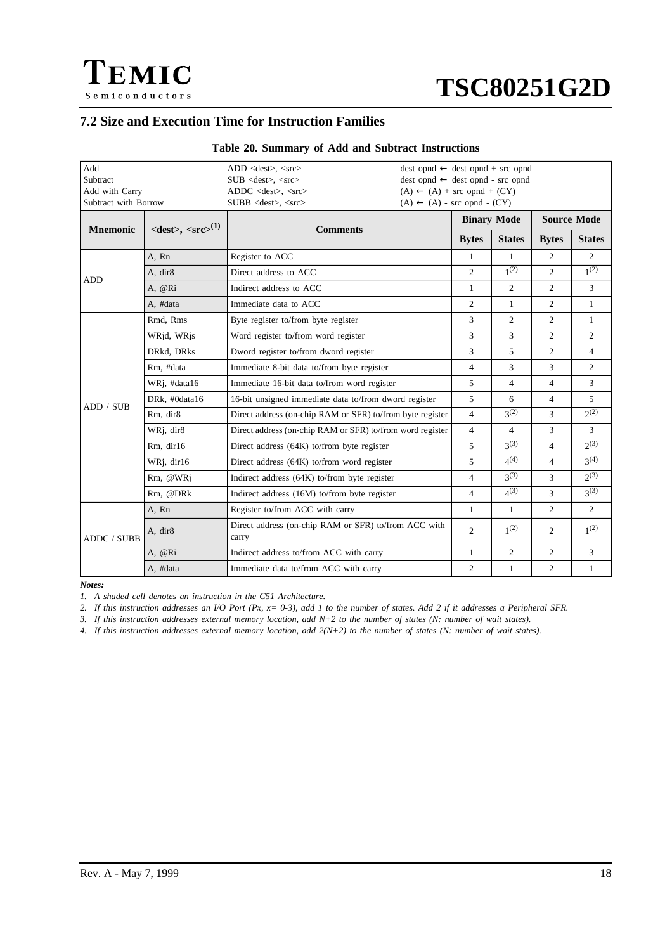# **7.2 Size and Execution Time for Instruction Families**

<span id="page-17-0"></span> $\Gamma$ EMIC

Semiconductors

| Add<br>Subtract<br>Add with Carry<br>Subtract with Borrow |                                                      | $ADD <$ dest $>$ , $<$ src $>$<br>$SUB <$ dest $>$ , $<<$ src $>$<br>$ADDC <$ dest>, $<$ src><br>SUBB <dest>, <src></src></dest> | $(A) \leftarrow (A) + \text{src opnd} + (CY)$<br>$(A) \leftarrow (A)$ - src opnd - $(CY)$ |                | $dest opnd \leftarrow dest opnd + src opnd$<br>$dest opnd \leftarrow dest opnd - src opnd$ |                |                    |  |
|-----------------------------------------------------------|------------------------------------------------------|----------------------------------------------------------------------------------------------------------------------------------|-------------------------------------------------------------------------------------------|----------------|--------------------------------------------------------------------------------------------|----------------|--------------------|--|
|                                                           |                                                      |                                                                                                                                  | <b>Binary Mode</b>                                                                        |                |                                                                                            |                | <b>Source Mode</b> |  |
| <b>Mnemonic</b>                                           | $\langle dest \rangle$ , $\langle src \rangle^{(1)}$ | <b>Comments</b>                                                                                                                  |                                                                                           | <b>Bytes</b>   | <b>States</b>                                                                              | <b>Bytes</b>   | <b>States</b>      |  |
|                                                           | A. Rn                                                | Register to ACC                                                                                                                  |                                                                                           | $\mathbf{1}$   | 1                                                                                          | 2              | 2                  |  |
| <b>ADD</b>                                                | A, dir8                                              | Direct address to ACC                                                                                                            |                                                                                           | $\overline{2}$ | $1^{(2)}$                                                                                  | $\overline{2}$ | $1^{(2)}$          |  |
|                                                           | A, @Ri                                               | Indirect address to ACC                                                                                                          |                                                                                           | $\mathbf{1}$   | 2                                                                                          | 2              | $\mathfrak{Z}$     |  |
|                                                           | A, #data                                             | Immediate data to ACC                                                                                                            |                                                                                           | $\overline{c}$ | 1                                                                                          | 2              | 1                  |  |
|                                                           | Rmd, Rms                                             | Byte register to/from byte register                                                                                              |                                                                                           | 3              | $\overline{c}$                                                                             | $\overline{2}$ | $\mathbf{1}$       |  |
|                                                           | WRjd, WRjs                                           | Word register to/from word register                                                                                              |                                                                                           | 3              | 3                                                                                          | $\overline{2}$ | $\overline{2}$     |  |
|                                                           | DRkd, DRks                                           | Dword register to/from dword register                                                                                            |                                                                                           | 3              | 5                                                                                          | 2              | $\overline{4}$     |  |
|                                                           | Rm. #data                                            | Immediate 8-bit data to/from byte register                                                                                       |                                                                                           |                | 3                                                                                          | 3              | 2                  |  |
|                                                           | WRj, #data16                                         | Immediate 16-bit data to/from word register                                                                                      |                                                                                           | 5              | $\overline{4}$                                                                             | $\overline{4}$ | 3                  |  |
| ADD / SUB                                                 | DRk, #0data16                                        | 16-bit unsigned immediate data to/from dword register                                                                            |                                                                                           | 5              | 6                                                                                          | $\overline{4}$ | $\mathfrak{F}$     |  |
|                                                           | Rm, dir8                                             | Direct address (on-chip RAM or SFR) to/from byte register                                                                        |                                                                                           | $\overline{4}$ | 2(2)                                                                                       | 3              | $2^{(2)}$          |  |
|                                                           | WRj, dir8                                            | Direct address (on-chip RAM or SFR) to/from word register                                                                        |                                                                                           | $\overline{4}$ | $\overline{4}$                                                                             | 3              | 3                  |  |
|                                                           | Rm, dir16                                            | Direct address (64K) to/from byte register                                                                                       |                                                                                           | 5              | 2 <sup>(3)</sup>                                                                           | $\overline{4}$ | $2^{(3)}$          |  |
|                                                           | WRj, dir16                                           | Direct address (64K) to/from word register                                                                                       |                                                                                           | 5              | $4^{(4)}$                                                                                  | $\overline{4}$ | $3^{(4)}$          |  |
|                                                           | Rm, @WRj                                             | Indirect address (64K) to/from byte register                                                                                     |                                                                                           | $\overline{4}$ | 2 <sup>(3)</sup>                                                                           | 3              | $2^{(3)}$          |  |
|                                                           | Rm, @DRk                                             | Indirect address (16M) to/from byte register                                                                                     |                                                                                           | $\overline{4}$ | $4^{(3)}$                                                                                  | 3              | $2^{(3)}$          |  |
|                                                           | A, Rn                                                | Register to/from ACC with carry                                                                                                  |                                                                                           | $\mathbf{1}$   | 1                                                                                          | 2              | $\overline{2}$     |  |
| ADDC / SUBB                                               | A, dir8                                              | Direct address (on-chip RAM or SFR) to/from ACC with<br>carry                                                                    |                                                                                           | $\overline{c}$ | 1 <sup>(2)</sup>                                                                           | $\overline{c}$ | $1^{(2)}$          |  |
|                                                           | A, @Ri                                               | Indirect address to/from ACC with carry                                                                                          |                                                                                           | 1              | 2                                                                                          | 2              | 3                  |  |
|                                                           | A, #data                                             | Immediate data to/from ACC with carry                                                                                            |                                                                                           | $\overline{c}$ | $\mathbf{1}$                                                                               | $\overline{c}$ | $\mathbf{1}$       |  |

## **Table 20. Summary of Add and Subtract Instructions**

*Notes:*

*1. A shaded cell denotes an instruction in the C51 Architecture.*

*2. If this instruction addresses an I/O Port (Px, x= 0-3), add 1 to the number of states. Add 2 if it addresses a Peripheral SFR.*

*3. If this instruction addresses external memory location, add N+2 to the number of states (N: number of wait states).*

*4. If this instruction addresses external memory location, add 2(N+2) to the number of states (N: number of wait states).*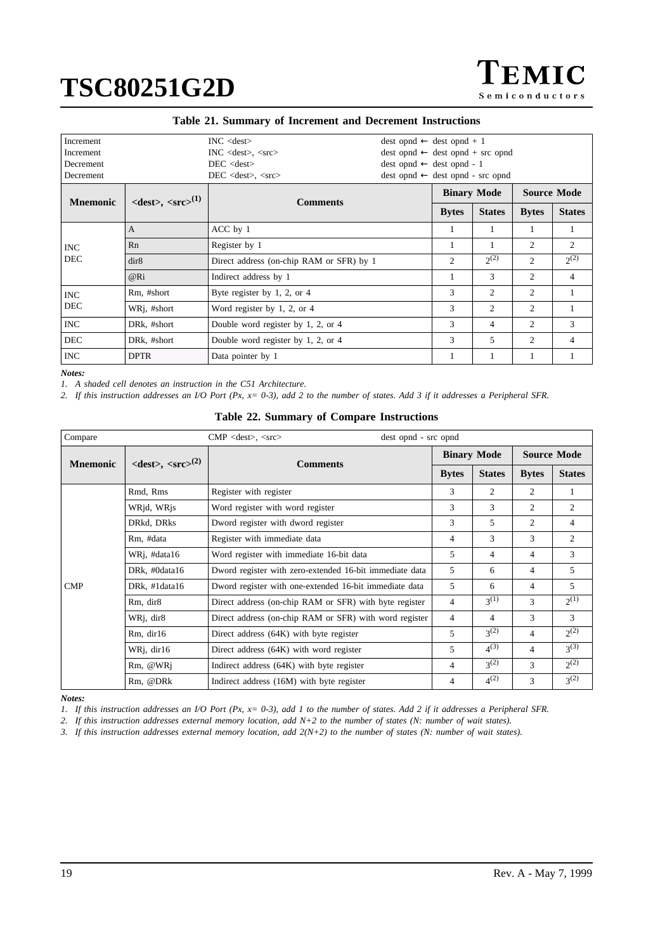| <b>Increment</b><br>Increment<br>Decrement<br>Decrement |                                                      | $INC <$ dest $>$<br>$INC <$ dest $>$ , $<$ src $>$<br>$DEC <$ dest $>$<br>$DEC <$ < dest $>$ , $<$ src $>$ | $dest opnd \leftarrow dest opnd + 1$<br>$dest opnd \leftarrow dest opnd + src opnd$<br>$dest opnd \leftarrow dest opnd - 1$<br>$dest opnd \leftarrow dest opnd - src opnd$ |                |                    |                    |                |
|---------------------------------------------------------|------------------------------------------------------|------------------------------------------------------------------------------------------------------------|----------------------------------------------------------------------------------------------------------------------------------------------------------------------------|----------------|--------------------|--------------------|----------------|
| <b>Mnemonic</b>                                         | $\langle dest \rangle$ , $\langle src \rangle^{(1)}$ | <b>Comments</b>                                                                                            |                                                                                                                                                                            |                | <b>Binary Mode</b> | <b>Source Mode</b> |                |
|                                                         |                                                      |                                                                                                            |                                                                                                                                                                            | <b>Bytes</b>   | <b>States</b>      | <b>Bytes</b>       | <b>States</b>  |
|                                                         | A                                                    | ACC by 1                                                                                                   |                                                                                                                                                                            |                | 1                  | 1                  |                |
| <b>INC</b>                                              | Rn                                                   | Register by 1                                                                                              |                                                                                                                                                                            |                | 1                  | 2                  | 2              |
| <b>DEC</b>                                              | dir8                                                 | Direct address (on-chip RAM or SFR) by 1                                                                   |                                                                                                                                                                            | $\overline{2}$ | $2^{(2)}$          | $\overline{c}$     | $2^{(2)}$      |
|                                                         | @Ri                                                  | Indirect address by 1                                                                                      |                                                                                                                                                                            |                | 3                  | 2                  | $\overline{4}$ |
| <b>INC</b>                                              | Rm, #short                                           | Byte register by 1, 2, or 4                                                                                |                                                                                                                                                                            | 3              | 2                  | 2                  |                |
| <b>DEC</b>                                              | WR <sub>1</sub> , #short                             | Word register by 1, 2, or $4$                                                                              |                                                                                                                                                                            | 3              | 2                  | 2                  |                |
| <b>INC</b>                                              | DRk, #short                                          | Double word register by 1, 2, or 4                                                                         |                                                                                                                                                                            | 3              | 4                  | $\overline{c}$     | 3              |
| <b>DEC</b>                                              | DRk, #short                                          | Double word register by 1, 2, or 4                                                                         |                                                                                                                                                                            | 3              | 5                  | 2                  | 4              |
| <b>INC</b>                                              | <b>DPTR</b>                                          | Data pointer by 1                                                                                          |                                                                                                                                                                            |                | 1                  |                    |                |

### **Table 21. Summary of Increment and Decrement Instructions**

*Notes:*

*1. A shaded cell denotes an instruction in the C51 Architecture.*

*2. If this instruction addresses an I/O Port (Px, x= 0-3), add 2 to the number of states. Add 3 if it addresses a Peripheral SFR.*

| Compare         |                                                      | $CMP \leq dest>, \leq src$<br>dest opnd - src opnd      |              |                    |               |                    |
|-----------------|------------------------------------------------------|---------------------------------------------------------|--------------|--------------------|---------------|--------------------|
|                 |                                                      |                                                         |              | <b>Binary Mode</b> |               | <b>Source Mode</b> |
| <b>Mnemonic</b> | $\langle dest \rangle$ , $\langle src \rangle^{(2)}$ | <b>Comments</b>                                         | <b>Bytes</b> | <b>States</b>      | <b>Bytes</b>  | <b>States</b>      |
|                 | Rmd, Rms                                             | Register with register                                  | 3            | 2                  | 2             | -1                 |
|                 | WRjd, WRjs                                           | Word register with word register                        | 3            | 3                  | 2             | 2                  |
|                 | DRkd, DRks                                           | Dword register with dword register                      | 3            | 5                  | 2             | $\overline{4}$     |
|                 | Rm. #data                                            | Register with immediate data                            | 4            | 3                  | 3             | 2                  |
|                 | WRj, #data16                                         | Word register with immediate 16-bit data                | 5            | 4                  | 4             | 3                  |
|                 | DRk, #0data16                                        | Dword register with zero-extended 16-bit immediate data | 5            | 6                  | 4             | 5                  |
| <b>CMP</b>      | DRk, #1data16                                        | Dword register with one-extended 16-bit immediate data  | 5            | 6                  | 4             | 5                  |
|                 | Rm, dir8                                             | Direct address (on-chip RAM or SFR) with byte register  | 4            | 2(1)               | 3             | $2^{(1)}$          |
|                 | WRj, dir8                                            | Direct address (on-chip RAM or SFR) with word register  | 4            | 4                  | 3             | 3                  |
|                 | Rm, dir16                                            | Direct address $(64K)$ with byte register               | 5            | $3^{(2)}$          | 4             | $2^{(2)}$          |
|                 | WRj, dir16                                           | Direct address (64K) with word register                 | 5            | $4^{(3)}$          | 4             | $3^{(3)}$          |
|                 | Rm, @WRj                                             | Indirect address (64K) with byte register               | 4            | $3^{(2)}$          | $\mathcal{F}$ | $2^{(2)}$          |
|                 | Rm, @DRk                                             | Indirect address (16M) with byte register               | 4            | $4^{(2)}$          | 3             | $3^{(2)}$          |

### **Table 22. Summary of Compare Instructions**

*Notes:*

*1. If this instruction addresses an I/O Port (Px, x= 0-3), add 1 to the number of states. Add 2 if it addresses a Peripheral SFR.*

*2. If this instruction addresses external memory location, add N+2 to the number of states (N: number of wait states).*

*3. If this instruction addresses external memory location, add 2(N+2) to the number of states (N: number of wait states).*

EMIC

**Semiconductors**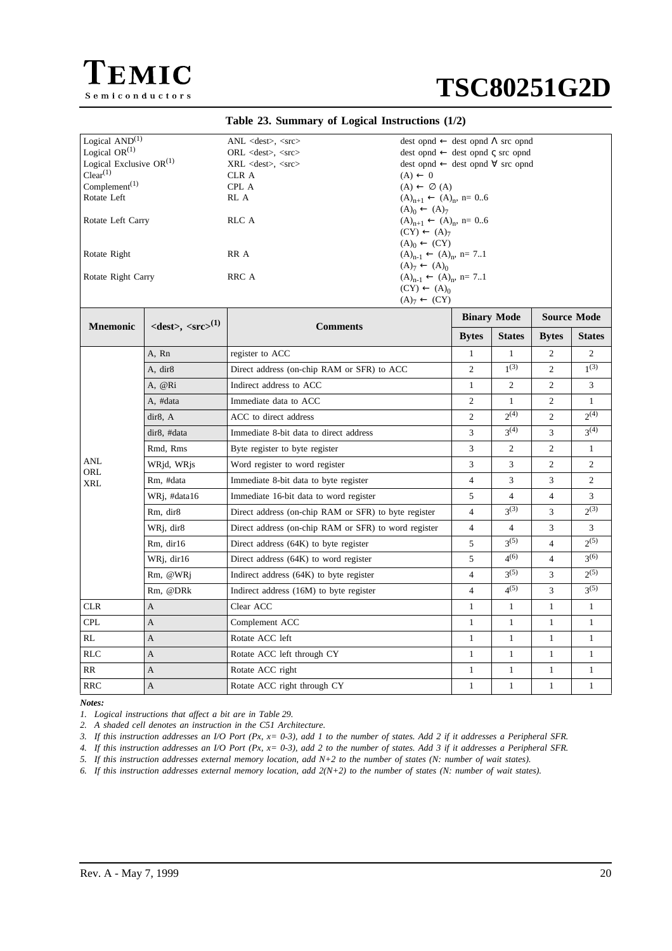



### **Table 23. Summary of Logical Instructions (1/2)**

| Logical $\text{AND}^{(1)}$             |                                                      | $ANL \ll \text{dest}$ , $\ll \text{src}$             | $dest opnd \leftarrow dest opnd \Lambda src opnd$                    |                    |                           |                    |                      |
|----------------------------------------|------------------------------------------------------|------------------------------------------------------|----------------------------------------------------------------------|--------------------|---------------------------|--------------------|----------------------|
| Logical $OR^{(1)}$                     |                                                      | $ORL <$ dest $>$ , $<$ src $>$                       | $dest opnd \leftarrow dest opnd \subset src opnd$                    |                    |                           |                    |                      |
| Logical Exclusive $OR^{(1)}$           |                                                      | XRL <dest>, <src></src></dest>                       | $dest opnd \leftarrow dest opnd \forall src opnd$                    |                    |                           |                    |                      |
| Clear <sup>(1)</sup>                   |                                                      | CLR A                                                | $(A) \leftarrow 0$                                                   |                    |                           |                    |                      |
| Complement <sup><math>(1)</math></sup> |                                                      | CPL A                                                | $(A) \leftarrow \emptyset$ (A)                                       |                    |                           |                    |                      |
| Rotate Left                            |                                                      | RL A                                                 | $(A)_{n+1} \leftarrow (A)_n$ , n= 06                                 |                    |                           |                    |                      |
| Rotate Left Carry                      |                                                      | RLC A                                                | $(A)_{0} \leftarrow (A)_{7}$<br>$(A)_{n+1} \leftarrow (A)_n$ , n= 06 |                    |                           |                    |                      |
|                                        |                                                      |                                                      | $(CY) \leftarrow (A)_{7}$                                            |                    |                           |                    |                      |
|                                        |                                                      |                                                      | $(A)0 \leftarrow (CY)$                                               |                    |                           |                    |                      |
| Rotate Right                           |                                                      | RR A                                                 | $(A)_{n-1} \leftarrow (A)_n$ , n= 71                                 |                    |                           |                    |                      |
|                                        |                                                      |                                                      | $(A)7 \leftarrow (A)0$                                               |                    |                           |                    |                      |
| Rotate Right Carry                     |                                                      | RRC A                                                | $(A)_{n-1} \leftarrow (A)_n$ , n= 71                                 |                    |                           |                    |                      |
|                                        |                                                      |                                                      | $(CY) \leftarrow (A)_0$                                              |                    |                           |                    |                      |
|                                        |                                                      |                                                      | $(A)7 \leftarrow (CY)$                                               |                    |                           |                    |                      |
|                                        |                                                      |                                                      |                                                                      | <b>Binary Mode</b> |                           | <b>Source Mode</b> |                      |
| <b>Mnemonic</b>                        | $\langle dest \rangle$ , $\langle src \rangle^{(1)}$ | <b>Comments</b>                                      |                                                                      | <b>Bytes</b>       | <b>States</b>             | <b>Bytes</b>       | <b>States</b>        |
|                                        |                                                      |                                                      |                                                                      | $\mathbf{1}$       | $\mathbf{1}$              | 2                  | 2                    |
|                                        | A, Rn                                                | register to ACC                                      |                                                                      | 2                  | $1^{(3)}$                 | 2                  | $1^{(3)}$            |
|                                        | A, dir8                                              | Direct address (on-chip RAM or SFR) to ACC           |                                                                      |                    |                           |                    |                      |
|                                        | A, @Ri                                               | Indirect address to ACC                              |                                                                      | 1                  | 2                         | 2                  | 3                    |
|                                        | A, #data                                             | Immediate data to ACC                                |                                                                      | $\overline{c}$     | $\mathbf{1}$<br>$2^{(4)}$ | $\overline{c}$     | $\mathbf{1}$<br>2(4) |
|                                        | dir8, A                                              | ACC to direct address                                |                                                                      | $\overline{c}$     |                           | $\overline{c}$     |                      |
|                                        | dir8, #data                                          | Immediate 8-bit data to direct address               |                                                                      | 3                  | $3^{(4)}$                 | 3                  | $3^{(4)}$            |
|                                        | Rmd, Rms                                             | Byte register to byte register                       |                                                                      | 3                  | 2                         | $\overline{2}$     | $\mathbf{1}$         |
| ANL<br>ORL                             | WRjd, WRjs                                           | Word register to word register                       |                                                                      | 3                  | 3                         | $\overline{2}$     | $\overline{2}$       |
| XRL                                    | Rm, #data                                            | Immediate 8-bit data to byte register                |                                                                      | $\overline{4}$     | 3                         | 3                  | $\overline{c}$       |
|                                        | WRj, #data16                                         | Immediate 16-bit data to word register               |                                                                      | 5                  | $\overline{4}$            | $\overline{4}$     | 3                    |
|                                        | Rm, dir8                                             | Direct address (on-chip RAM or SFR) to byte register |                                                                      | $\overline{4}$     | $3^{(3)}$                 | 3                  | 2(3)                 |
|                                        | WRj, dir8                                            | Direct address (on-chip RAM or SFR) to word register |                                                                      | $\overline{4}$     | $\overline{4}$            | 3                  | 3                    |
|                                        | Rm, dir16                                            | Direct address $(64K)$ to byte register              |                                                                      | 5                  | $3^{(5)}$                 | $\overline{4}$     | $2^{(5)}$            |
|                                        | WRj, dir16                                           | Direct address (64K) to word register                |                                                                      | 5                  | $4^{(6)}$                 | $\overline{4}$     | 3(6)                 |
|                                        | Rm, @WRj                                             | Indirect address $(64K)$ to byte register            |                                                                      | $\overline{4}$     | $3^{(5)}$                 | 3                  | $2^{(5)}$            |
|                                        | Rm, @DRk                                             | Indirect address (16M) to byte register              |                                                                      | $\overline{4}$     | $4^{(5)}$                 | 3                  | $3^{(5)}$            |
| <b>CLR</b>                             | A                                                    | Clear ACC                                            |                                                                      | $\mathbf{1}$       | $\mathbf{1}$              | $\mathbf{1}$       | $\mathbf{1}$         |
| CPL                                    | A                                                    | Complement ACC                                       |                                                                      | $\mathbf{1}$       | $\mathbf{1}$              | $\mathbf{1}$       | 1                    |
| RL                                     | A                                                    | Rotate ACC left                                      |                                                                      | $\mathbf{1}$       | $\mathbf{1}$              | 1                  | $\mathbf{1}$         |
| RLC                                    | A                                                    | Rotate ACC left through CY                           |                                                                      | $\mathbf{1}$       | $\mathbf{1}$              | $\mathbf{1}$       | $\mathbf{1}$         |
| RR                                     | A                                                    | Rotate ACC right                                     |                                                                      | $\mathbf{1}$       | $\mathbf{1}$              | $\mathbf{1}$       | $\mathbf{1}$         |
| <b>RRC</b>                             | A                                                    | Rotate ACC right through CY                          |                                                                      | $\mathbf{1}$       | $\mathbf{1}$              | $\mathbf{1}$       | $\mathbf{1}$         |

*Notes:*

*1. Logical instructions that affect a bit are in [Table 29](#page-23-0).*

*2. A shaded cell denotes an instruction in the C51 Architecture.*

*3. If this instruction addresses an I/O Port (Px, x= 0-3), add 1 to the number of states. Add 2 if it addresses a Peripheral SFR.*

*4. If this instruction addresses an I/O Port (Px, x= 0-3), add 2 to the number of states. Add 3 if it addresses a Peripheral SFR.*

*5. If this instruction addresses external memory location, add N+2 to the number of states (N: number of wait states).*

*6. If this instruction addresses external memory location, add 2(N+2) to the number of states (N: number of wait states).*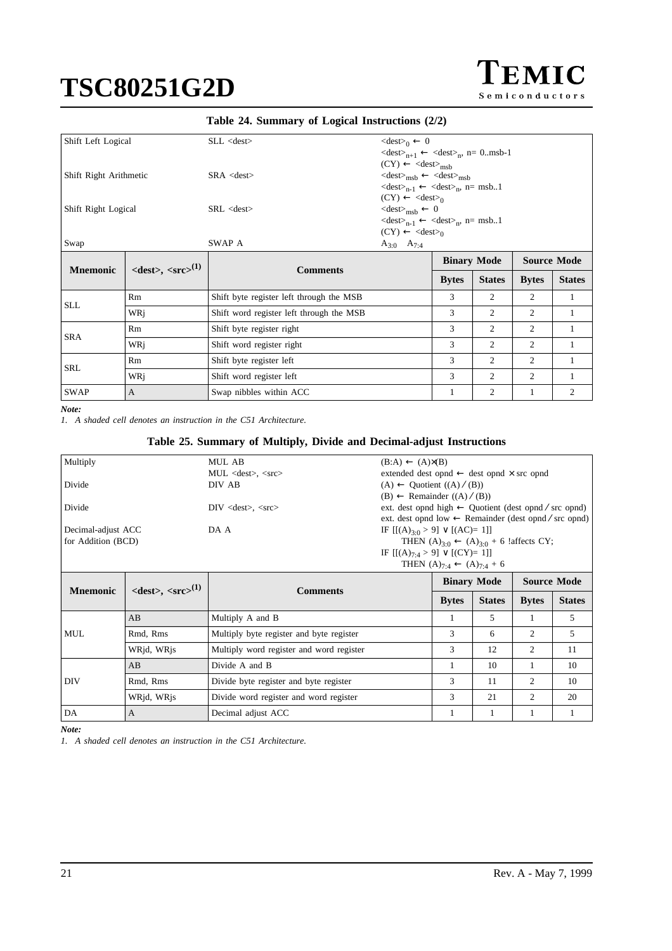EMIC Semiconductors

### **Table 24. Summary of Logical Instructions (2/2)**

| Shift Left Logical     |                                                      | $SLL <$ dest $>$                         | $\langle dest \rangle_0 \leftarrow 0$<br>$\langle dest \rangle_{n+1} \leftarrow \langle dest \rangle_n$ , n= 0.msb-1                                                                                          |              |                    |              |                    |
|------------------------|------------------------------------------------------|------------------------------------------|---------------------------------------------------------------------------------------------------------------------------------------------------------------------------------------------------------------|--------------|--------------------|--------------|--------------------|
| Shift Right Arithmetic |                                                      | $SRA <$ dest $>$                         | $(CY) \leftarrow \langle dest \rangle_{msh}$<br>$\langle dest \rangle_{msb} \leftarrow \langle dest \rangle_{msb}$<br>$\langle dest \rangle_{n-1} \leftarrow \langle dest \rangle_n$ , n= msb1                |              |                    |              |                    |
| Shift Right Logical    |                                                      | SRL <                                    | $(CY) \leftarrow \langle dest \rangle_0$<br>$\langle dest \rangle_{msh} \leftarrow 0$<br>$\langle dest \rangle_{n-1} \leftarrow \langle dest \rangle_n$ , n= msb1<br>$(CY) \leftarrow \langle dest \rangle_0$ |              |                    |              |                    |
| Swap                   |                                                      | SWAP A                                   | $A_{3:0}$ $A_{7:4}$                                                                                                                                                                                           |              |                    |              |                    |
| <b>Mnemonic</b>        | $\langle dest \rangle$ , $\langle src \rangle^{(1)}$ | <b>Comments</b>                          |                                                                                                                                                                                                               |              | <b>Binary Mode</b> |              | <b>Source Mode</b> |
|                        |                                                      |                                          |                                                                                                                                                                                                               |              |                    |              |                    |
|                        |                                                      |                                          |                                                                                                                                                                                                               | <b>Bytes</b> | <b>States</b>      | <b>Bytes</b> | <b>States</b>      |
|                        | Rm                                                   | Shift byte register left through the MSB |                                                                                                                                                                                                               | 3            | $\overline{2}$     | 2            | 1                  |
| <b>SLL</b>             | WRi                                                  | Shift word register left through the MSB |                                                                                                                                                                                                               | 3            | 2                  | 2            | 1                  |
|                        | Rm                                                   | Shift byte register right                |                                                                                                                                                                                                               | 3            | 2                  | 2            | 1                  |
| <b>SRA</b>             | WRi                                                  | Shift word register right                |                                                                                                                                                                                                               | 3            | 2                  | 2            | 1                  |
|                        | Rm                                                   | Shift byte register left                 |                                                                                                                                                                                                               | 3            | 2                  | 2            | 1                  |
| SRL                    | WRi                                                  | Shift word register left                 |                                                                                                                                                                                                               | 3            | 2                  | 2            | 1                  |

*Note:*

*1. A shaded cell denotes an instruction in the C51 Architecture.*

### **Table 25. Summary of Multiply, Divide and Decimal-adjust Instructions**

| Multiply           |                                              | MUL AB                                   | $(B:A) \leftarrow (A) \times (B)$                                |                                                                  |                                                                    |              |               |
|--------------------|----------------------------------------------|------------------------------------------|------------------------------------------------------------------|------------------------------------------------------------------|--------------------------------------------------------------------|--------------|---------------|
|                    |                                              | $MUL <$ dest $>$ , $<$ src $>$           | extended dest opnd $\leftarrow$ dest opnd $\times$ src opnd      |                                                                  |                                                                    |              |               |
| Divide             |                                              | DIV AB                                   | $(A) \leftarrow$ Quotient $((A) / (B))$                          |                                                                  |                                                                    |              |               |
|                    |                                              |                                          | $(B) \leftarrow$ Remainder $((A) / (B))$                         |                                                                  |                                                                    |              |               |
| Divide             |                                              | $DIV <$ dest $>$ , $<<$ src $>$          |                                                                  | ext. dest opnd high $\leftarrow$ Quotient (dest opnd / src opnd) |                                                                    |              |               |
|                    |                                              |                                          | ext. dest opnd low $\leftarrow$ Remainder (dest opnd / src opnd) |                                                                  |                                                                    |              |               |
| Decimal-adjust ACC |                                              | DA A                                     | IF $[(A)30 > 9] \vee [(AC)=1]$                                   |                                                                  |                                                                    |              |               |
| for Addition (BCD) |                                              |                                          |                                                                  |                                                                  | THEN $(A)_{3 \cdot 0} \leftarrow (A)_{3 \cdot 0} + 6$ !affects CY; |              |               |
|                    |                                              |                                          | IF $[(A)_{7 \cdot 4} > 9] \vee [(CY)=1]$                         |                                                                  |                                                                    |              |               |
|                    |                                              |                                          |                                                                  | THEN $(A)_{7:4} \leftarrow (A)_{7:4} + 6$                        |                                                                    |              |               |
| <b>Mnemonic</b>    | $\langle$ dest $>$ , $\langle$ src $>^{(1)}$ | <b>Comments</b>                          |                                                                  | <b>Binary Mode</b><br><b>Source Mode</b>                         |                                                                    |              |               |
|                    |                                              |                                          |                                                                  |                                                                  |                                                                    |              |               |
|                    |                                              |                                          |                                                                  | <b>Bytes</b>                                                     | <b>States</b>                                                      | <b>Bytes</b> | <b>States</b> |
|                    | AB                                           | Multiply A and B                         |                                                                  | 1                                                                | 5                                                                  | 1            | 5             |
| <b>MUL</b>         | Rmd, Rms                                     | Multiply byte register and byte register |                                                                  | 3                                                                | 6                                                                  | 2            | 5             |
|                    | WRjd, WRjs                                   | Multiply word register and word register |                                                                  | 3                                                                | 12                                                                 | 2            | 11            |
|                    | AB                                           | Divide A and B                           |                                                                  |                                                                  | 10                                                                 |              | 10            |
| DIV                | Rmd, Rms                                     | Divide byte register and byte register   |                                                                  | 3                                                                | 11                                                                 | 2            | 10            |
|                    | WRjd, WRjs                                   | Divide word register and word register   |                                                                  | 3                                                                | 21                                                                 | 2            | 20            |

*Note:*

*1. A shaded cell denotes an instruction in the C51 Architecture.*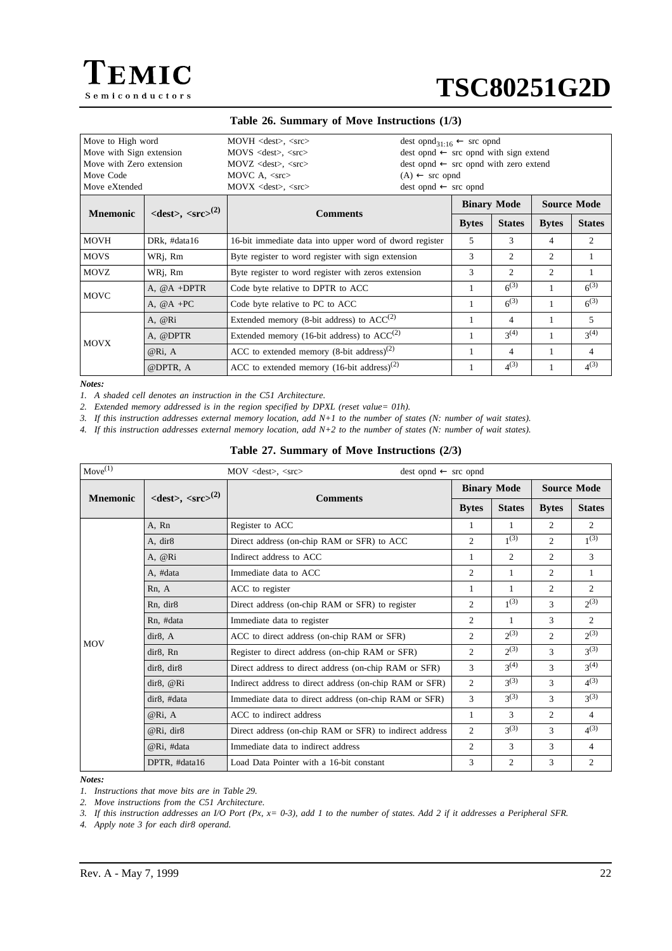



#### **Table 26. Summary of Move Instructions (1/3)**

| Move to High word<br>Move with Sign extension<br>Move with Zero extension<br>Move Code<br>Move eXtended |                                                      | $MOVH \leq dest$ , $\leq src$<br>$MOVS <$ dest $>$ , $<$ src $>$<br>$MOVZ$ <dest>, <src><br/>MOVC A, <math>\langle</math>src<math>\rangle</math><br/><math>(A) \leftarrow</math> src opnd<br/><math>dest opnd \leftarrow src opnd</math><br/><math>MOVX &lt;</math>dest<math>&gt;</math>, <math>&lt;</math>src<math>&gt;</math></src></dest> |  | dest opnd <sub>31.16</sub> $\leftarrow$ src opnd<br>$dest opnd \leftarrow src opnd with sign extend$<br>$dest opnd \leftarrow src opnd with zero extend$ |                    |                               |               |  |
|---------------------------------------------------------------------------------------------------------|------------------------------------------------------|----------------------------------------------------------------------------------------------------------------------------------------------------------------------------------------------------------------------------------------------------------------------------------------------------------------------------------------------|--|----------------------------------------------------------------------------------------------------------------------------------------------------------|--------------------|-------------------------------|---------------|--|
| <b>Mnemonic</b>                                                                                         | $\langle dest \rangle$ , $\langle src \rangle^{(2)}$ | <b>Comments</b>                                                                                                                                                                                                                                                                                                                              |  |                                                                                                                                                          | <b>Binary Mode</b> | <b>Source Mode</b>            |               |  |
|                                                                                                         |                                                      |                                                                                                                                                                                                                                                                                                                                              |  | <b>Bytes</b>                                                                                                                                             | <b>States</b>      | <b>Bytes</b>                  | <b>States</b> |  |
| <b>MOVH</b>                                                                                             | DRk, #data16                                         | 16-bit immediate data into upper word of dword register                                                                                                                                                                                                                                                                                      |  | 5                                                                                                                                                        | 3                  | 4                             | 2             |  |
| <b>MOVS</b>                                                                                             | WRj, Rm                                              | Byte register to word register with sign extension                                                                                                                                                                                                                                                                                           |  | 3                                                                                                                                                        | 2                  | 2                             |               |  |
| <b>MOVZ</b>                                                                                             | WRj, Rm                                              | Byte register to word register with zeros extension                                                                                                                                                                                                                                                                                          |  | 3                                                                                                                                                        | $\mathfrak{D}$     | $\mathfrak{D}_{\mathfrak{p}}$ | 1             |  |
| <b>MOVC</b>                                                                                             | A, $@A + DPTR$                                       | Code byte relative to DPTR to ACC                                                                                                                                                                                                                                                                                                            |  | $6^{(3)}$                                                                                                                                                | 1                  | $6^{(3)}$                     |               |  |
|                                                                                                         | A, $@A + PC$                                         | Code byte relative to PC to ACC                                                                                                                                                                                                                                                                                                              |  |                                                                                                                                                          | $6^{(3)}$          |                               | $6^{(3)}$     |  |
|                                                                                                         | A, @Ri                                               | Extended memory (8-bit address) to $ACC^{(2)}$                                                                                                                                                                                                                                                                                               |  |                                                                                                                                                          | $\overline{4}$     |                               | 5             |  |
|                                                                                                         | A, @DPTR                                             | Extended memory (16-bit address) to $ACC^{(2)}$                                                                                                                                                                                                                                                                                              |  |                                                                                                                                                          | $3^{(4)}$          |                               | $3^{(4)}$     |  |
| <b>MOVX</b>                                                                                             | @Ri, A                                               | ACC to extended memory $(8-bit \text{ address})^{(2)}$                                                                                                                                                                                                                                                                                       |  |                                                                                                                                                          | $\overline{4}$     |                               | 4             |  |
|                                                                                                         | @DPTR, A                                             | ACC to extended memory $(16-bit address)^{(2)}$                                                                                                                                                                                                                                                                                              |  |                                                                                                                                                          | $4^{(3)}$          |                               | $4^{(3)}$     |  |

*Notes:*

*1. A shaded cell denotes an instruction in the C51 Architecture.*

*2. Extended memory addressed is in the region specified by DPXL (reset value= 01h).*

*3. If this instruction addresses external memory location, add N+1 to the number of states (N: number of wait states).*

*4. If this instruction addresses external memory location, add N+2 to the number of states (N: number of wait states).*

#### **Table 27. Summary of Move Instructions (2/3)**

| $Move^{(1)}$    |                                                      | $MOV <$ dest $>, <$ src $>$<br>$dest opnd \leftarrow src opnd$ |                |                    |                    |                  |  |  |  |
|-----------------|------------------------------------------------------|----------------------------------------------------------------|----------------|--------------------|--------------------|------------------|--|--|--|
| <b>Mnemonic</b> | $\langle dest \rangle$ , $\langle src \rangle^{(2)}$ | <b>Comments</b>                                                |                | <b>Binary Mode</b> | <b>Source Mode</b> |                  |  |  |  |
|                 |                                                      |                                                                | <b>Bytes</b>   | <b>States</b>      | <b>Bytes</b>       | <b>States</b>    |  |  |  |
|                 | A, Rn                                                | Register to ACC                                                | 1              | -1                 | 2                  | $\overline{2}$   |  |  |  |
|                 | A, dir8                                              | Direct address (on-chip RAM or SFR) to ACC                     | $\overline{2}$ | $1^{(3)}$          | $\overline{2}$     | $1^{(3)}$        |  |  |  |
|                 | A, @Ri                                               | Indirect address to ACC                                        | 1              | 2                  | 2                  | 3                |  |  |  |
|                 | A, #data                                             | Immediate data to ACC                                          | 2              | 1                  | 2                  | 1                |  |  |  |
|                 | Rn, A                                                | ACC to register                                                |                |                    | 2                  | $\overline{2}$   |  |  |  |
|                 | Rn. dir8                                             | Direct address (on-chip RAM or SFR) to register                |                | $1^{(3)}$          | 3                  | $2^{(3)}$        |  |  |  |
|                 | Rn, #data                                            | Immediate data to register                                     |                | 1                  | 3                  | $\overline{2}$   |  |  |  |
| <b>MOV</b>      | dir8, A                                              | ACC to direct address (on-chip RAM or SFR)                     | $\overline{c}$ | $2^{(3)}$          | $\overline{2}$     | $2^{(3)}$        |  |  |  |
|                 | dir8, Rn                                             | Register to direct address (on-chip RAM or SFR)                | 2              | $2^{(3)}$          | 3                  | 2 <sup>(3)</sup> |  |  |  |
|                 | dir8, dir8                                           | Direct address to direct address (on-chip RAM or SFR)          | 3              | $3^{(4)}$          | 3                  | $3^{(4)}$        |  |  |  |
|                 | dir8, @Ri                                            | Indirect address to direct address (on-chip RAM or SFR)        | $\overline{c}$ | $3^{(3)}$          | 3                  | $4^{(3)}$        |  |  |  |
|                 | dir8, #data                                          | Immediate data to direct address (on-chip RAM or SFR)          | 3              | $3^{(3)}$          | 3                  | $3^{(3)}$        |  |  |  |
|                 | @Ri, A                                               | ACC to indirect address                                        | 1              | 3                  | $\overline{c}$     | $\overline{4}$   |  |  |  |
|                 | @Ri, dir8                                            | Direct address (on-chip RAM or SFR) to indirect address        | $\overline{c}$ | $3^{(3)}$          | 3                  | $4^{(3)}$        |  |  |  |
|                 | @Ri, #data                                           | Immediate data to indirect address                             | 2              | 3                  | 3                  | 4                |  |  |  |
|                 | DPTR, #data16                                        | Load Data Pointer with a 16-bit constant                       | 3              | $\overline{c}$     | 3                  | $\overline{2}$   |  |  |  |

*Notes:*

*1. Instructions that move bits are in [Table 29.](#page-23-0)*

*2. Move instructions from the C51 Architecture.*

*3. If this instruction addresses an I/O Port (Px, x= 0-3), add 1 to the number of states. Add 2 if it addresses a Peripheral SFR.*

*4. Apply note 3 for each dir8 operand.*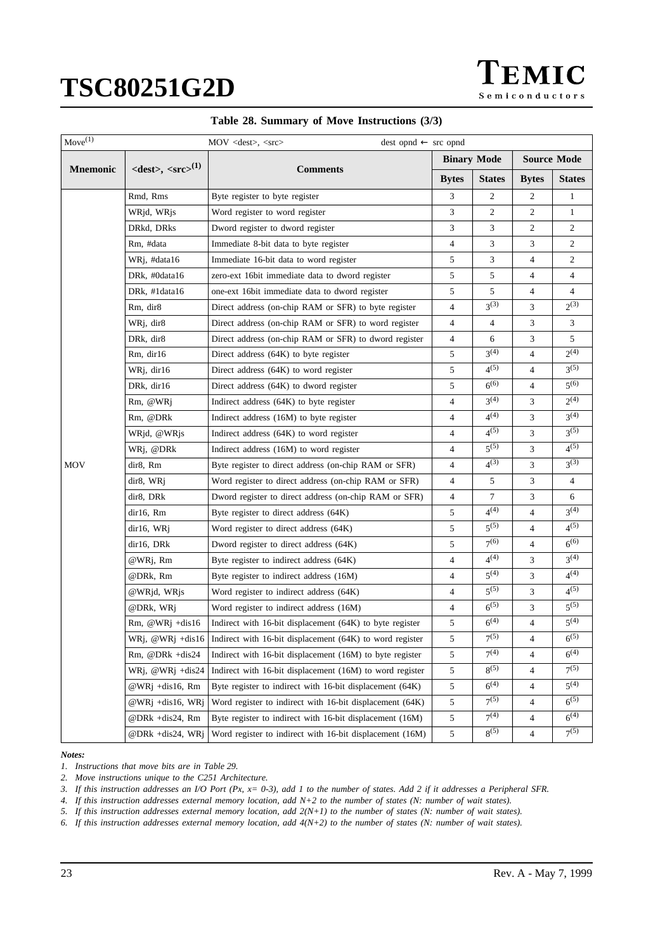

|  |  |  |  |  | Table 28. Summary of Move Instructions (3/3) |  |  |
|--|--|--|--|--|----------------------------------------------|--|--|
|--|--|--|--|--|----------------------------------------------|--|--|

| $Move^{(1)}$    |                                                   | $dest opnd \leftarrow src opnd$<br>$MOV <$ < $\llsub>$ , < $src$            |                |                    |                |                    |  |  |
|-----------------|---------------------------------------------------|-----------------------------------------------------------------------------|----------------|--------------------|----------------|--------------------|--|--|
|                 |                                                   |                                                                             |                | <b>Binary Mode</b> |                | <b>Source Mode</b> |  |  |
| <b>Mnemonic</b> | $\langle dest \rangle, \langle src \rangle^{(1)}$ | <b>Comments</b>                                                             | <b>Bytes</b>   | <b>States</b>      | <b>Bytes</b>   | <b>States</b>      |  |  |
|                 | Rmd, Rms                                          | Byte register to byte register                                              | 3              | $\mathbf{2}$       | 2              | 1                  |  |  |
|                 | WRjd, WRjs                                        | Word register to word register                                              | 3              | 2                  | 2              | $\mathbf{1}$       |  |  |
|                 | DRkd, DRks                                        | Dword register to dword register                                            | 3              | 3                  | 2              | 2                  |  |  |
|                 | Rm, #data                                         | Immediate 8-bit data to byte register                                       | 4              | 3                  | 3              | $\overline{c}$     |  |  |
|                 | WRj, #data16                                      | Immediate 16-bit data to word register                                      | 5              | 3                  | 4              | $\overline{c}$     |  |  |
|                 | DRk, #0data16                                     | zero-ext 16 bit immediate data to dword register                            | 5              | 5                  | 4              | 4                  |  |  |
|                 | DRk, #1data16                                     | one-ext 16bit immediate data to dword register                              | 5              | 5                  | 4              | $\overline{4}$     |  |  |
|                 | Rm, dir8                                          | Direct address (on-chip RAM or SFR) to byte register                        | $\overline{4}$ | $3^{(3)}$          | 3              | $2^{(3)}$          |  |  |
|                 | WRj, dir8                                         | Direct address (on-chip RAM or SFR) to word register                        | 4              | 4                  | 3              | 3                  |  |  |
|                 | DRk, dir8                                         | Direct address (on-chip RAM or SFR) to dword register                       | 4              | 6                  | 3              | 5                  |  |  |
|                 | Rm, dir16                                         | Direct address (64K) to byte register                                       | 5              | $3^{(4)}$          | 4              | $2^{(4)}$          |  |  |
|                 | WRj, dir16                                        | Direct address (64K) to word register                                       | 5              | $4^{(5)}$          | 4              | $3^{(5)}$          |  |  |
|                 | DRk, dir16                                        | Direct address (64K) to dword register                                      |                | $6^{(6)}$          | 4              | $5^{(6)}$          |  |  |
|                 | Rm, @WRj                                          | Indirect address (64K) to byte register                                     | 4              | $3^{(4)}$          | 3              | $2^{(4)}$          |  |  |
|                 | Rm, @DRk                                          | Indirect address (16M) to byte register                                     | $\overline{4}$ | $4^{(4)}$          | 3              | $3^{(4)}$          |  |  |
|                 | WRjd, @WRjs                                       | Indirect address (64K) to word register                                     | 4              | $4^{(5)}$          | 3              | $3^{(5)}$          |  |  |
|                 | WRj, @DRk                                         | Indirect address (16M) to word register                                     | 4              | $5^{(5)}$          | 3              | $4^{(5)}$          |  |  |
| <b>MOV</b>      | dir8, Rm                                          | Byte register to direct address (on-chip RAM or SFR)                        |                | $4^{(3)}$          | 3              | $3^{(3)}$          |  |  |
|                 | dir8, WRj                                         | Word register to direct address (on-chip RAM or SFR)                        |                | 5                  | 3              | 4                  |  |  |
|                 | dir8, DRk                                         | Dword register to direct address (on-chip RAM or SFR)                       |                | 7                  | 3              | 6                  |  |  |
|                 | dir16, Rm                                         | Byte register to direct address (64K)                                       | 5              | $4^{(4)}$          | 4              | $3^{(4)}$          |  |  |
|                 | dir16, WRj                                        | Word register to direct address (64K)                                       | 5              | $5^{(5)}$          | 4              | $4^{(5)}$          |  |  |
|                 | dir16, DRk                                        | Dword register to direct address (64K)                                      | 5              | $7^{(6)}$          | 4              | $6^{(6)}$          |  |  |
|                 | @WRj, Rm                                          | Byte register to indirect address (64K)                                     | $\overline{4}$ | $4^{(4)}$          | 3              | $3^{(4)}$          |  |  |
|                 | @DRk, Rm                                          | Byte register to indirect address (16M)                                     | 4              | $5^{(4)}$          | 3              | $4^{(4)}$          |  |  |
|                 | @WRjd, WRjs                                       | Word register to indirect address (64K)                                     | 4              | $5^{(5)}$          | 3              | $4^{(5)}$          |  |  |
|                 | @DRk, WRj                                         | Word register to indirect address (16M)                                     | $\overline{4}$ | $6^{(5)}$          | 3              | $5^{(5)}$          |  |  |
|                 | $Rm$ , @WRj +dis16                                | Indirect with 16-bit displacement (64K) to byte register                    | 5              | $6^{(4)}$          | 4              | $5^{(4)}$          |  |  |
|                 |                                                   | WRj, @WRj +dis16   Indirect with 16-bit displacement (64K) to word register | 5              | $7^{(5)}$          | 4              | $6^{(5)}$          |  |  |
|                 | $Rm$ , @DR $k + dis24$                            | Indirect with 16-bit displacement (16M) to byte register                    | 5              | $7^{(4)}$          | $\overline{4}$ | $6^{(4)}$          |  |  |
|                 | WRj, $@WRj + dis24$                               | Indirect with 16-bit displacement (16M) to word register                    | 5              | $8^{(5)}$          | 4              | $7^{(5)}$          |  |  |
|                 | @WRj +dis16, Rm                                   | Byte register to indirect with 16-bit displacement (64K)                    | 5              | $6^{(4)}$          | 4              | $5^{(4)}$          |  |  |
|                 | @WRj +dis16, WRj                                  | Word register to indirect with 16-bit displacement (64K)                    | 5              | $7^{(5)}$          | 4              | $6^{(5)}$          |  |  |
|                 | @DRk +dis24, Rm                                   | Byte register to indirect with 16-bit displacement (16M)                    | $\sqrt{5}$     | $7^{(4)}$          | 4              | $6^{(4)}$          |  |  |
|                 | @DRk +dis24, WRj                                  | Word register to indirect with 16-bit displacement (16M)                    | 5              | $8^{(5)}$          | 4              | $7^{(5)}$          |  |  |

#### *Notes:*

*1. Instructions that move bits are in [Table 29.](#page-23-0)*

*2. Move instructions unique to the C251 Architecture.*

*3. If this instruction addresses an I/O Port (Px, x= 0-3), add 1 to the number of states. Add 2 if it addresses a Peripheral SFR.*

*4. If this instruction addresses external memory location, add N+2 to the number of states (N: number of wait states).*

*5. If this instruction addresses external memory location, add 2(N+1) to the number of states (N: number of wait states).*

*6. If this instruction addresses external memory location, add 4(N+2) to the number of states (N: number of wait states).*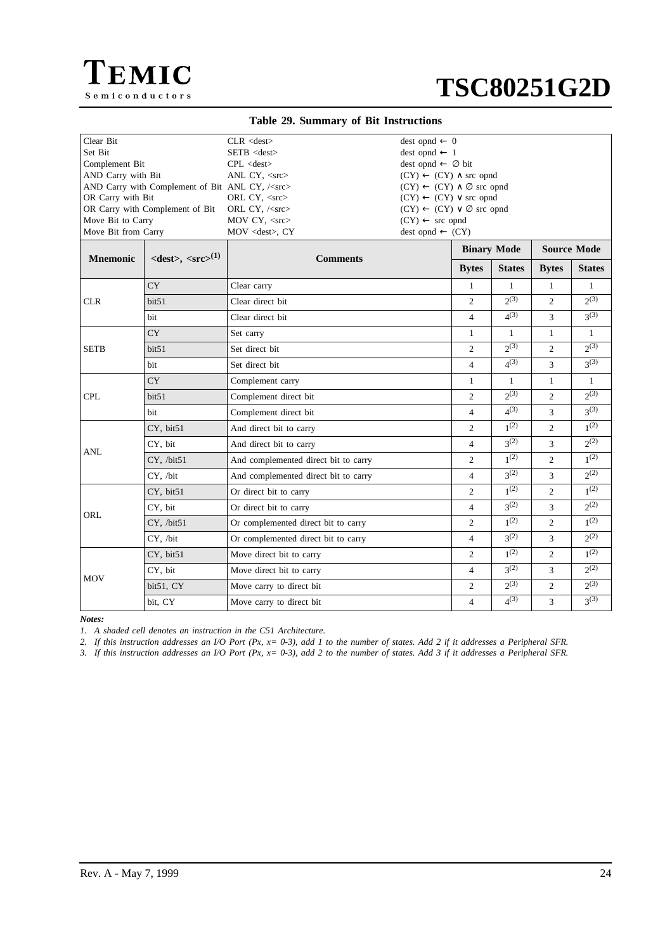<span id="page-23-0"></span>



### **Table 29. Summary of Bit Instructions**

| Clear Bit<br>Set Bit<br>Complement Bit<br>AND Carry with Bit<br>AND Carry with Complement of Bit ANL CY, / <src><br/>OR Carry with Bit<br/>OR Carry with Complement of Bit</src> |                                                      | $CLR <$ dest $>$<br>$dest opnd \leftarrow 0$<br>$SETB <$ dest $>$<br>$dest opnd \leftarrow 1$<br>dest opnd $\leftarrow \emptyset$ bit<br>$CPL <$ dest $>$<br>$(CY) \leftarrow (CY) \wedge$ src opnd<br>ANL CY, $<$ src $>$<br>$(CY) \leftarrow (CY) \vee$ src opnd<br>ORL CY, <src><br/>ORL CY, /<src><br/><math>(CY) \leftarrow (CY) \vee \emptyset</math> src opnd</src></src> |                                                           |                | $(CY) \leftarrow (CY) \wedge \emptyset$ src opnd |                |                    |  |  |
|----------------------------------------------------------------------------------------------------------------------------------------------------------------------------------|------------------------------------------------------|----------------------------------------------------------------------------------------------------------------------------------------------------------------------------------------------------------------------------------------------------------------------------------------------------------------------------------------------------------------------------------|-----------------------------------------------------------|----------------|--------------------------------------------------|----------------|--------------------|--|--|
| Move Bit to Carry<br>Move Bit from Carry                                                                                                                                         |                                                      | MOV CY, <src><br/>MOV <dest>, CY</dest></src>                                                                                                                                                                                                                                                                                                                                    | $(CY) \leftarrow$ src opnd<br>$dest opnd \leftarrow (CY)$ |                |                                                  |                |                    |  |  |
|                                                                                                                                                                                  |                                                      |                                                                                                                                                                                                                                                                                                                                                                                  |                                                           |                | <b>Binary Mode</b>                               |                | <b>Source Mode</b> |  |  |
| <b>Mnemonic</b>                                                                                                                                                                  | $\langle dest \rangle$ , $\langle src \rangle^{(1)}$ | <b>Comments</b>                                                                                                                                                                                                                                                                                                                                                                  |                                                           | <b>Bytes</b>   | <b>States</b>                                    | <b>Bytes</b>   | <b>States</b>      |  |  |
|                                                                                                                                                                                  | <b>CY</b>                                            | Clear carry                                                                                                                                                                                                                                                                                                                                                                      |                                                           | $\mathbf{1}$   | $\mathbf{1}$                                     | $\mathbf{1}$   | $\mathbf{1}$       |  |  |
| <b>CLR</b>                                                                                                                                                                       | bit51                                                | Clear direct bit                                                                                                                                                                                                                                                                                                                                                                 |                                                           | $\overline{2}$ | $2^{(3)}$                                        | $\overline{c}$ | $2^{(3)}$          |  |  |
|                                                                                                                                                                                  | <b>bit</b>                                           | Clear direct bit                                                                                                                                                                                                                                                                                                                                                                 |                                                           | $\overline{4}$ | $4^{(3)}$                                        | 3              | $3^{(3)}$          |  |  |
|                                                                                                                                                                                  | CY <sup>-</sup>                                      | Set carry                                                                                                                                                                                                                                                                                                                                                                        |                                                           | $\mathbf{1}$   | 1                                                | $\mathbf{1}$   | $\mathbf{1}$       |  |  |
| SETB                                                                                                                                                                             | bit51                                                | Set direct bit                                                                                                                                                                                                                                                                                                                                                                   |                                                           | $\overline{2}$ | $2^{(3)}$                                        | $\overline{c}$ | $2^{(3)}$          |  |  |
|                                                                                                                                                                                  | bit                                                  | Set direct bit                                                                                                                                                                                                                                                                                                                                                                   |                                                           | $\overline{4}$ | $4^{(3)}$                                        | 3              | $3^{(3)}$          |  |  |
|                                                                                                                                                                                  | <b>CY</b>                                            | Complement carry                                                                                                                                                                                                                                                                                                                                                                 | $\mathbf{1}$                                              | $\mathbf{1}$   | $\mathbf{1}$                                     | $\mathbf{1}$   |                    |  |  |
| <b>CPL</b>                                                                                                                                                                       | bit51                                                | Complement direct bit                                                                                                                                                                                                                                                                                                                                                            | $\overline{2}$                                            | 2(3)           | $\overline{c}$                                   | 2(3)           |                    |  |  |
|                                                                                                                                                                                  | bit                                                  | Complement direct bit                                                                                                                                                                                                                                                                                                                                                            | $\overline{4}$                                            | $4^{(3)}$      | 3                                                | $3^{(3)}$      |                    |  |  |
|                                                                                                                                                                                  | CY, bit51                                            | And direct bit to carry                                                                                                                                                                                                                                                                                                                                                          |                                                           | $\overline{2}$ | 1 <sup>(2)</sup>                                 | 2              | $1^{(2)}$          |  |  |
| <b>ANL</b>                                                                                                                                                                       | CY, bit                                              | And direct bit to carry                                                                                                                                                                                                                                                                                                                                                          |                                                           | $\overline{4}$ | $3^{(2)}$                                        | 3              | $2^{(2)}$          |  |  |
|                                                                                                                                                                                  | CY, /bit51                                           | And complemented direct bit to carry                                                                                                                                                                                                                                                                                                                                             |                                                           | $\overline{c}$ | 1 <sup>(2)</sup>                                 | $\overline{c}$ | 1 <sup>(2)</sup>   |  |  |
|                                                                                                                                                                                  | CY. /bit                                             | And complemented direct bit to carry                                                                                                                                                                                                                                                                                                                                             |                                                           | $\overline{4}$ | $3^{(2)}$                                        | 3              | $2^{(2)}$          |  |  |
|                                                                                                                                                                                  | CY, bit51                                            | Or direct bit to carry                                                                                                                                                                                                                                                                                                                                                           |                                                           | $\overline{c}$ | 1 <sup>(2)</sup>                                 | $\overline{c}$ | $1^{(2)}$          |  |  |
|                                                                                                                                                                                  | CY, bit                                              | Or direct bit to carry                                                                                                                                                                                                                                                                                                                                                           |                                                           | $\overline{4}$ | $3^{(2)}$                                        | 3              | $2^{(2)}$          |  |  |
| ORL                                                                                                                                                                              | CY, /bit51                                           | Or complemented direct bit to carry                                                                                                                                                                                                                                                                                                                                              |                                                           | $\overline{c}$ | $1^{(2)}$                                        | $\overline{c}$ | $1^{(2)}$          |  |  |
|                                                                                                                                                                                  | CY, /bit                                             | Or complemented direct bit to carry                                                                                                                                                                                                                                                                                                                                              |                                                           | $\overline{4}$ | $2^{(2)}$                                        | 3              | $2^{(2)}$          |  |  |
|                                                                                                                                                                                  | CY, bit51                                            | Move direct bit to carry                                                                                                                                                                                                                                                                                                                                                         |                                                           | $\overline{2}$ | 1 <sup>(2)</sup>                                 | $\overline{c}$ | $1^{(2)}$          |  |  |
|                                                                                                                                                                                  | CY, bit                                              | Move direct bit to carry                                                                                                                                                                                                                                                                                                                                                         |                                                           | $\overline{4}$ | 2 <sup>(2)</sup>                                 | 3              | $2^{(2)}$          |  |  |
| MOV                                                                                                                                                                              | bit51, CY                                            | Move carry to direct bit                                                                                                                                                                                                                                                                                                                                                         |                                                           | $\overline{c}$ | $2^{(3)}$                                        | 2              | $2^{(3)}$          |  |  |
|                                                                                                                                                                                  | bit. CY                                              | Move carry to direct bit                                                                                                                                                                                                                                                                                                                                                         |                                                           | $\overline{4}$ | $4^{(3)}$                                        | 3              | $3^{(3)}$          |  |  |

*Notes:*

*1. A shaded cell denotes an instruction in the C51 Architecture.*

*2. If this instruction addresses an I/O Port (Px, x= 0-3), add 1 to the number of states. Add 2 if it addresses a Peripheral SFR.*

*3. If this instruction addresses an I/O Port (Px, x= 0-3), add 2 to the number of states. Add 3 if it addresses a Peripheral SFR.*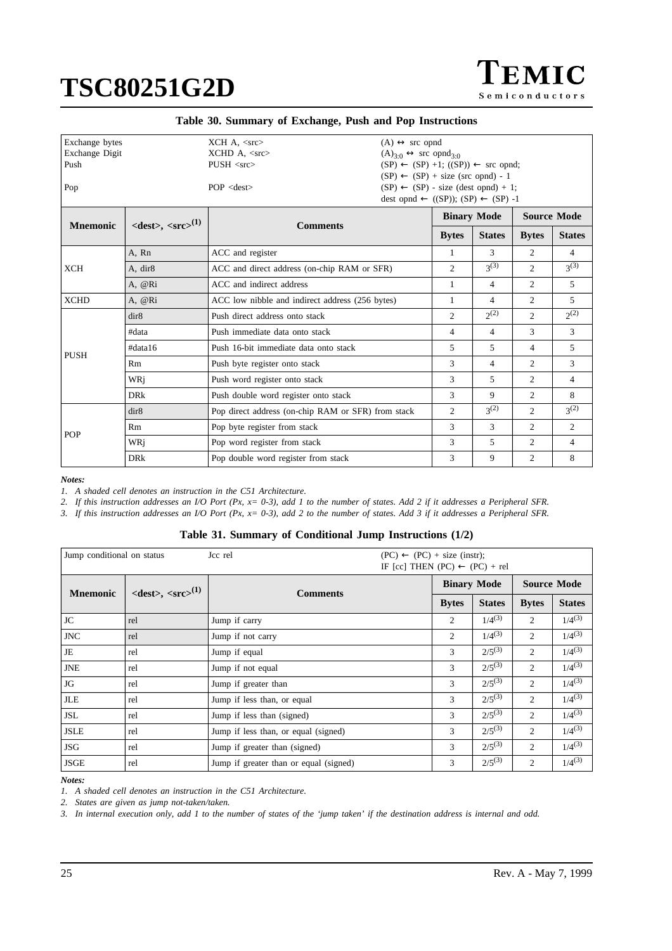$\Gamma$ EMIC Semiconductors

| Exchange bytes  |                                                      | $XCH A, \langle src \rangle$<br>$(A) \leftrightarrow$ src opnd |                                                          |                                                           |                    |                    |                |  |
|-----------------|------------------------------------------------------|----------------------------------------------------------------|----------------------------------------------------------|-----------------------------------------------------------|--------------------|--------------------|----------------|--|
| Exchange Digit  |                                                      | $XCHD A, <$ src>                                               | $(A)3.0 \leftrightarrow$ src opnd <sub>3.0</sub>         |                                                           |                    |                    |                |  |
| Push            |                                                      | $PUSH <$ src $>$                                               |                                                          | $(SP) \leftarrow (SP) +1$ ; $((SP)) \leftarrow$ src opnd; |                    |                    |                |  |
|                 |                                                      |                                                                | $(SP) \leftarrow (SP) + size (src opnd) - 1$             |                                                           |                    |                    |                |  |
| Pop             |                                                      | $POP <$ dest $>$                                               | $(SP) \leftarrow (SP)$ - size (dest opnd) + 1;           |                                                           |                    |                    |                |  |
|                 |                                                      |                                                                | dest opnd $\leftarrow$ ((SP)); (SP) $\leftarrow$ (SP) -1 |                                                           |                    |                    |                |  |
| <b>Mnemonic</b> | $\langle dest \rangle$ , $\langle src \rangle^{(1)}$ | <b>Comments</b>                                                |                                                          |                                                           | <b>Binary Mode</b> | <b>Source Mode</b> |                |  |
|                 |                                                      |                                                                |                                                          | <b>Bytes</b>                                              | <b>States</b>      | <b>Bytes</b>       | <b>States</b>  |  |
|                 | A, Rn                                                | ACC and register                                               |                                                          | 1                                                         | $\mathcal{R}$      | $\overline{2}$     | $\overline{4}$ |  |
| <b>XCH</b>      | A, dir8                                              |                                                                | ACC and direct address (on-chip RAM or SFR)              |                                                           |                    | $\overline{2}$     | $3^{(3)}$      |  |
|                 | A, @Ri                                               | ACC and indirect address                                       | 1                                                        | 4                                                         | 2                  | 5                  |                |  |
| <b>XCHD</b>     | A, @Ri                                               | ACC low nibble and indirect address (256 bytes)                |                                                          | 1                                                         | 4                  | 2                  | 5.             |  |
|                 | dir8                                                 | Push direct address onto stack                                 |                                                          | $\overline{2}$                                            | $2^{(2)}$          | 2                  | $2^{(2)}$      |  |
|                 | #data                                                | Push immediate data onto stack                                 |                                                          | $\overline{4}$                                            | $\overline{4}$     | 3                  | 3              |  |
| <b>PUSH</b>     | #data16                                              | Push 16-bit immediate data onto stack                          |                                                          | 5                                                         | 5                  | 4                  | 5              |  |
|                 | Rm                                                   | Push byte register onto stack                                  |                                                          | 3                                                         | $\overline{4}$     | 2                  | 3              |  |
|                 | WRi                                                  | Push word register onto stack                                  |                                                          | 3                                                         | 5                  | 2                  | 4              |  |
|                 | <b>DRk</b>                                           | Push double word register onto stack                           |                                                          | 3                                                         | 9                  | $\overline{2}$     | 8              |  |
|                 | dir8                                                 | Pop direct address (on-chip RAM or SFR) from stack             |                                                          | 2                                                         | $3^{(2)}$          | 2                  | $3^{(2)}$      |  |
| POP             | Rm                                                   | Pop byte register from stack                                   |                                                          | 3                                                         | 3                  | 2                  | $\overline{2}$ |  |
|                 | WRi                                                  | Pop word register from stack                                   |                                                          | 3                                                         | 5                  | $\overline{c}$     | 4              |  |
|                 | <b>DR</b> k                                          | Pop double word register from stack                            |                                                          | 3                                                         | 9                  | $\overline{c}$     | 8              |  |

*Notes:*

*1. A shaded cell denotes an instruction in the C51 Architecture.*

*2. If this instruction addresses an I/O Port (Px, x= 0-3), add 1 to the number of states. Add 2 if it addresses a Peripheral SFR.*

*3. If this instruction addresses an I/O Port (Px, x= 0-3), add 2 to the number of states. Add 3 if it addresses a Peripheral SFR.*

|  |  |  |  |  |  | Table 31. Summary of Conditional Jump Instructions (1/2) |  |  |  |
|--|--|--|--|--|--|----------------------------------------------------------|--|--|--|
|--|--|--|--|--|--|----------------------------------------------------------|--|--|--|

| Jump conditional on status |                                                      | Jcc rel<br>$(PC) \leftarrow (PC) + size (instr);$<br>IF [cc] THEN (PC) $\leftarrow$ (PC) + rel |              |                    |                    |               |  |
|----------------------------|------------------------------------------------------|------------------------------------------------------------------------------------------------|--------------|--------------------|--------------------|---------------|--|
|                            | $\langle dest \rangle$ , $\langle src \rangle^{(1)}$ | <b>Comments</b>                                                                                |              | <b>Binary Mode</b> | <b>Source Mode</b> |               |  |
| <b>Mnemonic</b>            |                                                      |                                                                                                | <b>Bytes</b> | <b>States</b>      | <b>Bytes</b>       | <b>States</b> |  |
| JC                         | rel                                                  | Jump if carry                                                                                  | 2            | $1/4^{(3)}$        | 2                  | $1/4^{(3)}$   |  |
| <b>JNC</b>                 | rel                                                  | Jump if not carry                                                                              | 2            | $1/4^{(3)}$        | $\overline{2}$     | $1/4^{(3)}$   |  |
| JE                         | rel                                                  | Jump if equal                                                                                  | 3            | $2/5^{(3)}$        | 2                  | $1/4^{(3)}$   |  |
| <b>JNE</b>                 | rel                                                  | Jump if not equal                                                                              | 3            | $2/5^{(3)}$        | 2                  | $1/4^{(3)}$   |  |
| JG                         | rel                                                  | Jump if greater than                                                                           | 3            | $2/5^{(3)}$        | $\overline{2}$     | $1/4^{(3)}$   |  |
| <b>JLE</b>                 | rel                                                  | Jump if less than, or equal                                                                    | 3            | $2/5^{(3)}$        | 2                  | $1/4^{(3)}$   |  |
| JSL                        | rel                                                  | Jump if less than (signed)                                                                     | 3            | $2/5^{(3)}$        | $\overline{2}$     | $1/4^{(3)}$   |  |
| <b>JSLE</b>                | rel                                                  | Jump if less than, or equal (signed)                                                           | 3            | $2/5^{(3)}$        | $\overline{2}$     | $1/4^{(3)}$   |  |
| JSG                        | rel                                                  | Jump if greater than (signed)                                                                  | 3            | $2/5^{(3)}$        | 2                  | $1/4^{(3)}$   |  |
| <b>JSGE</b>                | rel                                                  | Jump if greater than or equal (signed)                                                         | 3            | $2/5^{(3)}$        | $\overline{2}$     | $1/4^{(3)}$   |  |

*Notes:*

*1. A shaded cell denotes an instruction in the C51 Architecture.*

*2. States are given as jump not-taken/taken.*

*3. In internal execution only, add 1 to the number of states of the 'jump taken' if the destination address is internal and odd.*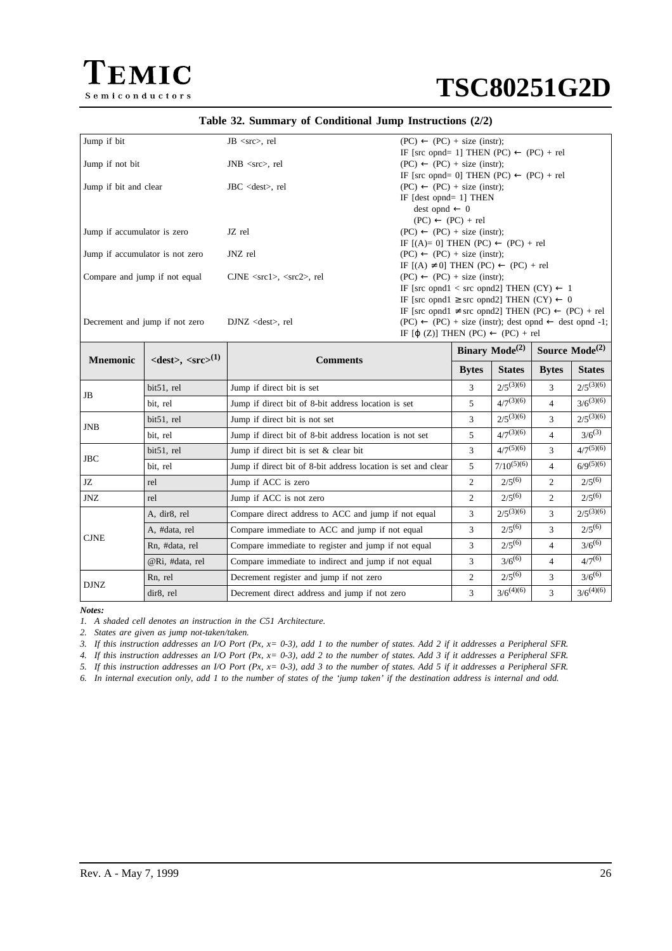

|  |  |  |  |  |  | Table 32. Summary of Conditional Jump Instructions (2/2) |  |  |
|--|--|--|--|--|--|----------------------------------------------------------|--|--|
|--|--|--|--|--|--|----------------------------------------------------------|--|--|

| Jump if bit                     | $JB \ll r$ , rel                 | $(PC) \leftarrow (PC) + size (instr);$                                     |
|---------------------------------|----------------------------------|----------------------------------------------------------------------------|
|                                 |                                  | IF [src opnd= 1] THEN (PC) $\leftarrow$ (PC) + rel                         |
| Jump if not bit                 | $JNB \ll src$ , rel              | $(PC) \leftarrow (PC) + size (instr);$                                     |
|                                 |                                  | IF [src opnd= 0] THEN (PC) $\leftarrow$ (PC) + rel                         |
| Jump if bit and clear           | $JBC <$ dest $>$ , rel           | $(PC) \leftarrow (PC) + size (instr);$                                     |
|                                 |                                  | IF $[dest opnd=1]$ THEN                                                    |
|                                 |                                  | $dest opnd \leftarrow 0$                                                   |
|                                 |                                  | $(PC) \leftarrow (PC) + rel$                                               |
| Jump if accumulator is zero     | JZ rel                           | $(PC) \leftarrow (PC) + size (instr);$                                     |
|                                 |                                  | IF $[(A)=0]$ THEN $(PC) \leftarrow (PC) + rel$                             |
| Jump if accumulator is not zero | JNZ rel                          | $(PC) \leftarrow (PC) + size (instr);$                                     |
|                                 |                                  | IF $[(A) \neq 0]$ THEN $(PC) \leftarrow (PC) + rel$                        |
| Compare and jump if not equal   | $CJNE \ll rcl$ , $\ll rcl$ , rel | $(PC) \leftarrow (PC) + size (instr);$                                     |
|                                 |                                  | IF [src opnd1 < src opnd2] THEN $(CY) \leftarrow 1$                        |
|                                 |                                  | IF [src opnd1 $\geq$ src opnd2] THEN (CY) $\leftarrow$ 0                   |
|                                 |                                  | IF [src opnd1 $\neq$ src opnd2] THEN (PC) $\leftarrow$ (PC) + rel          |
| Decrement and jump if not zero  | $DJNZ <$ dest $>$ , rel          | $(PC) \leftarrow (PC) + size (instr); dest opnd \leftarrow dest opnd - 1;$ |
|                                 |                                  | IF [ $\phi$ (Z)] THEN (PC) $\leftarrow$ (PC) + rel                         |
|                                 |                                  |                                                                            |

| <b>Mnemonic</b> | $\langle dest \rangle$ , $\langle src \rangle^{(1)}$ | <b>Comments</b>                                               |                | <b>Binary Mode</b> $^{(2)}$ | Source $Mode(2)$ |                |
|-----------------|------------------------------------------------------|---------------------------------------------------------------|----------------|-----------------------------|------------------|----------------|
|                 |                                                      |                                                               | <b>Bytes</b>   | <b>States</b>               | <b>Bytes</b>     | <b>States</b>  |
| <b>JB</b>       | bit51, rel                                           | Jump if direct bit is set                                     | 3              | $2/5^{(3)(6)}$              | 3                | $2/5^{(3)(6)}$ |
|                 | bit, rel                                             | Jump if direct bit of 8-bit address location is set           | 5              | $4/7^{(3)(6)}$              | 4                | $3/6^{(3)(6)}$ |
| <b>JNB</b>      | bit51, rel                                           | Jump if direct bit is not set                                 | 3              | $2/5^{(3)(6)}$              | 3                | $2/5^{(3)(6)}$ |
|                 | bit, rel                                             | Jump if direct bit of 8-bit address location is not set       | 5              | $4/7^{(3)(6)}$              | 4                | $3/6^{(3)}$    |
| <b>JBC</b>      | bit51, rel                                           | Jump if direct bit is set & clear bit                         |                | $4/7^{(5)(6)}$              | 3                | $4/7^{(5)(6)}$ |
|                 | bit, rel                                             | Jump if direct bit of 8-bit address location is set and clear | 5              | $7/10^{(5)(6)}$             | 4                | $6/9^{(5)(6)}$ |
| JZ              | rel                                                  | Jump if ACC is zero                                           | $\overline{2}$ | $2/5^{(6)}$                 | $\overline{c}$   | $2/5^{(6)}$    |
| JNZ             | rel                                                  | Jump if ACC is not zero                                       | 2              | $2/5^{(6)}$                 | $\overline{c}$   | $2/5^{(6)}$    |
|                 | A, dir8, rel                                         | Compare direct address to ACC and jump if not equal           | 3              | $2/5^{(3)(6)}$              | 3                | $2/5^{(3)(6)}$ |
| <b>CJNE</b>     | A, #data, rel                                        | Compare immediate to ACC and jump if not equal                | 3              | $2/5^{(6)}$                 | 3                | $2/5^{(6)}$    |
|                 | Rn, #data, rel                                       | Compare immediate to register and jump if not equal           | 3              | $2/5^{(6)}$                 | 4                | $3/6^{(6)}$    |
|                 | @Ri, #data, rel                                      | Compare immediate to indirect and jump if not equal           | 3              | $3/6^{(6)}$                 | 4                | $4/7^{(6)}$    |
| <b>DJNZ</b>     | Rn, rel                                              | Decrement register and jump if not zero                       | 2              | $2/5^{(6)}$                 | 3                | $3/6^{(6)}$    |
|                 | dir8, rel                                            | Decrement direct address and jump if not zero                 | 3              | $3/6^{(4)(6)}$              | 3                | $3/6^{(4)(6)}$ |

*Notes:*

*1. A shaded cell denotes an instruction in the C51 Architecture.*

*2. States are given as jump not-taken/taken.*

*3. If this instruction addresses an I/O Port (Px, x= 0-3), add 1 to the number of states. Add 2 if it addresses a Peripheral SFR.*

*4. If this instruction addresses an I/O Port (Px, x= 0-3), add 2 to the number of states. Add 3 if it addresses a Peripheral SFR.*

*5. If this instruction addresses an I/O Port (Px, x= 0-3), add 3 to the number of states. Add 5 if it addresses a Peripheral SFR.*

*6. In internal execution only, add 1 to the number of states of the 'jump taken' if the destination address is internal and odd.*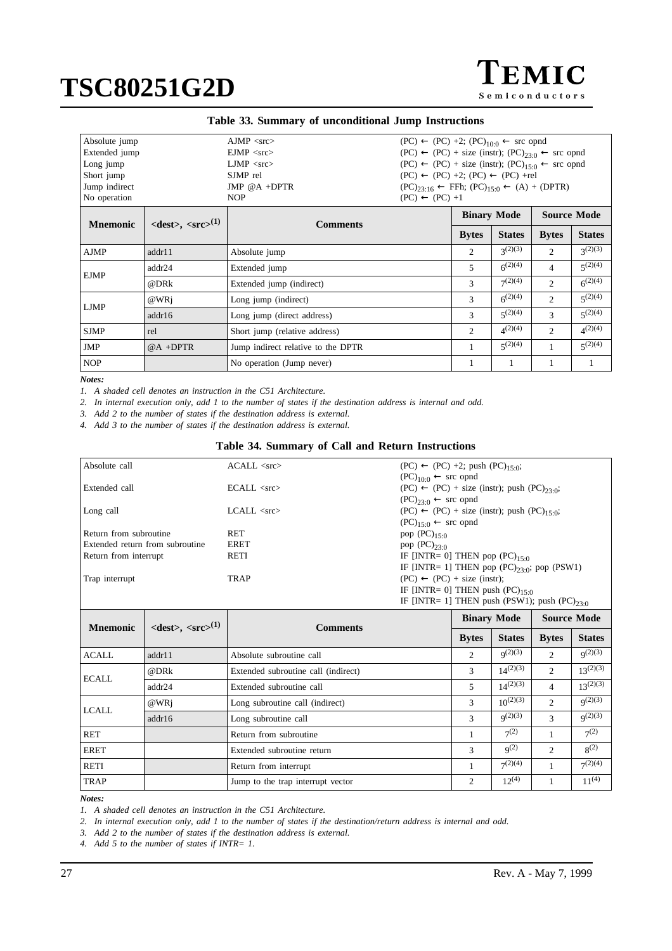| <b>TEMIC</b>   |
|----------------|
| Semiconductors |

<span id="page-26-0"></span>

| Absolute jump<br>Extended jump<br>Long jump<br>Short jump<br>Jump indirect<br>No operation |                                                      | $A$ JMP $\langle$ src $\rangle$<br>$EJMP <$ src $>$<br>$LJMP <$ src $>$<br>SJMP rel<br>JMP $@A + DPTR$<br><b>NOP</b> | $(PC) \leftarrow (PC) +2$ ; $(PC)_{10 \cdot 0} \leftarrow$ src opnd<br>$(PC) \leftarrow (PC) + size (instr); (PC)_{23.0} \leftarrow src opnd$<br>$(PC) \leftarrow (PC) + size (instr); (PC)15-0 \leftarrow src opnd$<br>$(PC) \leftarrow (PC) +2$ ; $(PC) \leftarrow (PC) + rel$<br>$(PC)_{23:16} \leftarrow$ FFh; $(PC)_{15:0} \leftarrow (A) + (DPTR)$<br>$(PC) \leftarrow (PC) +1$ |                    |                  |                    |                  |
|--------------------------------------------------------------------------------------------|------------------------------------------------------|----------------------------------------------------------------------------------------------------------------------|---------------------------------------------------------------------------------------------------------------------------------------------------------------------------------------------------------------------------------------------------------------------------------------------------------------------------------------------------------------------------------------|--------------------|------------------|--------------------|------------------|
| <b>Mnemonic</b>                                                                            | $\langle dest \rangle$ , $\langle src \rangle^{(1)}$ | <b>Comments</b>                                                                                                      |                                                                                                                                                                                                                                                                                                                                                                                       | <b>Binary Mode</b> |                  | <b>Source Mode</b> |                  |
|                                                                                            |                                                      |                                                                                                                      |                                                                                                                                                                                                                                                                                                                                                                                       | <b>Bytes</b>       | <b>States</b>    | <b>Bytes</b>       | <b>States</b>    |
| <b>AJMP</b>                                                                                | addr11                                               | Absolute jump                                                                                                        |                                                                                                                                                                                                                                                                                                                                                                                       | 2                  | $3^{(2)(3)}$     | 2                  | $3^{(2)(3)}$     |
| addr24                                                                                     |                                                      | Extended jump                                                                                                        |                                                                                                                                                                                                                                                                                                                                                                                       | 5                  | $6^{(2)(4)}$     | 4                  | $5^{(2)(4)}$     |
| <b>EJMP</b>                                                                                | @DRk                                                 | Extended jump (indirect)                                                                                             |                                                                                                                                                                                                                                                                                                                                                                                       | 3                  | $7^{(2)(4)}$     | 2                  | $6^{(2)(4)}$     |
| $@$ WRj<br>Long jump (indirect)                                                            |                                                      |                                                                                                                      | 3                                                                                                                                                                                                                                                                                                                                                                                     | $6^{(2)(4)}$       | 2                | $\zeta^{(2)(4)}$   |                  |
| LJMP                                                                                       | addr16                                               | Long jump (direct address)                                                                                           |                                                                                                                                                                                                                                                                                                                                                                                       | 3                  | $\zeta^{(2)(4)}$ | 3                  | $\zeta^{(2)(4)}$ |
| <b>SJMP</b>                                                                                | rel                                                  | Short jump (relative address)                                                                                        | 2                                                                                                                                                                                                                                                                                                                                                                                     | $\Delta^{(2)(4)}$  | 2                | $\Delta^{(2)(4)}$  |                  |
| <b>JMP</b>                                                                                 | $@A + DPTR$                                          | Jump indirect relative to the DPTR                                                                                   |                                                                                                                                                                                                                                                                                                                                                                                       | $\zeta^{(2)(4)}$   | 1                | $5^{(2)(4)}$       |                  |
| <b>NOP</b>                                                                                 |                                                      | No operation (Jump never)                                                                                            |                                                                                                                                                                                                                                                                                                                                                                                       |                    |                  |                    |                  |

#### *Notes:*

*1. A shaded cell denotes an instruction in the C51 Architecture.*

*2. In internal execution only, add 1 to the number of states if the destination address is internal and odd.*

*3. Add 2 to the number of states if the destination address is external.*

*4. Add 3 to the number of states if the destination address is external.*

### **Table 34. Summary of Call and Return Instructions**

| Absolute call                   | $\triangle$ ACALL <src></src> | $(PC) \leftarrow (PC) +2$ ; push $(PC)_{15:0}$ ;         |
|---------------------------------|-------------------------------|----------------------------------------------------------|
|                                 |                               | $(PC)_{10:0} \leftarrow$ src opnd                        |
| Extended call                   | $ECALL <$ src $>$             | $(PC) \leftarrow (PC) + size (instr); push (PC)_{23.0};$ |
|                                 |                               | $(PC)_{23:0} \leftarrow$ src opnd                        |
| Long call                       | $LCALL <$ src $>$             | $(PC) \leftarrow (PC) + size (instr); push (PC)15:0;$    |
|                                 |                               | $(PC)_{15:0} \leftarrow$ src opnd                        |
| Return from subroutine          | <b>RET</b>                    | pop $(PC)_{15:0}$                                        |
| Extended return from subroutine | <b>ERET</b>                   | pop $(PC)_{23 \cdot 0}$                                  |
| Return from interrupt           | RETI                          | IF [INTR= 0] THEN pop $(PC)_{15,0}$                      |
|                                 |                               | IF [INTR= 1] THEN pop $(PC)_{23.0}$ ; pop $(PSW1)$       |
| Trap interrupt                  | TRAP                          | $(PC) \leftarrow (PC) + size (instr);$                   |
|                                 |                               | IF [INTR= 0] THEN push $(PC)_{15:0}$                     |
|                                 |                               | IF [INTR= 1] THEN push (PSW1); push (PC) $_{23.0}$       |

| <b>Mnemonic</b> | $\langle dest \rangle, \langle src \rangle^{(1)}$ | <b>Comments</b>                     |              | <b>Binary Mode</b> | <b>Source Mode</b>          |               |  |  |
|-----------------|---------------------------------------------------|-------------------------------------|--------------|--------------------|-----------------------------|---------------|--|--|
|                 |                                                   |                                     | <b>Bytes</b> | <b>States</b>      | <b>Bytes</b>                | <b>States</b> |  |  |
| <b>ACALL</b>    | addr11                                            | Absolute subroutine call            | 2            | $q^{(2)(3)}$       | $\mathcal{D}_{\mathcal{L}}$ | $q^{(2)(3)}$  |  |  |
| @DRk            |                                                   | Extended subroutine call (indirect) | 3            | $14^{(2)(3)}$      | 2                           | $13^{(2)(3)}$ |  |  |
| <b>ECALL</b>    | addr24                                            | Extended subroutine call            | 5.           | $14^{(2)(3)}$      | 4                           | $13^{(2)(3)}$ |  |  |
| LCALL           | $@WR$ i                                           | Long subroutine call (indirect)     | 3            | $10^{(2)(3)}$      | $\overline{2}$              | $q^{(2)(3)}$  |  |  |
|                 | addr16                                            | Long subroutine call                | 3            | q(2)(3)            | 3                           | q(2)(3)       |  |  |
| <b>RET</b>      |                                                   | Return from subroutine              |              | $7^{(2)}$          |                             | $7^{(2)}$     |  |  |
| ERET            |                                                   | Extended subroutine return          | 3            | $q^{(2)}$          | $\mathfrak{D}$              | $8^{(2)}$     |  |  |
| <b>RETI</b>     |                                                   | Return from interrupt               |              | $7^{(2)(4)}$       |                             | $7^{(2)(4)}$  |  |  |
| <b>TRAP</b>     |                                                   | Jump to the trap interrupt vector   | 2            | $12^{(4)}$         |                             | $11^{(4)}$    |  |  |

#### *Notes:*

*1. A shaded cell denotes an instruction in the C51 Architecture.*

*2. In internal execution only, add 1 to the number of states if the destination/return address is internal and odd.*

*3. Add 2 to the number of states if the destination address is external.*

*4. Add 5 to the number of states if INTR= 1.*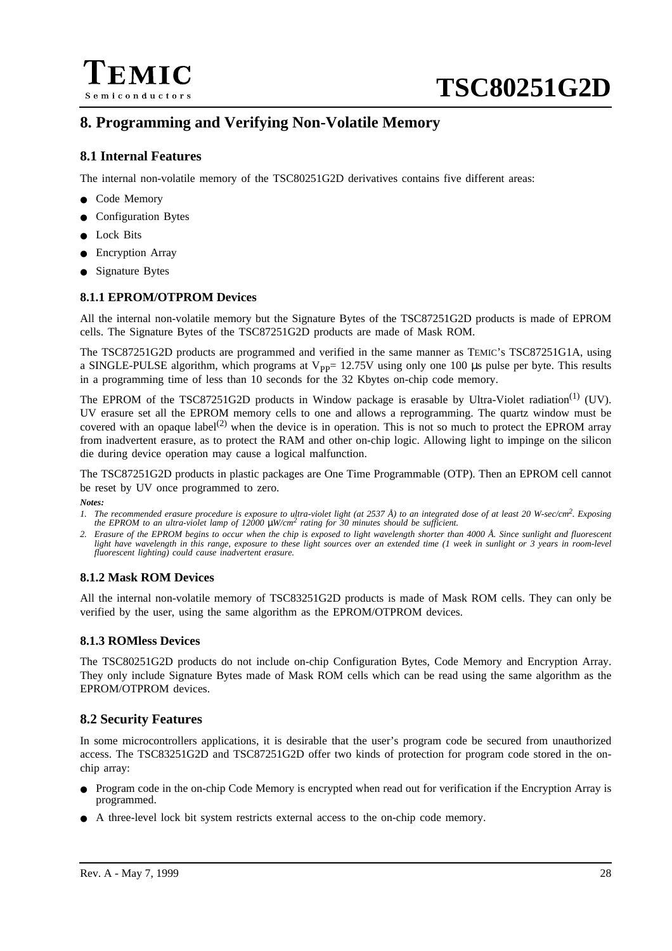

# **8. Programming and Verifying Non-Volatile Memory**

# **8.1 Internal Features**

The internal non-volatile memory of the TSC80251G2D derivatives contains five different areas:

- Code Memory
- Configuration Bytes
- Lock Bits
- **Encryption Array**
- **Signature Bytes**

# **8.1.1 EPROM/OTPROM Devices**

All the internal non-volatile memory but the Signature Bytes of the TSC87251G2D products is made of EPROM cells. The Signature Bytes of the TSC87251G2D products are made of Mask ROM.

The TSC87251G2D products are programmed and verified in the same manner as TEMIC's TSC87251G1A, using a SINGLE-PULSE algorithm, which programs at  $V_{\text{PP}}$  = 12.75V using only one 100 µs pulse per byte. This results in a programming time of less than 10 seconds for the 32 Kbytes on-chip code memory.

The EPROM of the TSC87251G2D products in Window package is erasable by Ultra-Violet radiation<sup>(1)</sup> (UV). UV erasure set all the EPROM memory cells to one and allows a reprogramming. The quartz window must be covered with an opaque label<sup>(2)</sup> when the device is in operation. This is not so much to protect the EPROM array from inadvertent erasure, as to protect the RAM and other on-chip logic. Allowing light to impinge on the silicon die during device operation may cause a logical malfunction.

The TSC87251G2D products in plastic packages are One Time Programmable (OTP). Then an EPROM cell cannot be reset by UV once programmed to zero.

*Notes:*

- 1. The recommended erasure procedure is exposure to ultra-violet light (at 2537 Å) to an integrated dose of at least 20 W-sec/cm<sup>2</sup>. Exposing the EPROM to an ultra-violet lamp of 12000  $\mu$ W/cm<sup>2</sup> rating for 30 minutes sh
- *2. Erasure of the EPROM begins to occur when the chip is exposed to light wavelength shorter than 4000 Å. Since sunlight and fluorescent light have wavelength in this range, exposure to these light sources over an extended time (1 week in sunlight or 3 years in room-level fluorescent lighting) could cause inadvertent erasure.*

# **8.1.2 Mask ROM Devices**

All the internal non-volatile memory of TSC83251G2D products is made of Mask ROM cells. They can only be verified by the user, using the same algorithm as the EPROM/OTPROM devices.

# **8.1.3 ROMless Devices**

The TSC80251G2D products do not include on-chip Configuration Bytes, Code Memory and Encryption Array. They only include Signature Bytes made of Mask ROM cells which can be read using the same algorithm as the EPROM/OTPROM devices.

# **8.2 Security Features**

In some microcontrollers applications, it is desirable that the user's program code be secured from unauthorized access. The TSC83251G2D and TSC87251G2D offer two kinds of protection for program code stored in the onchip array:

- Program code in the on-chip Code Memory is encrypted when read out for verification if the Encryption Array is programmed.
- A three-level lock bit system restricts external access to the on-chip code memory.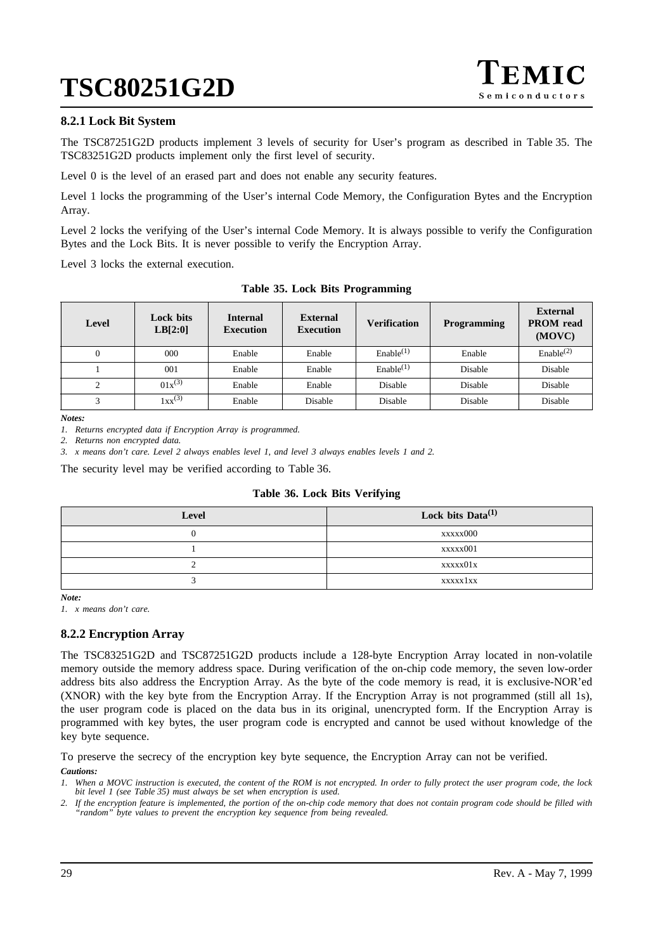

## **8.2.1 Lock Bit System**

The TSC87251G2D products implement 3 levels of security for User's program as described in Table 35. The TSC83251G2D products implement only the first level of security.

Level 0 is the level of an erased part and does not enable any security features.

Level 1 locks the programming of the User's internal Code Memory, the Configuration Bytes and the Encryption Array.

Level 2 locks the verifying of the User's internal Code Memory. It is always possible to verify the Configuration Bytes and the Lock Bits. It is never possible to verify the Encryption Array.

Level 3 locks the external execution.

| Level          | <b>Lock bits</b><br>LB[2:0] | <b>Internal</b><br><b>Execution</b> | <b>External</b><br><b>Execution</b> | <b>Verification</b>   | <b>Programming</b> | <b>External</b><br><b>PROM</b> read<br>(MOVC) |
|----------------|-----------------------------|-------------------------------------|-------------------------------------|-----------------------|--------------------|-----------------------------------------------|
| $\overline{0}$ | 000                         | Enable                              | Enable                              | Enable <sup>(1)</sup> | Enable             | Enable <sup>(2)</sup>                         |
|                | 001                         | Enable                              | Enable                              | Enable <sup>(1)</sup> | Disable            | Disable                                       |
| ◠              | $01x^{(3)}$                 | Enable                              | Enable                              | Disable               | Disable            | Disable                                       |
| ⌒              | $1xx^{(3)}$                 | Enable                              | Disable                             | Disable               | Disable            | Disable                                       |

**Table 35. Lock Bits Programming**

*Notes:*

*1. Returns encrypted data if Encryption Array is programmed.*

*2. Returns non encrypted data.*

*3. x means don't care. Level 2 always enables level 1, and level 3 always enables levels 1 and 2.*

The security level may be verified according to Table 36.

### **Table 36. Lock Bits Verifying**

| Level | Lock bits Data $^{(1)}$ |
|-------|-------------------------|
|       | xxxxx000                |
|       | xxxxx001                |
|       | xxxxx01x                |
|       | xxxxx1xx                |

*Note:*

*1. x means don't care.*

# **8.2.2 Encryption Array**

The TSC83251G2D and TSC87251G2D products include a 128-byte Encryption Array located in non-volatile memory outside the memory address space. During verification of the on-chip code memory, the seven low-order address bits also address the Encryption Array. As the byte of the code memory is read, it is exclusive-NOR'ed (XNOR) with the key byte from the Encryption Array. If the Encryption Array is not programmed (still all 1s), the user program code is placed on the data bus in its original, unencrypted form. If the Encryption Array is programmed with key bytes, the user program code is encrypted and cannot be used without knowledge of the key byte sequence.

To preserve the secrecy of the encryption key byte sequence, the Encryption Array can not be verified.

*Cautions:*

*1. When a MOVC instruction is executed, the content of the ROM is not encrypted. In order to fully protect the user program code, the lock bit level 1 (see Table 35) must always be set when encryption is used.*

*2. If the encryption feature is implemented, the portion of the on-chip code memory that does not contain program code should be filled with "random" byte values to prevent the encryption key sequence from being revealed.*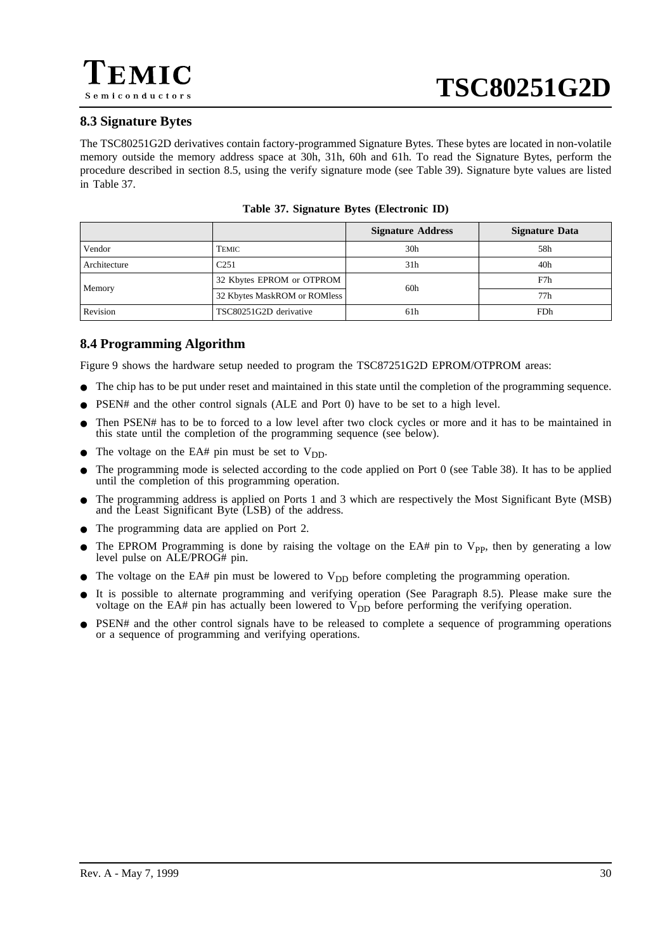# <span id="page-29-0"></span>**8.3 Signature Bytes**

The TSC80251G2D derivatives contain factory-programmed Signature Bytes. These bytes are located in non-volatile memory outside the memory address space at 30h, 31h, 60h and 61h. To read the Signature Bytes, perform the procedure described in section [8.5](#page-30-0), using the verify signature mode (see [Table 39](#page-31-0)). Signature byte values are listed in Table 37.

|              |                              | <b>Signature Address</b> | <b>Signature Data</b> |
|--------------|------------------------------|--------------------------|-----------------------|
| Vendor       | TEMIC                        | 30 <sub>h</sub>          | 58h                   |
| Architecture | C <sub>251</sub>             | 31h                      | 40 <sub>h</sub>       |
|              | 32 Kbytes EPROM or OTPROM    | 60h                      | F7h                   |
| Memory       | 32 Kbytes MaskROM or ROMless |                          | 77h                   |
| Revision     | TSC80251G2D derivative       | 61h                      | FDh                   |

**Table 37. Signature Bytes (Electronic ID)**

# **8.4 Programming Algorithm**

[Figure 9](#page-30-0) shows the hardware setup needed to program the TSC87251G2D EPROM/OTPROM areas:

- The chip has to be put under reset and maintained in this state until the completion of the programming sequence.
- PSEN# and the other control signals (ALE and Port 0) have to be set to a high level.
- Then PSEN# has to be to forced to a low level after two clock cycles or more and it has to be maintained in this state until the completion of the programming sequence (see below).
- The voltage on the EA# pin must be set to  $V_{DD}$ .
- The programming mode is selected according to the code applied on Port 0 (see [Table 38](#page-30-0)). It has to be applied until the completion of this programming operation.
- The programming address is applied on Ports 1 and 3 which are respectively the Most Significant Byte (MSB) and the Least Significant Byte (LSB) of the address.
- The programming data are applied on Port 2.
- The EPROM Programming is done by raising the voltage on the EA# pin to  $V_{\text{PP}}$ , then by generating a low level pulse on ALE/PROG# pin.
- $\bullet$  The voltage on the EA# pin must be lowered to  $V_{DD}$  before completing the programming operation.
- It is possible to alternate programming and verifying operation (See Paragraph [8.5\)](#page-30-0). Please make sure the voltage on the EA# pin has actually been lowered to  $V_{DD}$  before performing the verifying operation.
- PSEN# and the other control signals have to be released to complete a sequence of programming operations or a sequence of programming and verifying operations.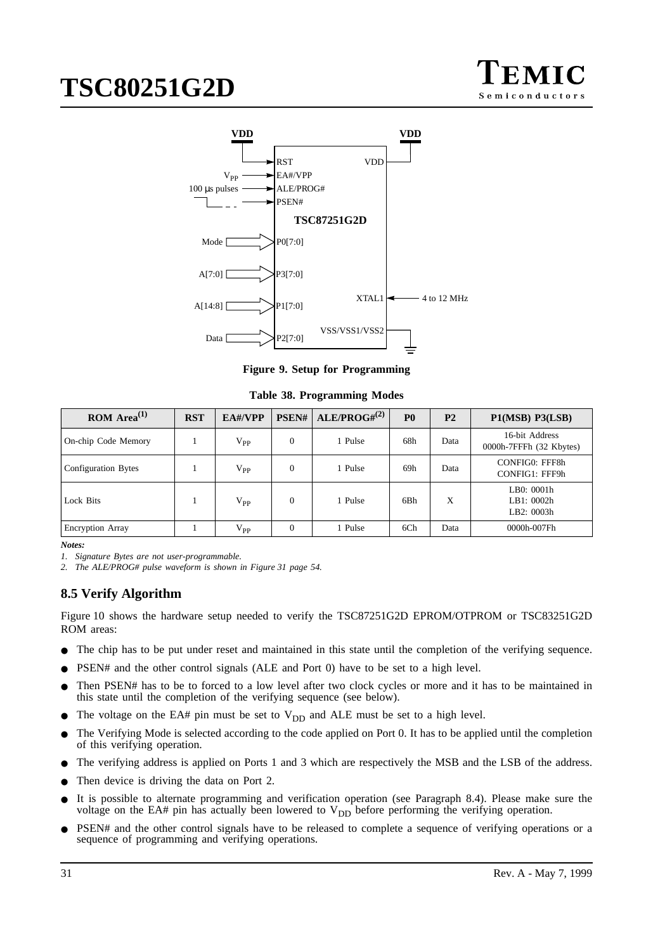

<span id="page-30-0"></span>

**Figure 9. Setup for Programming**

**Table 38. Programming Modes**

| ROM Area <sup>(1)</sup> | <b>RST</b> | EA#/VPP      | PSEN#            | ALE/PROG# <sup>(2)</sup> | P <sub>0</sub> | P <sub>2</sub> | P1(MSB) P3(LSB)                           |
|-------------------------|------------|--------------|------------------|--------------------------|----------------|----------------|-------------------------------------------|
| On-chip Code Memory     |            | $\rm V_{PP}$ | $\theta$         | 1 Pulse                  | 68h            | Data           | 16-bit Address<br>0000h-7FFFh (32 Kbytes) |
| Configuration Bytes     |            | $\rm V_{PP}$ | $\overline{0}$   | 1 Pulse                  | 69h            | Data           | CONFIG0: FFF8h<br>CONFIG1: FFF9h          |
| Lock Bits               |            | $\rm V_{PP}$ | $\boldsymbol{0}$ | 1 Pulse                  | 6Bh            | X              | LB0: 0001h<br>LB1: 0002h<br>LB2: 0003h    |
| <b>Encryption Array</b> |            | $\rm V_{PP}$ | $\theta$         | 1 Pulse                  | 6Ch            | Data           | 0000h-007Fh                               |

*Notes:*

*1. Signature Bytes are not user-programmable.*

*2. The ALE/PROG# pulse waveform is shown in [Figure 31 page 54.](#page-53-0)*

# **8.5 Verify Algorithm**

[Figure 10](#page-31-0) shows the hardware setup needed to verify the TSC87251G2D EPROM/OTPROM or TSC83251G2D ROM areas:

- The chip has to be put under reset and maintained in this state until the completion of the verifying sequence.
- $PSEN#$  and the other control signals (ALE and Port 0) have to be set to a high level.
- Then PSEN# has to be to forced to a low level after two clock cycles or more and it has to be maintained in this state until the completion of the verifying sequence (see below).
- The voltage on the EA# pin must be set to  $V_{DD}$  and ALE must be set to a high level.
- The Verifying Mode is selected according to the code applied on Port 0. It has to be applied until the completion of this verifying operation.
- The verifying address is applied on Ports 1 and 3 which are respectively the MSB and the LSB of the address.
- Then device is driving the data on Port 2.
- It is possible to alternate programming and verification operation (see Paragraph [8.4\)](#page-29-0). Please make sure the voltage on the EA# pin has actually been lowered to  $V_{DD}$  before performing the verifying operation.
- PSEN# and the other control signals have to be released to complete a sequence of verifying operations or a sequence of programming and verifying operations.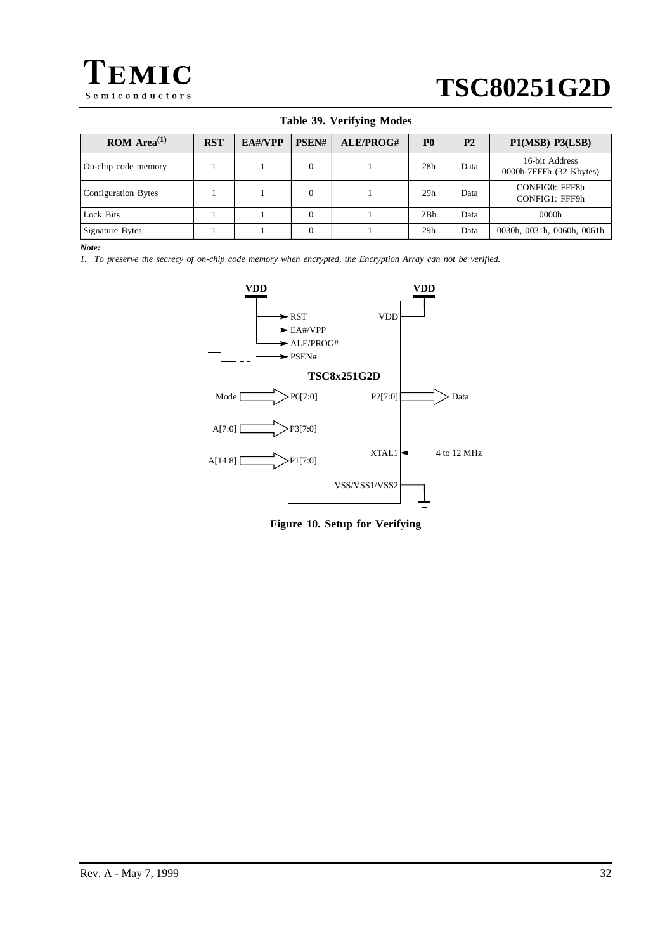<span id="page-31-0"></span>

| ROM Area <sup>(1)</sup> | <b>RST</b> | $EA\#/\mathbf{VPP}$ | PSEN#        | ALE/PROG# | P <sub>0</sub>  | P <sub>2</sub> | P1(MSB) P3(LSB)                           |
|-------------------------|------------|---------------------|--------------|-----------|-----------------|----------------|-------------------------------------------|
| On-chip code memory     |            |                     | $\mathbf{0}$ |           | 28 <sub>h</sub> | Data           | 16-bit Address<br>0000h-7FFFh (32 Kbytes) |
| Configuration Bytes     |            |                     | $\Omega$     |           | 29 <sub>h</sub> | Data           | CONFIG0: FFF8h<br>CONFIG1: FFF9h          |
| Lock Bits               |            |                     | $\Omega$     |           | 2Bh             | Data           | 0000h                                     |
| <b>Signature Bytes</b>  |            |                     | $\theta$     |           | 29 <sub>h</sub> | Data           | 0030h, 0031h, 0060h, 0061h                |

## **Table 39. Verifying Modes**

*Note:*

*1. To preserve the secrecy of on-chip code memory when encrypted, the Encryption Array can not be verified.*



**Figure 10. Setup for Verifying**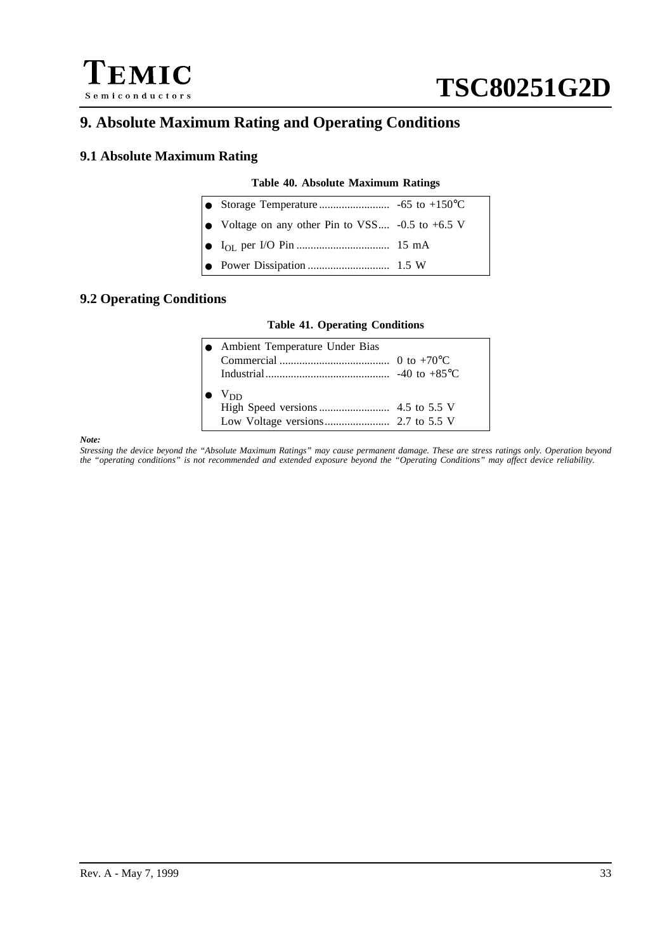



# **9. Absolute Maximum Rating and Operating Conditions**

# **9.1 Absolute Maximum Rating**

## **Table 40. Absolute Maximum Ratings**

| • Voltage on any other Pin to VSS $-0.5$ to $+6.5$ V |  |
|------------------------------------------------------|--|
|                                                      |  |
|                                                      |  |

# **9.2 Operating Conditions**

### **Table 41. Operating Conditions**

|   | • Ambient Temperature Under Bias |  |
|---|----------------------------------|--|
|   |                                  |  |
|   |                                  |  |
| ● | $V_{DD}$                         |  |

#### *Note:*

*Stressing the device beyond the "Absolute Maximum Ratings" may cause permanent damage. These are stress ratings only. Operation beyond the "operating conditions" is not recommended and extended exposure beyond the "Operating Conditions" may affect device reliability.*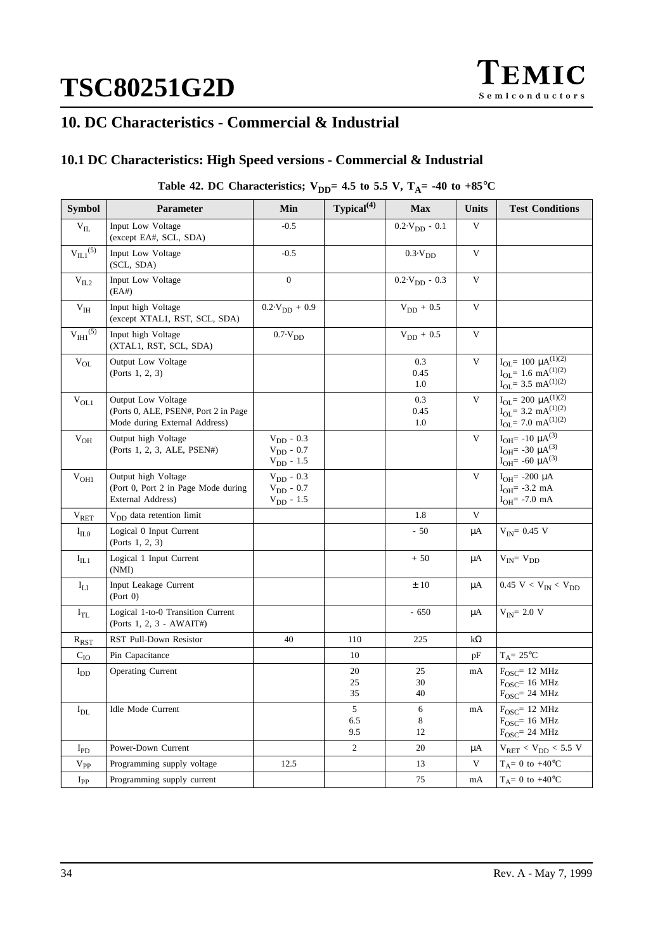# **10. DC Characteristics - Commercial & Industrial**

# **10.1 DC Characteristics: High Speed versions - Commercial & Industrial**

# Table 42. DC Characteristics;  $V_{DD} = 4.5$  to 5.5 V,  $T_A = -40$  to  $+85^{\circ}C$

| <b>Symbol</b>              | Parameter                                                                                           | Min                                                      | Typical <sup>(4)</sup> | <b>Max</b>                 | <b>Units</b> | <b>Test Conditions</b>                                                                                      |
|----------------------------|-----------------------------------------------------------------------------------------------------|----------------------------------------------------------|------------------------|----------------------------|--------------|-------------------------------------------------------------------------------------------------------------|
| $V_{IL}$                   | Input Low Voltage<br>(except EA#, SCL, SDA)                                                         | $-0.5$                                                   |                        | $0.2 \cdot V_{DD} - 0.1$   | V            |                                                                                                             |
| $V_{IL1}^{(5)}$            | Input Low Voltage<br>(SCL, SDA)                                                                     | $-0.5$                                                   |                        | $0.3\cdot V_{DD}$          | V            |                                                                                                             |
| $V_{IL2}$                  | Input Low Voltage<br>(EA#)                                                                          | $\boldsymbol{0}$                                         |                        | $0.2 \text{·}V_{DD}$ - 0.3 | V            |                                                                                                             |
| $V_{IH}$                   | Input high Voltage<br>(except XTAL1, RST, SCL, SDA)                                                 | $0.2 \text{V}_{DD} + 0.9$                                |                        | $V_{DD} + 0.5$             | V            |                                                                                                             |
| $V_{\text{III}}^{(5)}$     | Input high Voltage<br>(XTAL1, RST, SCL, SDA)                                                        | $0.7{\cdot}\rm V_{DD}$                                   |                        | $V_{DD} + 0.5$             | $\mathbf V$  |                                                                                                             |
| $V_{OL}$                   | Output Low Voltage<br>(Ports 1, 2, 3)                                                               |                                                          |                        | 0.3<br>0.45<br>1.0         | V            | $I_{OL} = 100 \mu A^{(1)(2)}$<br>$I_{OL} = 1.6$ mA <sup>(1)(2)</sup><br>$I_{OL} = 3.5$ mA <sup>(1)(2)</sup> |
| $\rm V_{OL1}$              | <b>Output Low Voltage</b><br>(Ports 0, ALE, PSEN#, Port 2 in Page)<br>Mode during External Address) |                                                          |                        | 0.3<br>0.45<br>1.0         | V            | $I_{OL} = 200 \mu A^{(1)(2)}$<br>$I_{OL} = 3.2$ mA <sup>(1)(2)</sup><br>$I_{OL}$ = 7.0 mA <sup>(1)(2)</sup> |
| $\rm{V}_{OH}$              | Output high Voltage<br>(Ports 1, 2, 3, ALE, PSEN#)                                                  | $V_{DD} - 0.3$<br>$V_{DD}$ - 0.7<br>$V_{DD}$ - 1.5       |                        |                            | V            | $I_{OH} = -10 \mu A^{(3)}$<br>$I_{OH}$ = -30 $\mu A^{(3)}$<br>$I_{OH}$ = -60 $\mu A^{(3)}$                  |
| $\rm V_{OH1}$              | Output high Voltage<br>(Port 0, Port 2 in Page Mode during<br>External Address)                     | $\rm V_{DD}$ - $0.3$<br>$V_{DD} - 0.7$<br>$V_{DD} - 1.5$ |                        |                            | V            | $I_{OH}$ = -200 µA<br>$I_{OH} = -3.2$ mA<br>$I_{OH}$ = -7.0 mA                                              |
| $V_{RET}$                  | $V_{DD}$ data retention limit                                                                       |                                                          |                        | 1.8                        | V            |                                                                                                             |
| $I_{II,0}$                 | Logical 0 Input Current<br>(Ports 1, 2, 3)                                                          |                                                          |                        | $-50$                      | μA           | $V_{IN} = 0.45 V$                                                                                           |
| $I_{IL1}$                  | Logical 1 Input Current<br>(NMI)                                                                    |                                                          |                        | $+50$                      | $\mu A$      | $V_{IN} = V_{DD}$                                                                                           |
| $\mathbf{I}_{\text{LI}}$   | Input Leakage Current<br>(Port 0)                                                                   |                                                          |                        | ±10                        | μA           | 0.45 V < $V_{IN}$ < $V_{DD}$                                                                                |
| $I_{TL}$                   | Logical 1-to-0 Transition Current<br>(Ports 1, 2, 3 - AWAIT#)                                       |                                                          |                        | $-650$                     | μA           | $V_{IN} = 2.0 V$                                                                                            |
| $R_{RST}$                  | RST Pull-Down Resistor                                                                              | 40                                                       | 110                    | 225                        | $k\Omega$    |                                                                                                             |
| $C_{IO}$                   | Pin Capacitance                                                                                     |                                                          | 10                     |                            | pF           | $T_A = 25$ °C                                                                                               |
| $\mathbf{I}_{\mathrm{DD}}$ | <b>Operating Current</b>                                                                            |                                                          | 20<br>25<br>35         | 25<br>30<br>40             | mA           | $F_{\text{OSC}} = 12 \text{ MHz}$<br>$F_{\text{OSC}}$ = 16 MHz<br>$FOSC = 24 MHz$                           |
| $I_{DL}$                   | <b>Idle Mode Current</b>                                                                            |                                                          | 5<br>6.5<br>9.5        | 6<br>8<br>12               | mA           | $F_{OSC} = 12 \text{ MHz}$<br>$FOSC = 16 MHz$<br>$F_{\text{OSC}} = 24 \text{ MHz}$                          |
| $I_{PD}$                   | Power-Down Current                                                                                  |                                                          | $\overline{c}$         | 20                         | $\mu A$      | $V_{RET}$ < $V_{DD}$ < 5.5 V                                                                                |
| $\rm V_{PP}$               | Programming supply voltage                                                                          | 12.5                                                     |                        | 13                         | V            | $T_A = 0$ to $+40^{\circ}$ C                                                                                |
| $I_{\rm PP}$               | Programming supply current                                                                          |                                                          |                        | 75                         | mA           | $T_A = 0$ to +40°C                                                                                          |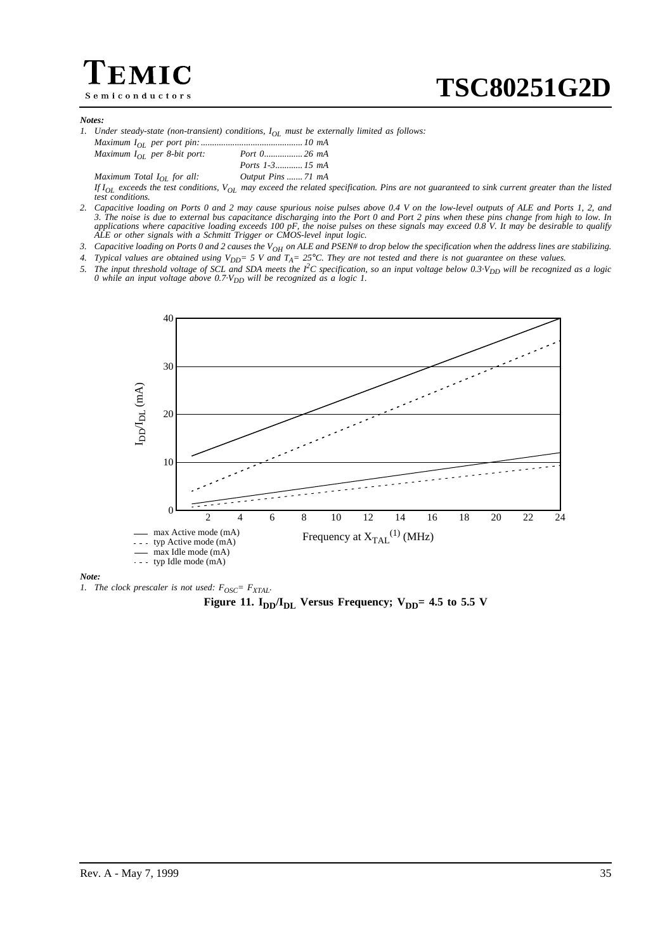# $\in$ MIC Semiconductors

**TSC80251G2D**

#### *Notes:*

|  | 1. Under steady-state (non-transient) conditions, $I_{OL}$ must be externally limited as follows: |  |  |  |  |  |  |  |
|--|---------------------------------------------------------------------------------------------------|--|--|--|--|--|--|--|
|--|---------------------------------------------------------------------------------------------------|--|--|--|--|--|--|--|

| Maximum $I_{OL}$ per 8-bit port: |                    |
|----------------------------------|--------------------|
|                                  |                    |
| Maximum Total $I_{OL}$ for all:  | Output Pins  71 mA |

*If IOL exceeds the test conditions, VOL may exceed the related specification. Pins are not guaranteed to sink current greater than the listed test conditions.*

*2. Capacitive loading on Ports 0 and 2 may cause spurious noise pulses above 0.4 V on the low-level outputs of ALE and Ports 1, 2, and 3. The noise is due to external bus capacitance discharging into the Port 0 and Port 2 pins when these pins change from high to low. In applications where capacitive loading exceeds 100 pF, the noise pulses on these signals may exceed 0.8 V. It may be desirable to qualify ALE or other signals with a Schmitt Trigger or CMOS-level input logic.*

3. Capacitive loading on Ports 0 and 2 causes the V<sub>OH</sub> on ALE and PSEN# to drop below the specification when the address lines are stabilizing.

*4. Typical values are obtained using VDD= 5 V and TA= 25*°*C. They are not tested and there is not guarantee on these values.*

5. The input threshold voltage of SCL and SDA meets the  $I^2C$  specification, so an input voltage below 0.3 $V_{DD}$  will be recognized as a logic *0 while an input voltage above 0.7 V<sub>DD</sub> will be recognized as a logic 1.* 



#### *Note:*

*1. The clock prescaler is not used:*  $F_{OSC} = F_{XTAI}$ .

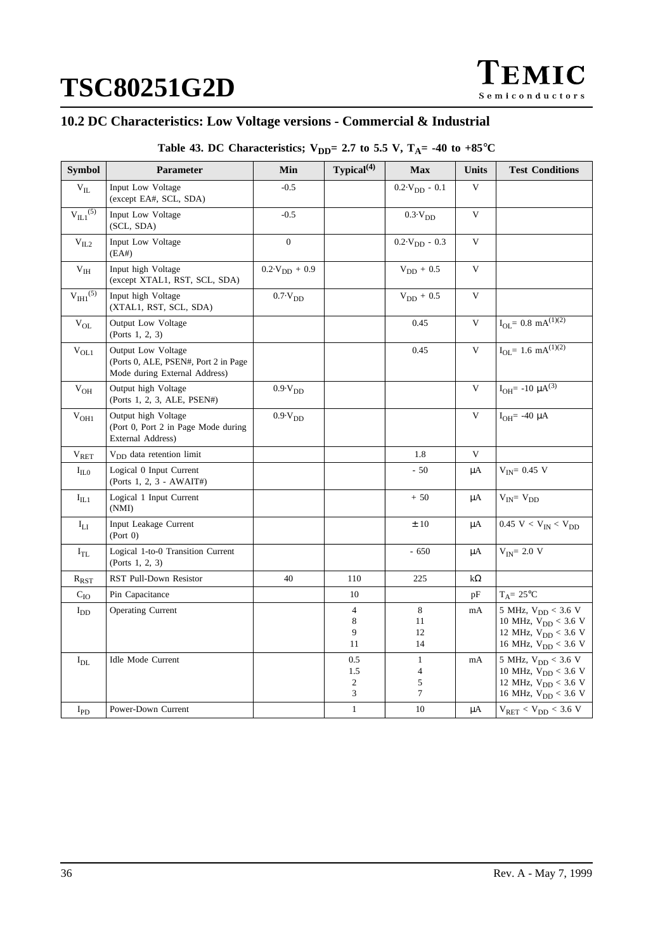# **10.2 DC Characteristics: Low Voltage versions - Commercial & Industrial**

Table 43. DC Characteristics;  $V_{DD} = 2.7$  to 5.5 V,  $T_A = -40$  to  $+85^{\circ}C$ 

| <b>Symbol</b>              | <b>Parameter</b>                                                                            | Min                                           | Typical $(4)$                     | <b>Max</b>                               | Units     | <b>Test Conditions</b>                                                                                                 |
|----------------------------|---------------------------------------------------------------------------------------------|-----------------------------------------------|-----------------------------------|------------------------------------------|-----------|------------------------------------------------------------------------------------------------------------------------|
| $\rm{V_{II}}$              | Input Low Voltage<br>(except EA#, SCL, SDA)                                                 | $-0.5$                                        |                                   | $0.2 \cdot V_{DD} - 0.1$                 | V         |                                                                                                                        |
| $V_{IL1}^{(5)}$            | Input Low Voltage<br>(SCL, SDA)                                                             | $-0.5$                                        |                                   | $0.3\!\cdot\!V_{DD}$                     | V         |                                                                                                                        |
| $\rm{V_{IL2}}$             | Input Low Voltage<br>(EA#)                                                                  | $\overline{0}$                                |                                   | $0.2 \text{V}_{DD} - 0.3$                | V         |                                                                                                                        |
| $\rm V_{IH}$               | Input high Voltage<br>(except XTAL1, RST, SCL, SDA)                                         | $0.2 \cdot V_{DD} + 0.9$                      |                                   | $V_{DD} + 0.5$                           | V         |                                                                                                                        |
| $V_{\text{IH1}}^{(5)}$     | Input high Voltage<br>(XTAL1, RST, SCL, SDA)                                                | $0.7\cdot V_{DD}$                             |                                   | $V_{DD} + 0.5$                           | V         |                                                                                                                        |
| $V_{OL}$                   | Output Low Voltage<br>(Ports 1, 2, 3)                                                       |                                               |                                   | 0.45                                     | V         | $I_{OL} = 0.8$ mA $\sqrt{(1)(2)}$                                                                                      |
| $V_{OL1}$                  | Output Low Voltage<br>(Ports 0, ALE, PSEN#, Port 2 in Page<br>Mode during External Address) |                                               |                                   | 0.45                                     | V         | $I_{OL} = 1.6 \text{ mA}^{(1)(2)}$                                                                                     |
| $\rm V_{OH}$               | Output high Voltage<br>(Ports 1, 2, 3, ALE, PSEN#)                                          | $0.9\mathord{\cdot} \mathrm{V}_{\mathrm{DD}}$ |                                   |                                          | V         | $I_{OH}$ = -10 $\mu A^{(3)}$                                                                                           |
| $V_{OH1}$                  | Output high Voltage<br>(Port 0, Port 2 in Page Mode during<br>External Address)             | $0.9\cdot V_{DD}$                             |                                   |                                          | V         | $I_{OH}$ = -40 $\mu$ A                                                                                                 |
| $V_{RET}$                  | V <sub>DD</sub> data retention limit                                                        |                                               |                                   | 1.8                                      | V         |                                                                                                                        |
| $I_{\text{ILO}}$           | Logical 0 Input Current<br>(Ports 1, 2, 3 - AWAIT#)                                         |                                               |                                   | $-50$                                    | μA        | $V_{IN} = 0.45 V$                                                                                                      |
| $I_{IL1}$                  | Logical 1 Input Current<br>(NMI)                                                            |                                               |                                   | $+50$                                    | μA        | $V_{IN} = V_{DD}$                                                                                                      |
| $I_{LI}$                   | Input Leakage Current<br>(Port 0)                                                           |                                               |                                   | ±10                                      | μA        | 0.45 V < $V_{IN}$ < $V_{DD}$                                                                                           |
| $I_{TL}$                   | Logical 1-to-0 Transition Current<br>(Ports 1, 2, 3)                                        |                                               |                                   | $-650$                                   | μA        | $V_{IN}$ = 2.0 V                                                                                                       |
| $\rm \mathit{R}_{RST}$     | RST Pull-Down Resistor                                                                      | 40                                            | 110                               | 225                                      | $k\Omega$ |                                                                                                                        |
| $C_{IO}$                   | Pin Capacitance                                                                             |                                               | 10                                |                                          | pF        | $T_A = 25$ °C                                                                                                          |
| $I_{DD}$                   | <b>Operating Current</b>                                                                    |                                               | 4<br>8<br>9<br>11                 | 8<br>11<br>12<br>14                      | mA        | 5 MHz, $V_{DD}$ < 3.6 V<br>10 MHz, $V_{DD}$ < 3.6 V<br>12 MHz, $V_{DD}$ < 3.6 V<br>16 MHz, $V_{DD}$ < 3.6 V            |
| $\mathbf{I}_{\rm DL}$      | <b>Idle Mode Current</b>                                                                    |                                               | 0.5<br>1.5<br>$\overline{2}$<br>3 | $\mathbf{1}$<br>$\overline{4}$<br>5<br>7 | mA        | 5 MHz, $V_{DD}$ < 3.6 V<br>10 MHz, $V_{DD}$ < 3.6 V<br>12 MHz, $V_{DD}$ < 3.6 V<br>$16$ MHz, $\mathrm{V_{DD}} < 3.6$ V |
| $\mathbf{I}_{\textrm{PD}}$ | Power-Down Current                                                                          |                                               | $\mathbf{1}$                      | 10                                       | μA        | $\rm V_{RET} < V_{DD} < 3.6~V$                                                                                         |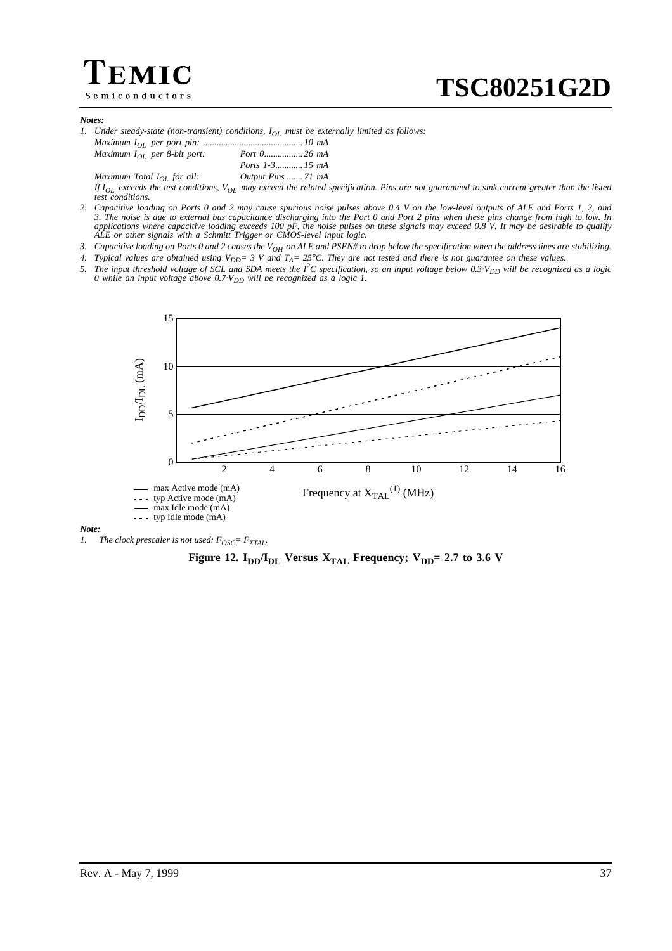# $\mathsf{IIC}$ Semiconductors

#### *Notes:*

|  | 1. Under steady-state (non-transient) conditions, $I_{OL}$ must be externally limited as follows: |  |  |  |  |  |  |  |
|--|---------------------------------------------------------------------------------------------------|--|--|--|--|--|--|--|
|--|---------------------------------------------------------------------------------------------------|--|--|--|--|--|--|--|

| Maximum $I_{OL}$ per 8-bit port: |                    |
|----------------------------------|--------------------|
|                                  |                    |
| Maximum Total $I_{OL}$ for all:  | Output Pins  71 mA |

*If IOL exceeds the test conditions, VOL may exceed the related specification. Pins are not guaranteed to sink current greater than the listed test conditions.*

*2. Capacitive loading on Ports 0 and 2 may cause spurious noise pulses above 0.4 V on the low-level outputs of ALE and Ports 1, 2, and 3. The noise is due to external bus capacitance discharging into the Port 0 and Port 2 pins when these pins change from high to low. In applications where capacitive loading exceeds 100 pF, the noise pulses on these signals may exceed 0.8 V. It may be desirable to qualify ALE or other signals with a Schmitt Trigger or CMOS-level input logic.*

3. Capacitive loading on Ports 0 and 2 causes the V<sub>OH</sub> on ALE and PSEN# to drop below the specification when the address lines are stabilizing.

4. Typical values are obtained using  $V_{DD} = 3$  V and  $T_A = 25^{\circ}$ C. They are not tested and there is not guarantee on these values.

5. The input threshold voltage of SCL and SDA meets the  $I^2C$  specification, so an input voltage below 0.3 $V_{DD}$  will be recognized as a logic *0 while an input voltage above 0.7 V<sub>DD</sub> will be recognized as a logic 1.* 



#### *Note:*

*1. The clock prescaler is not used:*  $F_{OSC} = F_{XTAL}$ .

**Figure 12. I<sub>DD</sub>** $I_{\text{DL}}$  **Versus**  $X_{\text{TAL}}$  **<b>Frequency; V<sub>DD</sub>= 2.7 to 3.6 V**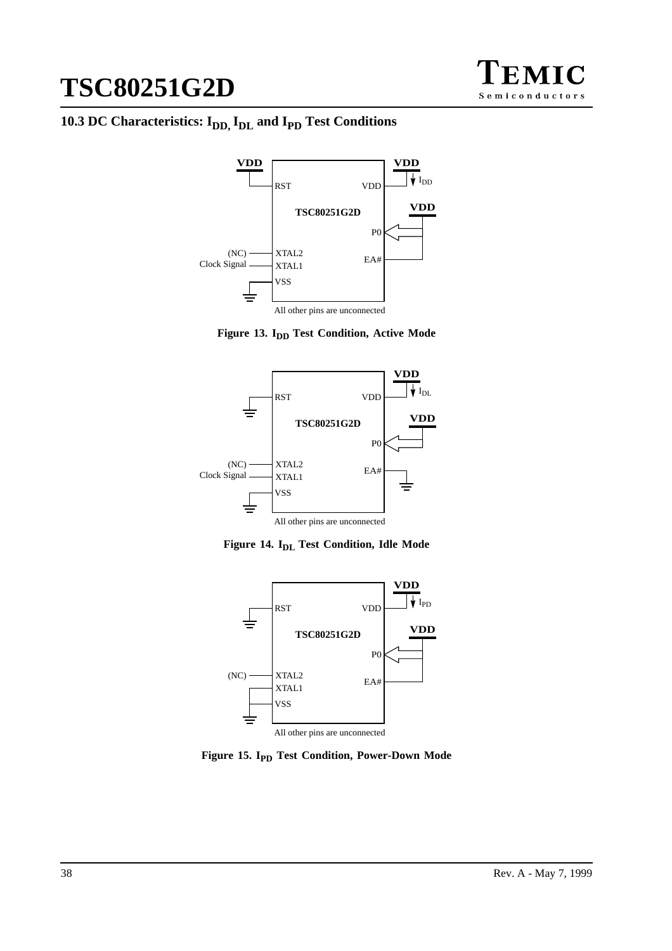

# 10.3 DC Characteristics: I<sub>DD, IDL</sub> and I<sub>PD</sub> Test Conditions







Figure 14. I<sub>DL</sub> Test Condition, Idle Mode



**Figure 15. I<sub>PD</sub> Test Condition, Power-Down Mode**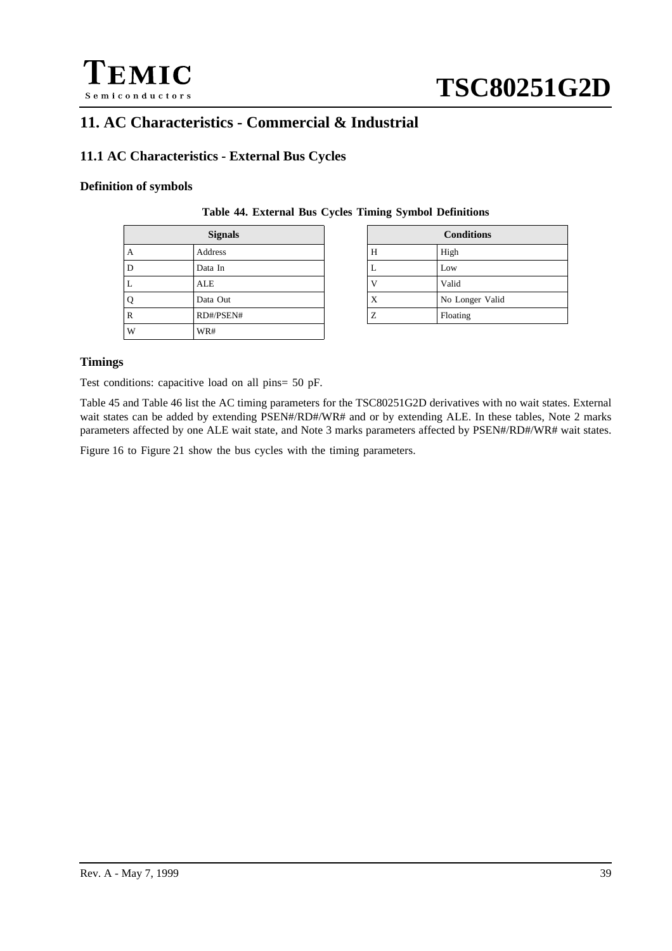

# **11. AC Characteristics - Commercial & Industrial**

# **11.1 AC Characteristics - External Bus Cycles**

## **Definition of symbols**

|              | <b>Signals</b> |   | <b>Conditions</b> |
|--------------|----------------|---|-------------------|
| $\mathbf{A}$ | Address        | Н | High              |
| D            | Data In        | ┻ | Low               |
| L            | ALE            |   | Valid             |
| Q            | Data Out       | X | No Longer Valid   |
| R            | RD#/PSEN#      | Ζ | Floating          |
| W            | WR#            |   |                   |

| <b>Signals</b> | <b>Conditions</b> |                 |  |  |  |
|----------------|-------------------|-----------------|--|--|--|
| dress          | Н                 | High            |  |  |  |
| ta In          | L                 | Low             |  |  |  |
| E              |                   | Valid           |  |  |  |
| ta Out         | X                 | No Longer Valid |  |  |  |
| #/PSEN#        | Ζ                 | Floating        |  |  |  |
|                |                   |                 |  |  |  |

**Table 44. External Bus Cycles Timing Symbol Definitions**

## **Timings**

Test conditions: capacitive load on all pins= 50 pF.

[Table 45](#page-39-0) and [Table 46](#page-40-0) list the AC timing parameters for the TSC80251G2D derivatives with no wait states. External wait states can be added by extending PSEN#/RD#/WR# and or by extending ALE. In these tables, Note 2 marks parameters affected by one ALE wait state, and Note 3 marks parameters affected by PSEN#/RD#/WR# wait states.

[Figure 16](#page-41-0) to [Figure 21 s](#page-43-0)how the bus cycles with the timing parameters.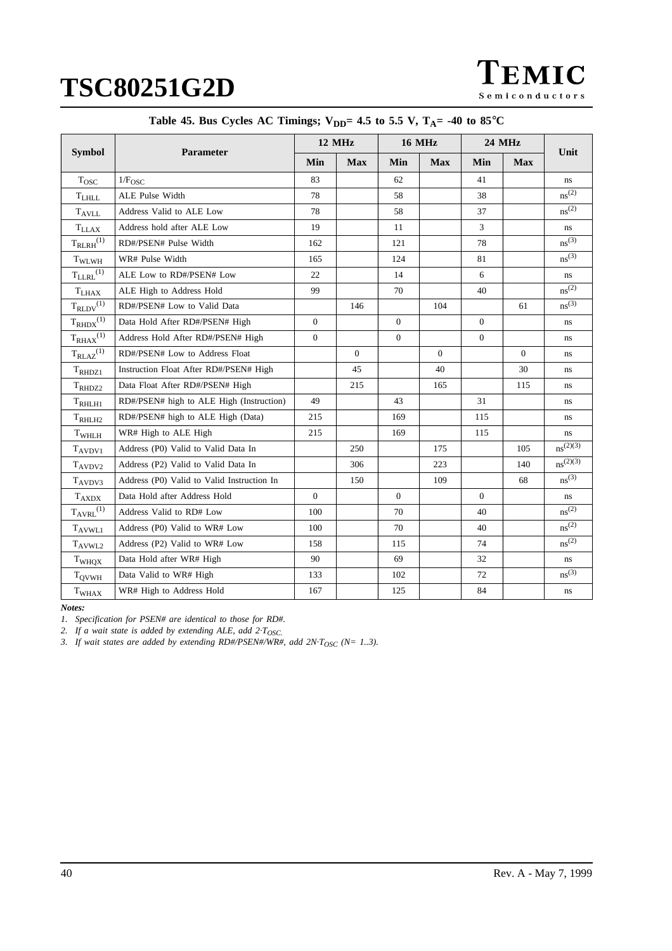TEMIC Semiconductors

<span id="page-39-0"></span>

|                         |                                            | 12 MHz         |            | <b>16 MHz</b> |            | <b>24 MHz</b>  |                |                        |
|-------------------------|--------------------------------------------|----------------|------------|---------------|------------|----------------|----------------|------------------------|
| <b>Symbol</b>           | Parameter                                  | Min            | <b>Max</b> | Min           | <b>Max</b> | Min            | <b>Max</b>     | Unit                   |
| $T_{\rm{OSC}}$          | 1/F <sub>OSC</sub>                         | 83             |            | 62            |            | 41             |                | ns                     |
| $\rm T_{LHLL}$          | ALE Pulse Width                            | 78             |            | 58            |            | 38             |                | ns <sup>(2)</sup>      |
| <b>TAVLL</b>            | Address Valid to ALE Low                   | 78             |            | 58            |            | 37             |                | ns <sup>(2)</sup>      |
| $T_{LLAX}$              | Address hold after ALE Low                 | 19             |            | 11            |            | 3              |                | ns                     |
| $T_{RLRH}^{(1)}$        | RD#/PSEN# Pulse Width                      | 162            |            | 121           |            | 78             |                | $ns^{(3)}$             |
| T <sub>WLWH</sub>       | WR# Pulse Width                            | 165            |            | 124           |            | 81             |                | ns <sup>(3)</sup>      |
| $T_{\text{LLRL}}^{(1)}$ | ALE Low to RD#/PSEN# Low                   | 22             |            | 14            |            | 6              |                | ns                     |
| $T_{LHAX}$              | ALE High to Address Hold                   | 99             |            | 70            |            | 40             |                | ns <sup>(2)</sup>      |
| $T_{RLDV}^{(1)}$        | RD#/PSEN# Low to Valid Data                |                | 146        |               | 104        |                | 61             | ns <sup>(3)</sup>      |
| $T_{RHDX}^{(1)}$        | Data Hold After RD#/PSEN# High             | $\overline{0}$ |            | $\mathbf{0}$  |            | $\theta$       |                | ns                     |
| $T_{RHAX}^{(1)}$        | Address Hold After RD#/PSEN# High          | $\mathbf{0}$   |            | $\mathbf{0}$  |            | $\overline{0}$ |                | ns                     |
| $T_{\rm RLAZ}^{(1)}$    | RD#/PSEN# Low to Address Float             |                | $\Omega$   |               | $\Omega$   |                | $\overline{0}$ | ns                     |
| $T_{\text{RHDZ1}}$      | Instruction Float After RD#/PSEN# High     |                | 45         |               | 40         |                | 30             | ns                     |
| $T_{\text{RHDZ2}}$      | Data Float After RD#/PSEN# High            |                | 215        |               | 165        |                | 115            | ns                     |
| $T_{RHLH1}$             | RD#/PSEN# high to ALE High (Instruction)   | 49             |            | 43            |            | 31             |                | ns                     |
| T <sub>RHLH2</sub>      | RD#/PSEN# high to ALE High (Data)          | 215            |            | 169           |            | 115            |                | ns                     |
| T <sub>WHLH</sub>       | WR# High to ALE High                       | 215            |            | 169           |            | 115            |                | ns                     |
| $T_{AVDV1}$             | Address (P0) Valid to Valid Data In        |                | 250        |               | 175        |                | 105            | $ns^{(2)(3)}$          |
| T <sub>AVDV2</sub>      | Address (P2) Valid to Valid Data In        |                | 306        |               | 223        |                | 140            | $ns^{(2)(3)}$          |
| $T_{AVDV3}$             | Address (P0) Valid to Valid Instruction In |                | 150        |               | 109        |                | 68             | ns <sup>(3)</sup>      |
| $\rm T_{AXDX}$          | Data Hold after Address Hold               | $\Omega$       |            | $\Omega$      |            | $\theta$       |                | ns                     |
| $T_{AVRL}^{(1)}$        | Address Valid to RD# Low                   | 100            |            | 70            |            | 40             |                | ns <sup>(2)</sup>      |
| $T_{AVWLI}$             | Address (P0) Valid to WR# Low              | 100            |            | 70            |            | 40             |                | ns <sup>(2)</sup>      |
| T <sub>AVWL2</sub>      | Address (P2) Valid to WR# Low              | 158            |            | 115           |            | 74             |                | $ns^{(2)}$             |
| T <sub>WHOX</sub>       | Data Hold after WR# High                   | 90             |            | 69            |            | 32             |                | $\mathbf{n}\mathbf{s}$ |
| $T_{\rm QVWH}$          | Data Valid to WR# High                     | 133            |            | 102           |            | 72             |                | ns <sup>(3)</sup>      |
| T <sub>WHAX</sub>       | WR# High to Address Hold                   | 167            |            | 125           |            | 84             |                | ns                     |

*Notes:*

*1. Specification for PSEN# are identical to those for RD#.*

*2. If a wait state is added by extending ALE, add 2·TOSC.*

*3. If wait states are added by extending RD#/PSEN#/WR#, add 2N·T<sub>OSC</sub> (N= 1..3).*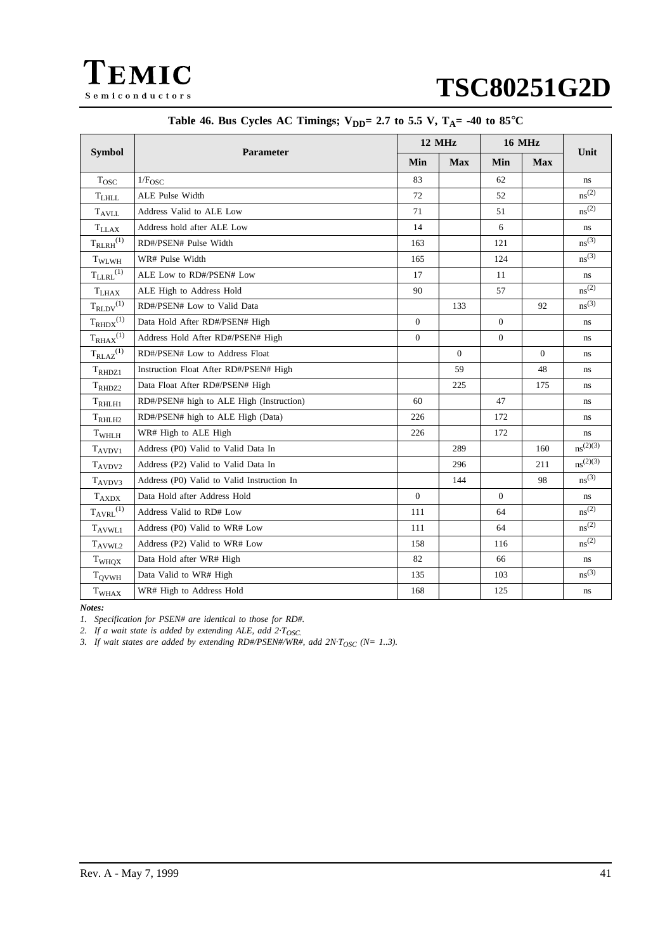<span id="page-40-0"></span>

|                              |                                            |          | 12 MHz     | <b>16 MHz</b>  |                |                   |
|------------------------------|--------------------------------------------|----------|------------|----------------|----------------|-------------------|
| <b>Symbol</b>                | <b>Parameter</b>                           |          | <b>Max</b> | Min            | <b>Max</b>     | Unit              |
| $T_{\rm{OSC}}$               | $1/F_{\rm OSC}$                            | 83       |            | 62             |                | ns.               |
| $T_{LHLL}$                   | ALE Pulse Width                            | 72       |            | 52             |                | ns <sup>(2)</sup> |
| $T_{AVLL}$                   | Address Valid to ALE Low                   | 71       |            | 51             |                | ns <sup>(2)</sup> |
| $T_{LLAX}$                   | Address hold after ALE Low                 | 14       |            | 6              |                | ns                |
| $T_{RLRH}^{(1)}$             | RD#/PSEN# Pulse Width                      | 163      |            | 121            |                | $ns^{(3)}$        |
| $T_{\rm WLWH}$               | WR# Pulse Width                            | 165      |            | 124            |                | ns <sup>(3)</sup> |
| $T_{\text{LLRL}}^{(1)}$      | ALE Low to RD#/PSEN# Low                   | 17       |            | 11             |                | ns                |
| $\mathrm{T}_{\mathrm{LHAX}}$ | ALE High to Address Hold                   | 90       |            | 57             |                | ns <sup>(2)</sup> |
| $T_{\rm RLDV}^{(1)}$         | RD#/PSEN# Low to Valid Data                |          | 133        |                | 92             | ns <sup>(3)</sup> |
| $T_{RHDX}^{(1)}$             | Data Hold After RD#/PSEN# High             | $\Omega$ |            | $\Omega$       |                | ns                |
| $T_{RHAX}^{(1)}$             | Address Hold After RD#/PSEN# High          | $\theta$ |            | $\mathbf{0}$   |                | ns                |
| $T_{RLAZ}^{(1)}$             | RD#/PSEN# Low to Address Float             |          | $\Omega$   |                | $\overline{0}$ | ns                |
| $T_{\text{RHDZ1}}$           | Instruction Float After RD#/PSEN# High     |          | 59         |                | 48             | ns                |
| $T_{\rm RH DZZ}$             | Data Float After RD#/PSEN# High            |          | 225        |                | 175            | ns                |
| $T_{RHLH1}$                  | RD#/PSEN# high to ALE High (Instruction)   | 60       |            | 47             |                | ns                |
| T <sub>RHLH2</sub>           | RD#/PSEN# high to ALE High (Data)          | 226      |            | 172            |                | ns                |
| T <sub>WHLH</sub>            | WR# High to ALE High                       | 226      |            | 172            |                | ns                |
| $T_{AVDV1}$                  | Address (P0) Valid to Valid Data In        |          | 289        |                | 160            | $ns^{(2)(3)}$     |
| $T_{AVDV2}$                  | Address (P2) Valid to Valid Data In        |          | 296        |                | 211            | $ns^{(2)(3)}$     |
| $T_{AVDV3}$                  | Address (P0) Valid to Valid Instruction In |          | 144        |                | 98             | ns <sup>(3)</sup> |
| $T_{AXDX}$                   | Data Hold after Address Hold               | $\theta$ |            | $\overline{0}$ |                | ns                |
| $T_{\rm AVRL}{}^{(1)}$       | Address Valid to RD# Low                   | 111      |            | 64             |                | ns <sup>(2)</sup> |
| $T_{AVWLI}$                  | Address (P0) Valid to WR# Low              | 111      |            | 64             |                | ns <sup>(2)</sup> |
| T <sub>AVWL2</sub>           | Address (P2) Valid to WR# Low              | 158      |            | 116            |                | ns <sup>(2)</sup> |
| T <sub>WHQX</sub>            | Data Hold after WR# High                   | 82       |            | 66             |                | $\bf ns$          |
| $T_{\rm QVWH}$               | Data Valid to WR# High                     | 135      |            | 103            |                | ns <sup>(3)</sup> |
| T <sub>WHAX</sub>            | WR# High to Address Hold                   | 168      |            | 125            |                | ns                |

# Table 46. Bus Cycles AC Timings;  $V_{DD} = 2.7$  to 5.5 V,  $T_A = -40$  to 85°C

*Notes:*

*1. Specification for PSEN# are identical to those for RD#.*

*2. If a wait state is added by extending ALE, add 2·TOSC.*

*3. If wait states are added by extending RD#/PSEN#/WR#, add 2N·T<sub>OSC</sub> (N= 1..3).*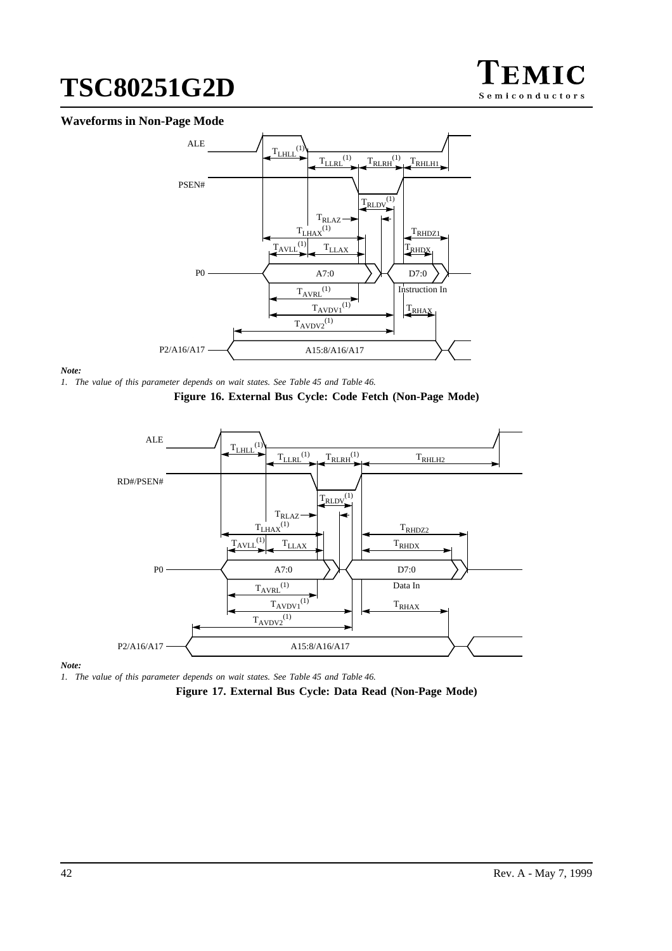

# <span id="page-41-0"></span>**Waveforms in Non-Page Mode**



#### *Note:*

*1. The value of this parameter depends on wait states. See [Table 45](#page-39-0) and [Table 46.](#page-40-0)*





#### *Note:*

*1. The value of this parameter depends on wait states. See [Table 45](#page-39-0) and [Table 46.](#page-40-0)*

**Figure 17. External Bus Cycle: Data Read (Non-Page Mode)**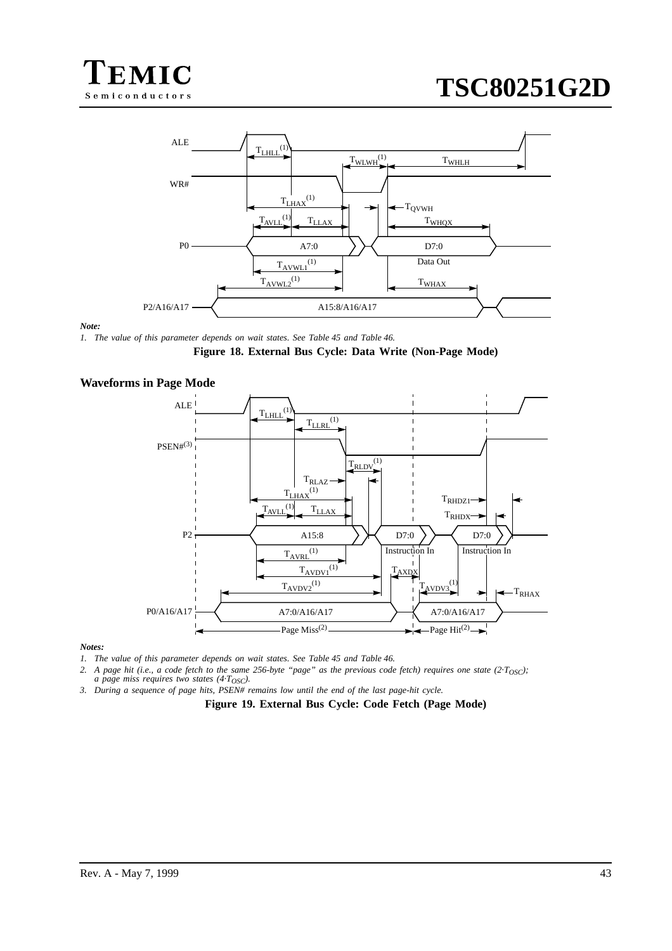



#### *Note:*

*1. The value of this parameter depends on wait states. See [Table 45](#page-39-0) and [Table 46.](#page-40-0)*



### **Waveforms in Page Mode**



#### *Notes:*

*1. The value of this parameter depends on wait states. See [Table 45](#page-39-0) and [Table 46.](#page-40-0)*

2. A page hit (i.e., a code fetch to the same 256-byte "page" as the previous code fetch) requires one state  $(2 \cdot T_{\text{OSC}})$ ; *a page miss requires two states (4·T<sub>OSC</sub>).* 

*3. During a sequence of page hits, PSEN# remains low until the end of the last page-hit cycle.*

**Figure 19. External Bus Cycle: Code Fetch (Page Mode)**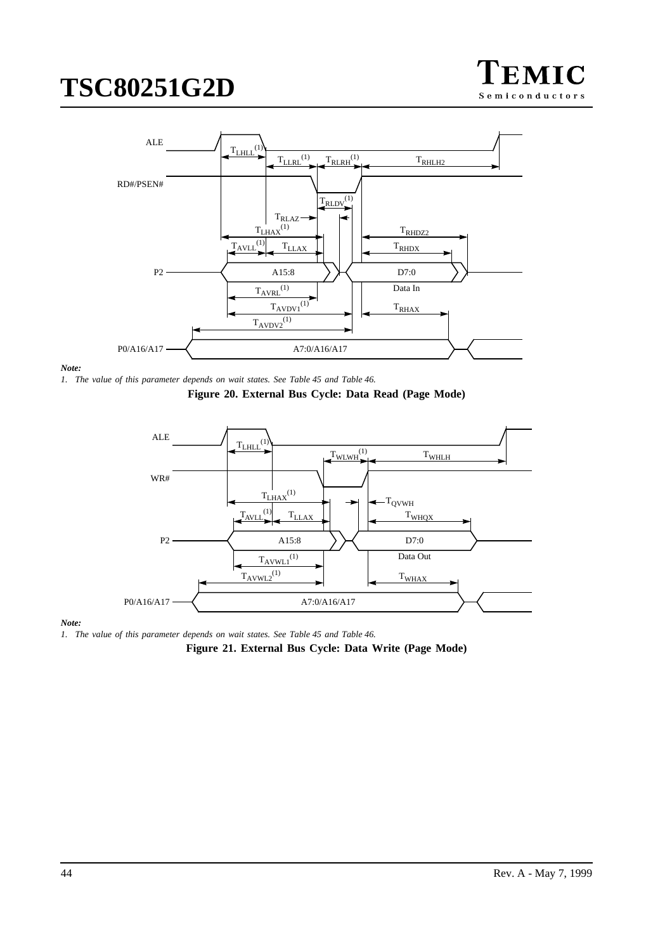

<span id="page-43-0"></span>

#### *Note:*







#### *Note:*

*1. The value of this parameter depends on wait states. See [Table 45](#page-39-0) and [Table 46.](#page-40-0)*

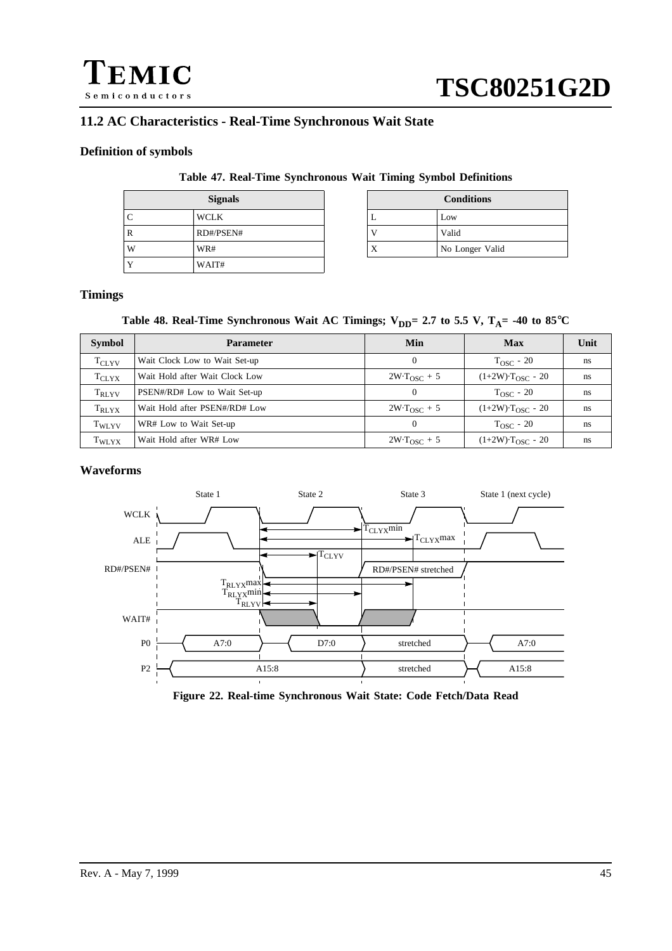

# **11.2 AC Characteristics - Real-Time Synchronous Wait State**

### **Definition of symbols**

### **Table 47. Real-Time Synchronous Wait Timing Symbol Definitions**

| <b>Signals</b> |           |     | <b>Conditions</b> |
|----------------|-----------|-----|-------------------|
|                | WCLK      | . . | Low               |
| R              | RD#/PSEN# |     | Valid             |
| W              | WR#       | Х   | No Longer Valid   |
|                | WAIT#     |     |                   |

| Signals       |           | <b>Conditions</b> |
|---------------|-----------|-------------------|
| ľK            |           | Low               |
| #/PSEN#       |           | Valid             |
| $\frac{4}{3}$ | $\Lambda$ | No Longer Valid   |

## **Timings**

## Table 48. Real-Time Synchronous Wait AC Timings;  $V_{DD}$ = 2.7 to 5.5 V, T<sub>A</sub>= -40 to 85°C

| <b>Symbol</b>     | <b>Parameter</b>               | Min                    | Max                             | Unit |
|-------------------|--------------------------------|------------------------|---------------------------------|------|
| $T_{\rm CLYV}$    | Wait Clock Low to Wait Set-up  | 0                      | $T_{\rm OSC}$ - 20              | ns   |
| $T_{\rm CLYX}$    | Wait Hold after Wait Clock Low | $2W \cdot T_{OSC} + 5$ | $(1+2W)$ · $T_{OSC}$ - 20       | ns   |
| $T_{\rm RLYV}$    | PSEN#/RD# Low to Wait Set-up   |                        | $T_{\rm OSC}$ - 20              | ns   |
| T <sub>RLYX</sub> | Wait Hold after PSEN#/RD# Low  | $2W \cdot T_{OSC} + 5$ | $(1+2W)$ ·T <sub>OSC</sub> - 20 | ns   |
| $T_{WLYV}$        | WR# Low to Wait Set-up         | 0                      | $T_{\rm OSC}$ - 20              | ns   |
| T <sub>WLYX</sub> | Wait Hold after WR# Low        | $2W \cdot T_{OSC}$ + 5 | $(1+2W)$ · $T_{OSC}$ - 20       | ns   |

### **Waveforms**



**Figure 22. Real-time Synchronous Wait State: Code Fetch/Data Read**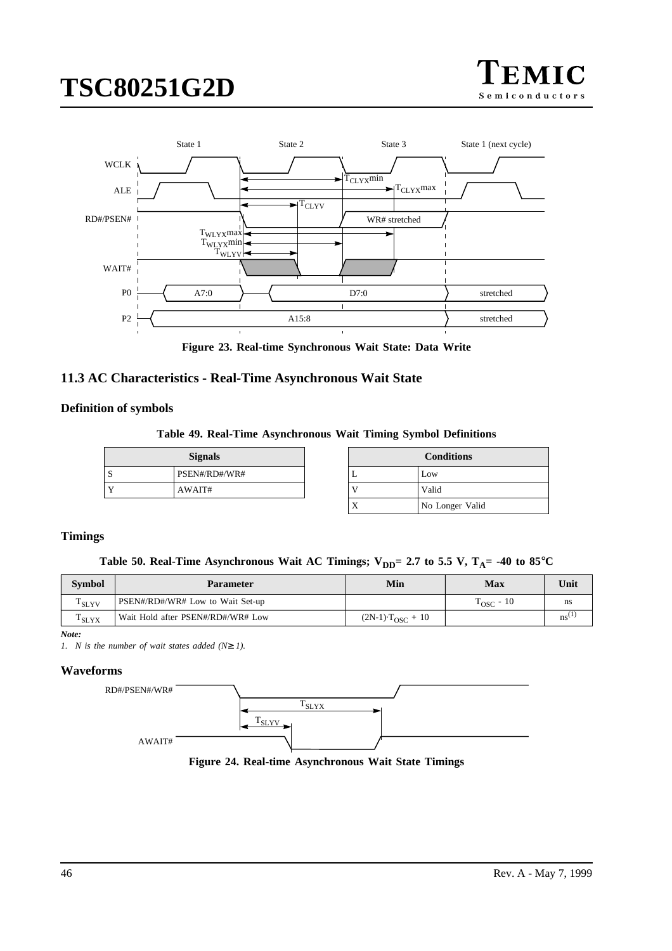



**Figure 23. Real-time Synchronous Wait State: Data Write**

# **11.3 AC Characteristics - Real-Time Asynchronous Wait State**

## **Definition of symbols**

**Table 49. Real-Time Asynchronous Wait Timing Symbol Definitions**

| <b>Signals</b> |               |  | ∠on   |
|----------------|---------------|--|-------|
| ω              | PSEN#/RD#/WR# |  | Low   |
|                | AWAIT#        |  | Valid |

| <b>Signals</b> |   | <b>Conditions</b> |
|----------------|---|-------------------|
| EN#/RD#/WR#    | ⊥ | Low               |
| VAIT#          |   | Valid             |
|                | Х | No Longer Valid   |

# **Timings**

Table 50. Real-Time Asynchronous Wait AC Timings;  $V_{DD} = 2.7$  to 5.5 V,  $T_A = -40$  to 85<sup>°</sup>C

| <b>Symbol</b>     | <b>Parameter</b>                  | Min                     | Max                 | 'Jnit                  |
|-------------------|-----------------------------------|-------------------------|---------------------|------------------------|
| <sup>1</sup> SLYV | PSEN#/RD#/WR# Low to Wait Set-up  |                         | $T_{\rm{OSC}}$ - 10 | ns                     |
| $1$ SLYX          | Wait Hold after PSEN#/RD#/WR# Low | $(2N-1)$ $T_{OSC}$ + 10 |                     | $\mathbf{n}\mathbf{s}$ |

*Note:*

*1. N is the number of wait states added (N*≥ *1).*

# **Waveforms**



**Figure 24. Real-time Asynchronous Wait State Timings**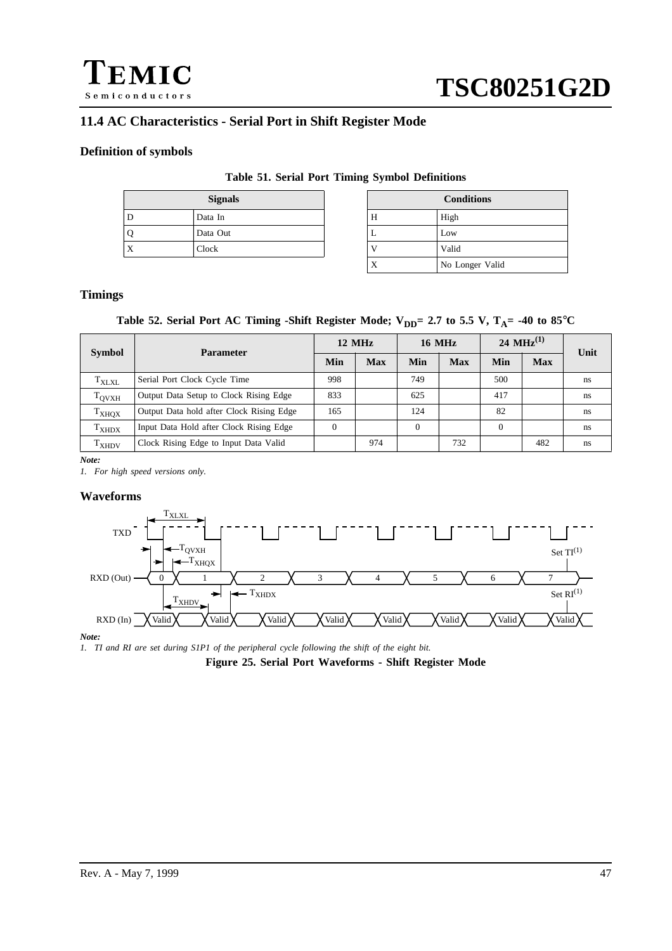

# **11.4 AC Characteristics - Serial Port in Shift Register Mode**

# **Definition of symbols**

### **Table 51. Serial Port Timing Symbol Definitions**

|    | <b>Signals</b> |   | $_{\rm Con}$ |
|----|----------------|---|--------------|
| IJ | Data In        | Н | High         |
|    | Data Out       | ∸ | Low          |
| Χ  | Clock          |   | Valid        |

| <b>Signals</b> |   | <b>Conditions</b> |
|----------------|---|-------------------|
| ta In          | Н | High              |
| ta Out         | ⊥ | Low               |
| сk             |   | Valid             |
|                | X | No Longer Valid   |

# **Timings**

## Table 52. Serial Port AC Timing -Shift Register Mode;  $V_{DD} = 2.7$  to 5.5 V,  $T_A = -40$  to 85°C

| <b>Symbol</b>                | <b>Parameter</b>                         | $12 \text{ MHz}$ |     | <b>16 MHz</b> |            | 24 MHz $^{(1)}$ |            | Unit |
|------------------------------|------------------------------------------|------------------|-----|---------------|------------|-----------------|------------|------|
|                              |                                          | Min              | Max | Min           | <b>Max</b> | Min             | <b>Max</b> |      |
| $T_{\rm{XLXL}}$              | Serial Port Clock Cycle Time             | 998              |     | 749           |            | 500             |            | ns   |
| $T_{\rm OVXH}$               | Output Data Setup to Clock Rising Edge   | 833              |     | 625           |            | 417             |            | ns   |
| <b>T</b> <sub>XHQX</sub>     | Output Data hold after Clock Rising Edge | 165              |     | 124           |            | 82              |            | ns   |
| T <sub>XHDX</sub>            | Input Data Hold after Clock Rising Edge  | $\Omega$         |     | $\Omega$      |            | $\theta$        |            | ns   |
| $\mathrm{T}_{\mathrm{XHDV}}$ | Clock Rising Edge to Input Data Valid    |                  | 974 |               | 732        |                 | 482        | ns   |

*Note:*

*1. For high speed versions only.*

### **Waveforms**



#### *Note:*

*1. TI and RI are set during S1P1 of the peripheral cycle following the shift of the eight bit.*

**Figure 25. Serial Port Waveforms - Shift Register Mode**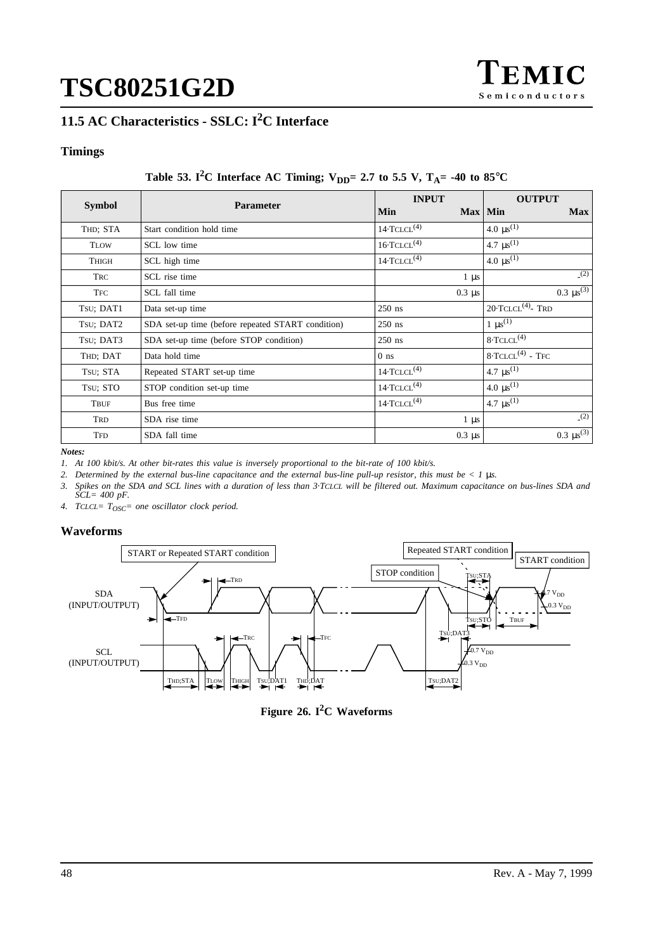

# **11.5 AC Characteristics - SSLC: I2C Interface**

# **Timings**

# Table 53. I<sup>2</sup>C Interface AC Timing;  $V_{DD} = 2.7$  to 5.5 V,  $T_A = -40$  to 85<sup>°</sup>C

| <b>Symbol</b> | <b>Parameter</b>                                  | <b>INPUT</b><br>$Max$   Min<br>Min | <b>OUTPUT</b><br><b>Max</b>     |
|---------------|---------------------------------------------------|------------------------------------|---------------------------------|
| THD; STA      | Start condition hold time                         | $14 \cdot TCLCL(4)$                | 4.0 $\mu$ s <sup>(1)</sup>      |
| <b>TLOW</b>   | SCL low time                                      | $16 \cdot TCLCL^{(4)}$             | 4.7 $\mu s^{(1)}$               |
| THIGH         | SCL high time                                     | $14 \cdot TCLCL^{(4)}$             | 4.0 $\mu s^{(1)}$               |
| <b>TRC</b>    | SCL rise time                                     | $1 \mu s$                          | (2)                             |
| <b>TFC</b>    | SCL fall time                                     | $0.3 \mu s$                        | 0.3 $\mu s^{(3)}$               |
| Tsu; DAT1     | Data set-up time                                  | $250$ ns                           | $20$ ·TCLCL <sup>(4)</sup> -TRD |
| Tsu; DAT2     | SDA set-up time (before repeated START condition) | $250$ ns                           | $1 \mu s^{(1)}$                 |
| Tsu; DAT3     | SDA set-up time (before STOP condition)           | $250$ ns                           | $8 \cdot TCLCL^{(4)}$           |
| THD; DAT      | Data hold time                                    | $0$ ns                             | $8 \cdot TCLCL^{(4)}$ - TFC     |
| TSU; STA      | Repeated START set-up time                        | $14 \cdot TCLCL(4)$                | 4.7 $\mu s^{(1)}$               |
| Tsu; STO      | STOP condition set-up time                        | $14 \cdot TCLCL^{(4)}$             | 4.0 $\mu s^{(1)}$               |
| TBUF          | Bus free time                                     | $14 \cdot TCLCL$ <sup>(4)</sup>    | 4.7 $\mu s^{(1)}$               |
| TRD           | SDA rise time                                     | $1 \mu s$                          | (2)                             |
| <b>TFD</b>    | SDA fall time                                     | $0.3 \mu s$                        | 0.3 $\mu s^{(3)}$               |

*Notes:*

*1. At 100 kbit/s. At other bit-rates this value is inversely proportional to the bit-rate of 100 kbit/s.*

*2. Determined by the external bus-line capacitance and the external bus-line pull-up resistor, this must be < 1* µ*s.*

*3. Spikes on the SDA and SCL lines with a duration of less than 3·TCLCL will be filtered out. Maximum capacitance on bus-lines SDA and SCL= 400 pF.*

*4. TCLCL= TOSC= one oscillator clock period.*

# **Waveforms**



**Figure 26. I2C Waveforms**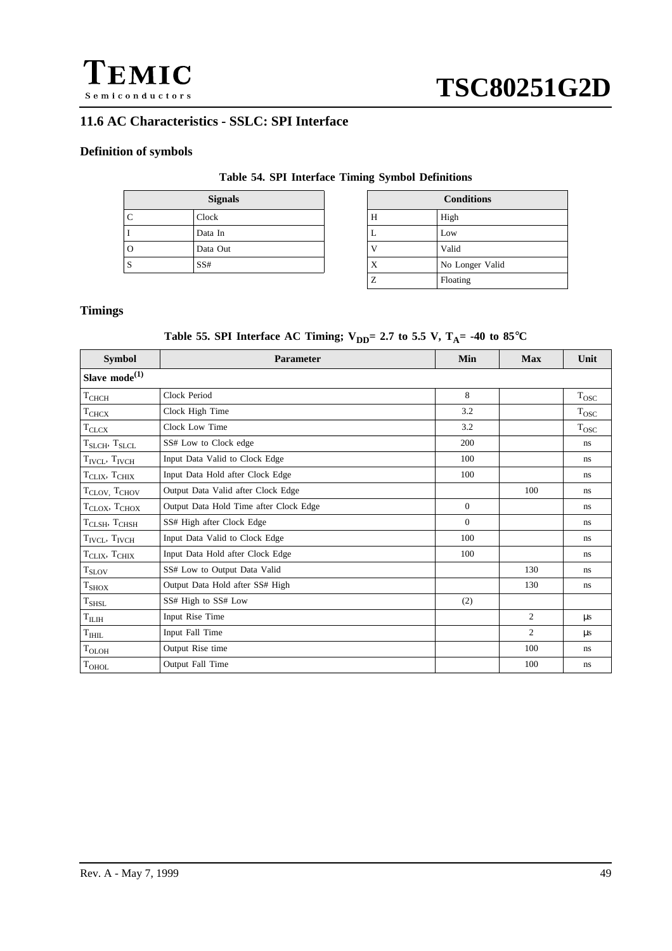

# **11.6 AC Characteristics - SSLC: SPI Interface**

# **Definition of symbols**

## **Table 54. SPI Interface Timing Symbol Definitions**

| <b>Signals</b> |          |   | <b>Conditions</b> |
|----------------|----------|---|-------------------|
| C              | Clock    | Н | High              |
|                | Data In  | ⊥ | Low               |
| $\mathcal{L}$  | Data Out |   | Valid             |
| C              | SS#      | A | No Longer Valid   |

| <b>Signals</b> |   | <b>Conditions</b> |
|----------------|---|-------------------|
| сk             | Н | High              |
| ta In          | L | Low               |
| ta Out         |   | Valid             |
| 7              | X | No Longer Valid   |
|                | Z | Floating          |

# **Timings**

# Table 55. SPI Interface AC Timing;  $V_{DD} = 2.7$  to 5.5 V,  $T_A = -40$  to 85°C

| <b>Symbol</b>                         | <b>Parameter</b>                       | Min            | <b>Max</b>     | Unit           |
|---------------------------------------|----------------------------------------|----------------|----------------|----------------|
| Slave $mode^{(1)}$                    |                                        |                |                |                |
| $\textit{T}_{\textit{CHCH}}$          | Clock Period                           | 8              |                | $\rm T_{OSC}$  |
| T <sub>CHCX</sub>                     | Clock High Time                        | 3.2            |                | $T_{\rm{OSC}}$ |
| $\text{T}_{\text{CLCX}}$              | Clock Low Time                         | 3.2            |                | $T_{\rm{OSC}}$ |
| $T_{S L C H}$ , $T_{S L C L}$         | SS# Low to Clock edge                  | 200            |                | ns.            |
| T <sub>IVCL</sub> , T <sub>IVCH</sub> | Input Data Valid to Clock Edge         | 100            |                | ns.            |
| $TCLIX$ , $TCHIX$                     | Input Data Hold after Clock Edge       | 100            |                | ns.            |
| T <sub>CLOV</sub> , T <sub>CHOV</sub> | Output Data Valid after Clock Edge     |                | 100            | ns.            |
| $TCLOX$ , $TCHOX$                     | Output Data Hold Time after Clock Edge | $\Omega$       |                | ns.            |
| $T_{CLSH}$ , $T_{CHSH}$               | SS# High after Clock Edge              | $\overline{0}$ |                | ns.            |
| $T_{\text{IVCL}}$ , $T_{\text{IVCH}}$ | Input Data Valid to Clock Edge         | 100            |                | ns             |
| $TCLIX$ , $TCHIX$                     | Input Data Hold after Clock Edge       | 100            |                | ns.            |
| $\rm T_{SLOV}$                        | SS# Low to Output Data Valid           |                | 130            | ns.            |
| T <sub>SHOX</sub>                     | Output Data Hold after SS# High        |                | 130            | ns.            |
| $\rm T_{SHSL}$                        | SS# High to SS# Low                    | (2)            |                |                |
| $\rm T_{II,III}$                      | Input Rise Time                        |                | $\overline{2}$ | $\mu s$        |
| T <sub>HHL</sub>                      | Input Fall Time                        |                | 2              | $\mu s$        |
| $T_{OLOH}$                            | Output Rise time                       |                | 100            | ns.            |
| $\rm T_{OHOL}$                        | Output Fall Time                       |                | 100            | ns.            |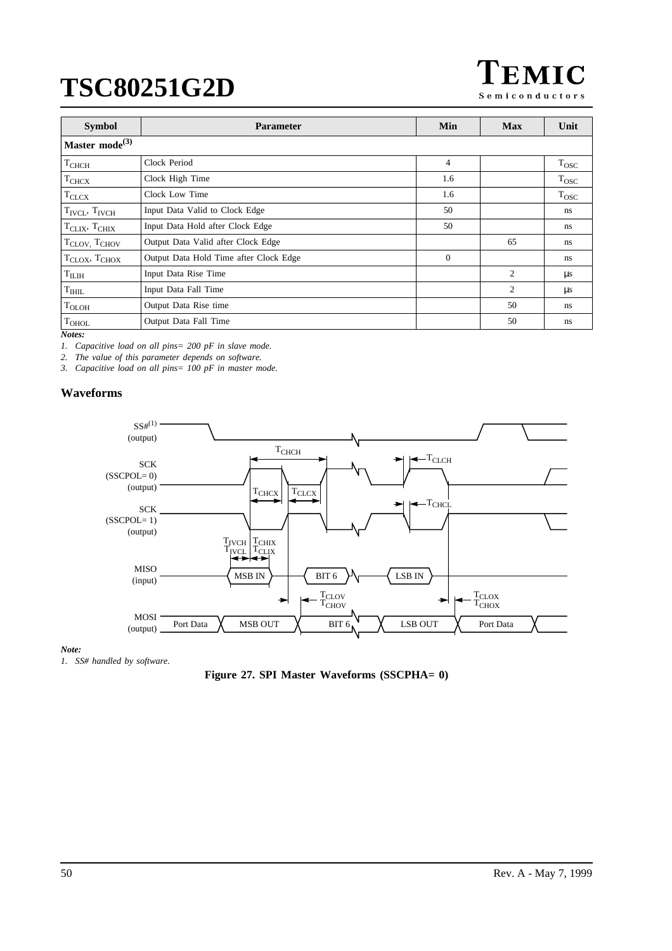EMIC Semiconductors

| <b>Symbol</b>                         | <b>Parameter</b>                       | Min            | <b>Max</b>     | Unit           |  |  |
|---------------------------------------|----------------------------------------|----------------|----------------|----------------|--|--|
| Master mode <sup>(3)</sup>            |                                        |                |                |                |  |  |
| T <sub>CHCH</sub>                     | Clock Period                           | $\overline{4}$ |                | $T_{\rm{OSC}}$ |  |  |
| T <sub>CHCX</sub>                     | Clock High Time                        | 1.6            |                | $T_{\rm{OSC}}$ |  |  |
| <b>T</b> CLCX                         | Clock Low Time                         | 1.6            |                | $T_{\rm{OSC}}$ |  |  |
| $T_{\text{IVCI}}$ , $T_{\text{IVCH}}$ | Input Data Valid to Clock Edge         | 50             |                | ns             |  |  |
| $T_{CLIX}$ , $T_{CHIX}$               | Input Data Hold after Clock Edge       | 50             |                | ns             |  |  |
| T <sub>CLOV</sub> , T <sub>CHOV</sub> | Output Data Valid after Clock Edge     |                | 65             | ns.            |  |  |
| $T_{\text{CLOX}}$ , $T_{\text{CHOX}}$ | Output Data Hold Time after Clock Edge | $\theta$       |                | ns.            |  |  |
| T <sub>ILIH</sub>                     | Input Data Rise Time                   |                | $\overline{c}$ | $\mu$ s        |  |  |
| T <sub>HHL</sub>                      | Input Data Fall Time                   |                | $\overline{c}$ | μs             |  |  |
| $T_{OLOH}$                            | Output Data Rise time                  |                | 50             | ns.            |  |  |
| $T_{OHOL}$                            | Output Data Fall Time                  |                | 50             | ns.            |  |  |

*Notes:*

*1. Capacitive load on all pins= 200 pF in slave mode.*

*2. The value of this parameter depends on software.*

*3. Capacitive load on all pins= 100 pF in master mode.*

# **Waveforms**



#### *Note:*

*1. SS# handled by software.*

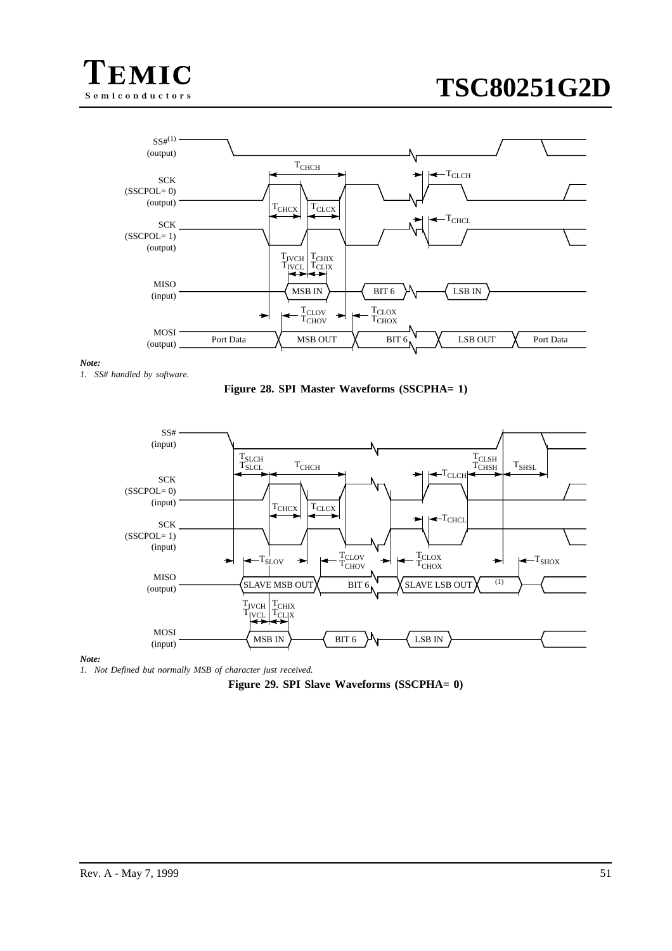



#### *Note:*

*1. SS# handled by software.*





#### *Note:*

*1. Not Defined but normally MSB of character just received.*

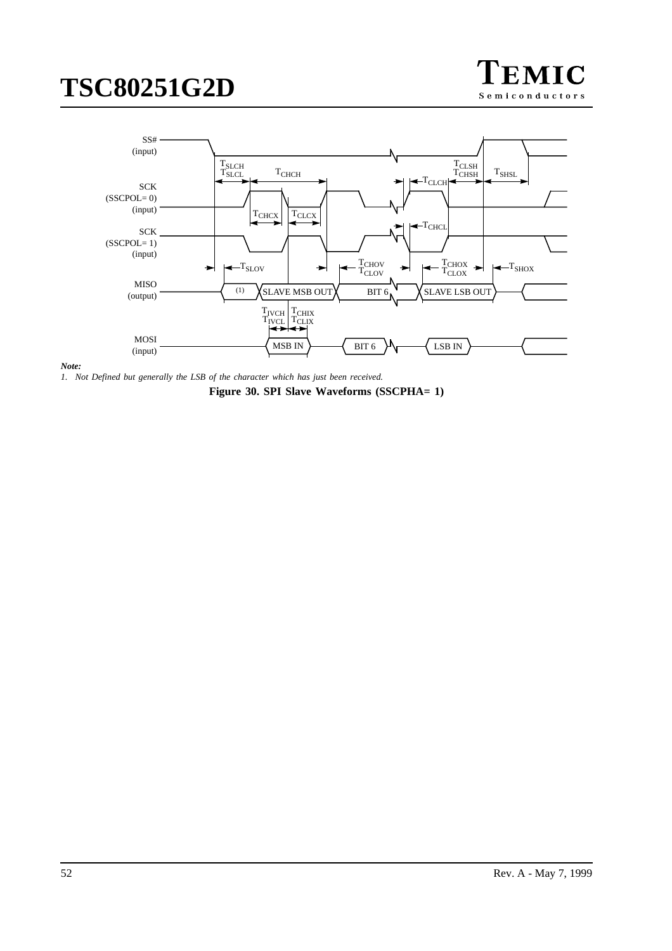





*1. Not Defined but generally the LSB of the character which has just been received.*

**Figure 30. SPI Slave Waveforms (SSCPHA= 1)**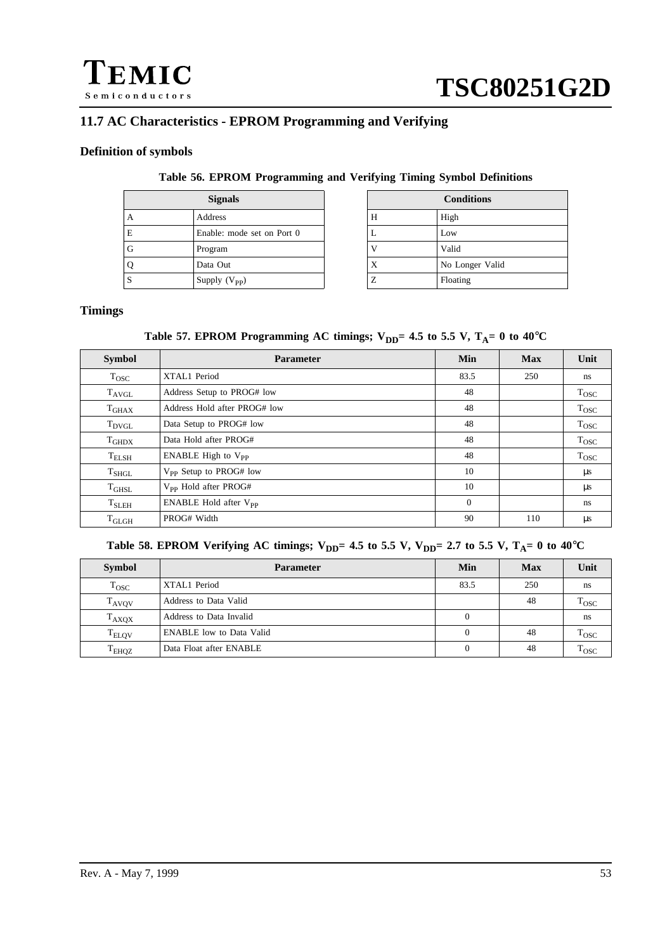

# **11.7 AC Characteristics - EPROM Programming and Verifying**

# **Definition of symbols**

|   | <b>Signals</b>             |   | <b>Conditions</b> |
|---|----------------------------|---|-------------------|
| А | Address                    | Н | High              |
| E | Enable: mode set on Port 0 |   | Low               |
| G | Program                    |   | Valid             |
|   | Data Out                   | X | No Longer Valid   |
|   | Supply $(V_{\text{pp}})$   | Z | Floating          |

| <b>Signals</b>           | <b>Conditions</b> |                 |  |
|--------------------------|-------------------|-----------------|--|
| dress                    | Н                 | High            |  |
| able: mode set on Port 0 | L                 | Low             |  |
| gram                     |                   | Valid           |  |
| ta Out                   | X                 | No Longer Valid |  |
| ply (V <sub>PP</sub> )   | Z                 | Floating        |  |

# **Timings**

Table 57. EPROM Programming AC timings;  $V_{DD}$ = 4.5 to 5.5 V, T<sub>A</sub>= 0 to 40<sup>o</sup>C

| Symbol              | <b>Parameter</b>                   | Min      | <b>Max</b> | Unit           |
|---------------------|------------------------------------|----------|------------|----------------|
| $T_{\rm{OSC}}$      | XTAL1 Period                       | 83.5     | 250        | ns.            |
| $T_{AVGL}$          | Address Setup to PROG# low         | 48       |            | $T_{\rm{OSC}}$ |
| $T_{\rm GHAX}$      | Address Hold after PROG# low       | 48       |            | $T_{\rm{OSC}}$ |
| T <sub>DVGL</sub>   | Data Setup to PROG# low            | 48       |            | $T_{\rm{OSC}}$ |
| $\mathrm{T_{GHDX}}$ | Data Hold after PROG#              | 48       |            | $T_{\rm{OSC}}$ |
| $T_{\rm ELSH}$      | ENABLE High to V <sub>PP</sub>     | 48       |            | $T_{\rm{OSC}}$ |
| $T_{\rm SHGL}$      | V <sub>PP</sub> Setup to PROG# low | 10       |            | $\mu s$        |
| $T_{\rm GHSL}$      | $V_{\rm pp}$ Hold after PROG#      | 10       |            | $\mu s$        |
| $T_{\rm SLEH}$      | ENABLE Hold after V <sub>PP</sub>  | $\theta$ |            | ns.            |
| $T_{\rm GLGH}$      | PROG# Width                        | 90       | 110        | $\mu$ s        |

# Table 58. EPROM Verifying AC timings;  $V_{DD} = 4.5$  to 5.5 V,  $V_{DD} = 2.7$  to 5.5 V,  $T_A = 0$  to 40<sup>o</sup>C

| <b>Symbol</b>     | <b>Parameter</b>                | Min      | <b>Max</b> | Unit           |
|-------------------|---------------------------------|----------|------------|----------------|
| $T_{\rm{OSC}}$    | XTAL1 Period                    | 83.5     | 250        | ns             |
| <b>TAVOV</b>      | Address to Data Valid           |          | 48         | $T_{\rm{OSC}}$ |
| T <sub>AXQX</sub> | Address to Data Invalid         | $\theta$ |            | ns             |
| <b>TELQV</b>      | <b>ENABLE</b> low to Data Valid |          | 48         | $T_{\rm{OSC}}$ |
| T <sub>EHQZ</sub> | Data Float after ENABLE         |          | 48         | $T_{\rm{OSC}}$ |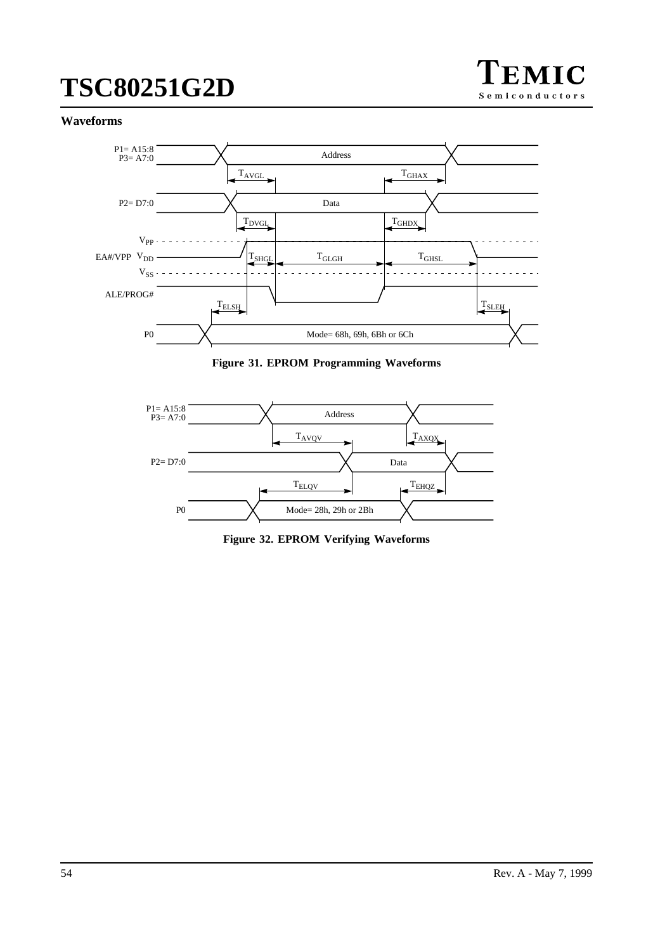

## <span id="page-53-0"></span>**Waveforms**



**Figure 31. EPROM Programming Waveforms**



**Figure 32. EPROM Verifying Waveforms**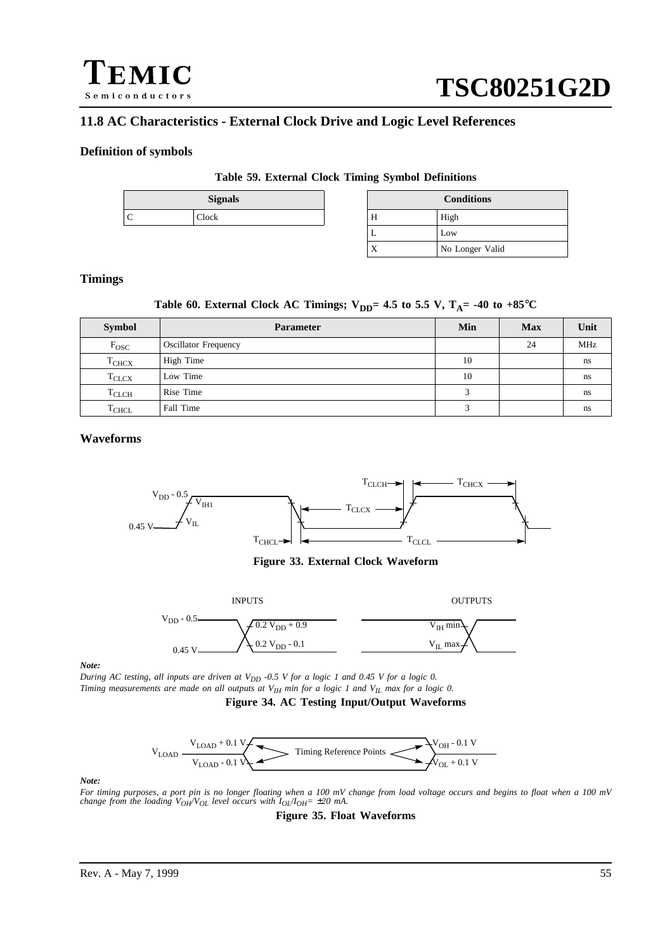

# **11.8 AC Characteristics - External Clock Drive and Logic Level References**

### **Definition of symbols**

### **Table 59. External Clock Timing Symbol Definitions**

|  | <b>Signals</b> |    | ĴОI |
|--|----------------|----|-----|
|  | Clock          | ** |     |
|  |                |    |     |

| <b>Signals</b> | <b>Conditions</b> |                 |  |
|----------------|-------------------|-----------------|--|
| сk             | Н                 | High            |  |
|                | ∸                 | Low             |  |
|                | $\Lambda$         | No Longer Valid |  |

### **Timings**

## Table 60. External Clock AC Timings;  $V_{DD} = 4.5$  to 5.5 V,  $T_A = -40$  to  $+85^{\circ}C$

| <b>Symbol</b>     | <b>Parameter</b>            | Min                     | <b>Max</b> | Unit       |
|-------------------|-----------------------------|-------------------------|------------|------------|
| $\rm F_{OSC}$     | <b>Oscillator Frequency</b> |                         | 24         | <b>MHz</b> |
| T <sub>CHCX</sub> | High Time                   | 10                      |            | ns         |
| $T_{CLCX}$        | Low Time                    | 10                      |            | ns         |
| $T_{CLCH}$        | Rise Time                   | 3                       |            | ns         |
| $T_{CHCL}$        | Fall Time                   | $\overline{\mathbf{c}}$ |            | ns         |

### **Waveforms**



**Figure 33. External Clock Waveform**



*Note:*

*During AC testing, all inputs are driven at V<sub>DD</sub> -0.5 V for a logic 1 and 0.45 V for a logic 0. Timing measurements are made on all outputs at V<sub>IH</sub> min for a logic 1 and V<sub>IL</sub> max for a logic 0.* 

**Figure 34. AC Testing Input/Output Waveforms**



#### *Note:*

*For timing purposes, a port pin is no longer floating when a 100 mV change from load voltage occurs and begins to float when a 100 mV change from the loading*  $V_{OH}V_{OL}$  *level occurs with*  $I_{OL}/I_{OH}$  *=*  $\pm 20$  *mA.* 

**Figure 35. Float Waveforms**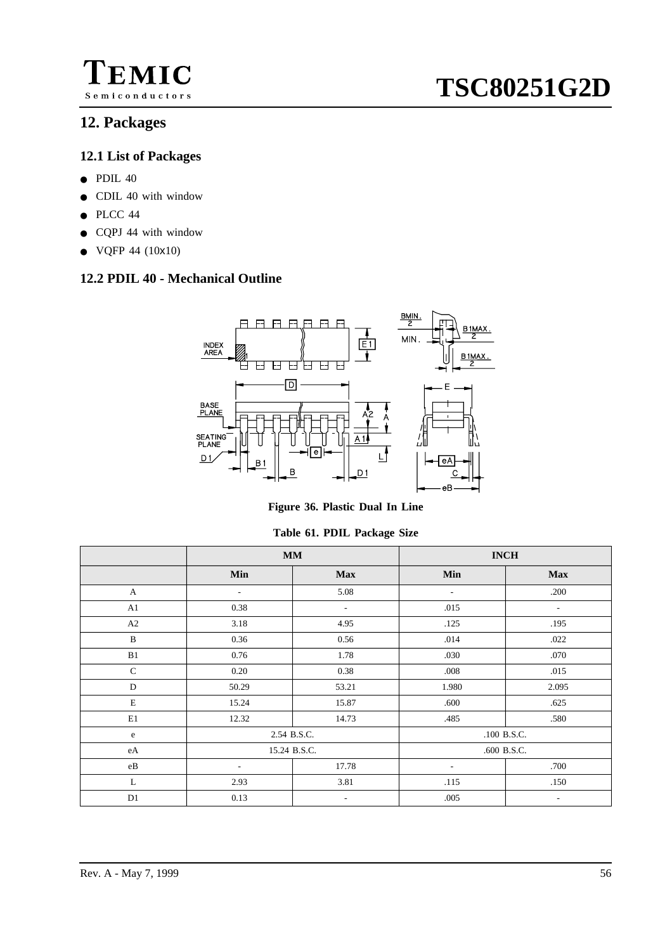

# **12.1 List of Packages**

- PDIL 40
- CDIL 40 with window
- PLCC 44
- CQPJ 44 with window
- $\bullet$  VQFP 44 (10x10)

# **12.2 PDIL 40 - Mechanical Outline**



**Figure 36. Plastic Dual In Line**

**Table 61. PDIL Package Size**

|              | <b>MM</b>                |                          | <b>INCH</b>              |                          |
|--------------|--------------------------|--------------------------|--------------------------|--------------------------|
|              | Min                      | <b>Max</b>               | Min                      | <b>Max</b>               |
| $\mathbf{A}$ | $\overline{\phantom{a}}$ | 5.08                     | $\overline{\phantom{a}}$ | .200                     |
| A1           | 0.38                     | $\sim$                   | .015                     | $\overline{\phantom{a}}$ |
| A2           | 3.18                     | 4.95                     | .125                     | .195                     |
| $\mathbf B$  | 0.36                     | 0.56                     | .014                     | .022                     |
| B1           | 0.76                     | 1.78                     | .030                     | .070                     |
| $\mathbf C$  | 0.20                     | 0.38                     | .008                     | .015                     |
| D            | 50.29                    | 53.21                    | 1.980                    | 2.095                    |
| $\mathbf E$  | 15.24                    | 15.87                    | .600                     | .625                     |
| E1           | 12.32                    | 14.73                    | .485                     | .580                     |
| e            | 2.54 B.S.C.              |                          | .100 B.S.C.              |                          |
| eA           | 15.24 B.S.C.             |                          | .600 B.S.C.              |                          |
| $\rm eB$     | $\overline{\phantom{a}}$ | 17.78                    | $\overline{\phantom{a}}$ | .700                     |
| L            | 2.93                     | 3.81                     | .115                     | .150                     |
| D1           | 0.13                     | $\overline{\phantom{a}}$ | .005                     | $\overline{\phantom{a}}$ |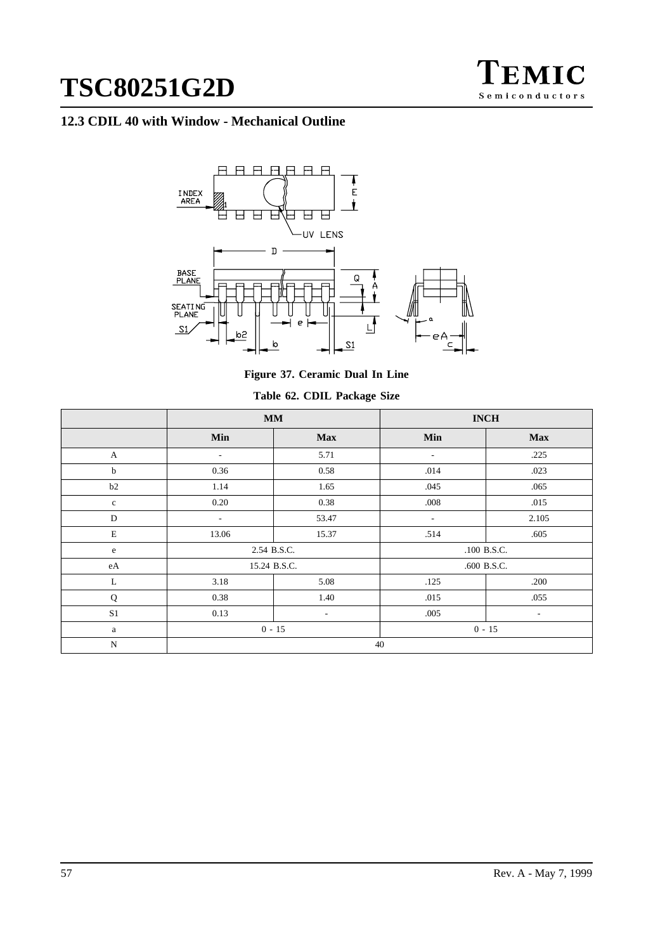

# **12.3 CDIL 40 with Window - Mechanical Outline**



**Figure 37. Ceramic Dual In Line**

|  |  |  | Table 62. CDIL Package Size |  |
|--|--|--|-----------------------------|--|
|--|--|--|-----------------------------|--|

|                | $\mathbf{M}\mathbf{M}$   |                          |                          | <b>INCH</b>              |
|----------------|--------------------------|--------------------------|--------------------------|--------------------------|
|                | Min                      | <b>Max</b>               | Min                      | <b>Max</b>               |
| A              | $\overline{\phantom{a}}$ | 5.71                     | $\overline{\phantom{a}}$ | .225                     |
| $\mathbf b$    | 0.36                     | 0.58                     | .014                     | .023                     |
| b2             | 1.14                     | 1.65                     | .045                     | .065                     |
| $\mathbf c$    | 0.20                     | 0.38                     | .008                     | .015                     |
| D              | $\overline{\phantom{a}}$ | 53.47                    | $\overline{\phantom{a}}$ | 2.105                    |
| $\mathbf E$    | 13.06                    | 15.37                    | .514                     | .605                     |
| e              | 2.54 B.S.C.              |                          |                          | .100 B.S.C.              |
| $\rm eA$       | 15.24 B.S.C.             |                          |                          | .600 B.S.C.              |
| L              | 3.18                     | 5.08                     | .125                     | .200                     |
| $\bf Q$        | 0.38                     | 1.40                     | .015                     | .055                     |
| S <sub>1</sub> | 0.13                     | $\overline{\phantom{a}}$ | .005                     | $\overline{\phantom{a}}$ |
| $\rm{a}$       | $0 - 15$<br>$0 - 15$     |                          |                          |                          |
| $\mathbf N$    | 40                       |                          |                          |                          |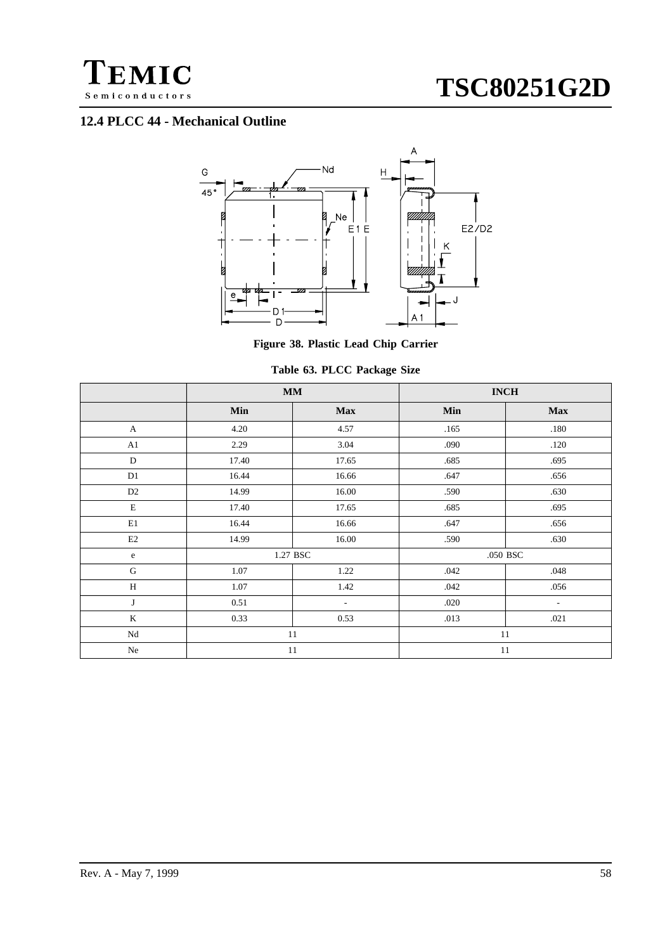

# **12.4 PLCC 44 - Mechanical Outline**



**Figure 38. Plastic Lead Chip Carrier**

| Table 63. PLCC Package Size |  |
|-----------------------------|--|
|-----------------------------|--|

|              | $\mathbf{M}\mathbf{M}$ |            |      | $\mathbf{INCH}$          |
|--------------|------------------------|------------|------|--------------------------|
|              | Min                    | <b>Max</b> | Min  | <b>Max</b>               |
| $\mathbf{A}$ | 4.20                   | 4.57       | .165 | .180                     |
| A1           | 2.29                   | 3.04       | .090 | .120                     |
| $\mathbf D$  | 17.40                  | 17.65      | .685 | .695                     |
| D1           | 16.44                  | 16.66      | .647 | .656                     |
| D2           | 14.99                  | 16.00      | .590 | .630                     |
| $\mathbf E$  | 17.40                  | 17.65      | .685 | .695                     |
| E1           | 16.44                  | 16.66      | .647 | .656                     |
| E2           | 14.99                  | 16.00      | .590 | .630                     |
| $\rm e$      | 1.27 BSC               |            |      | .050 BSC                 |
| $\mathbf G$  | $1.07\,$               | 1.22       | .042 | .048                     |
| H            | 1.07                   | 1.42       | .042 | .056                     |
| J            | 0.51                   | $\sim$     | .020 | $\overline{\phantom{a}}$ |
| $\rm K$      | 0.33                   | 0.53       | .013 | .021                     |
| Nd           | 11                     |            | 11   |                          |
| Ne           | 11                     |            | 11   |                          |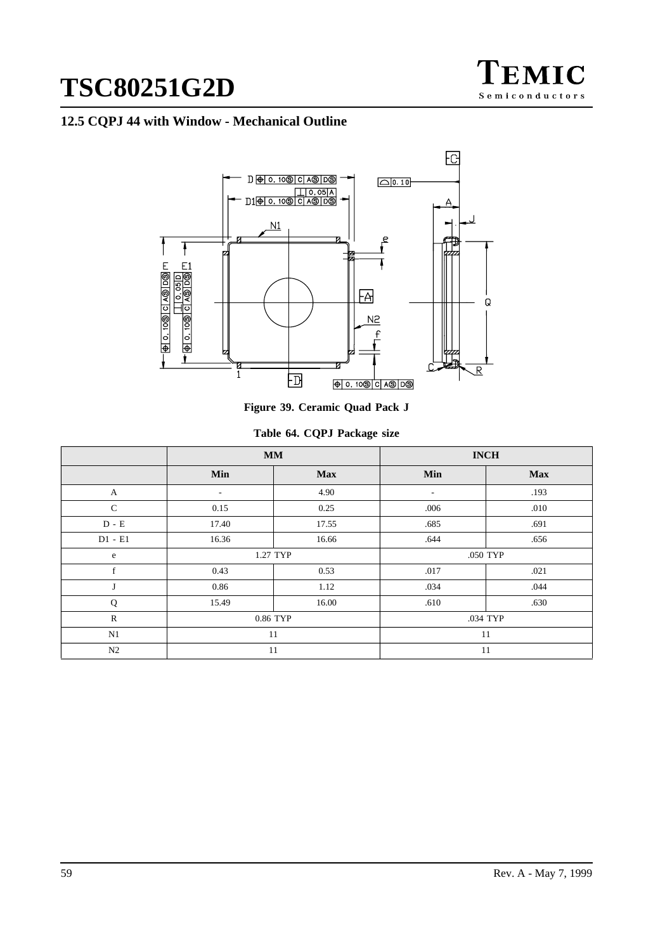

# **12.5 CQPJ 44 with Window - Mechanical Outline**



**Figure 39. Ceramic Quad Pack J**

| Table 64. CQPJ Package size |  |  |  |
|-----------------------------|--|--|--|
|-----------------------------|--|--|--|

|               | $\mathbf{M}\mathbf{M}$   |            |                          | <b>INCH</b> |
|---------------|--------------------------|------------|--------------------------|-------------|
|               | Min                      | <b>Max</b> | Min                      | <b>Max</b>  |
| A             | $\overline{\phantom{a}}$ | 4.90       | $\overline{\phantom{a}}$ | .193        |
| $\mathcal{C}$ | 0.15                     | 0.25       | .006                     | .010        |
| $D - E$       | 17.40                    | 17.55      | .685                     | .691        |
| $D1 - E1$     | 16.36                    | 16.66      | .644                     | .656        |
| e             | 1.27 TYP                 |            |                          | .050 TYP    |
| f             | 0.43                     | 0.53       | .017                     | .021        |
| J             | 0.86                     | 1.12       | .034                     | .044        |
| Q             | 15.49                    | 16.00      | .610                     | .630        |
| $\mathbb{R}$  | 0.86 TYP                 |            |                          | .034 TYP    |
| N1            | 11                       |            | 11                       |             |
| N2            | 11                       |            | 11                       |             |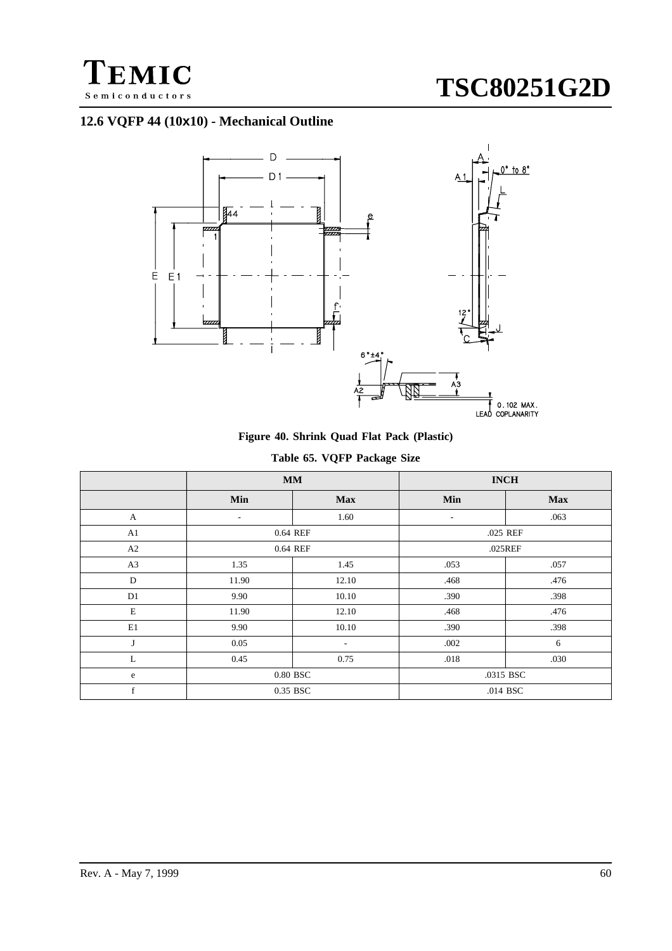

# **12.6 VQFP 44 (10x10) - Mechanical Outline**



**Figure 40. Shrink Quad Flat Pack (Plastic)**

|  | Table 65. VQFP Package Size |  |
|--|-----------------------------|--|
|  |                             |  |

|              | $\mathbf{M}\mathbf{M}$   |            | <b>INCH</b> |            |
|--------------|--------------------------|------------|-------------|------------|
|              | Min                      | <b>Max</b> | Min         | <b>Max</b> |
| $\mathbf{A}$ | $\overline{\phantom{a}}$ | 1.60       | ٠           | .063       |
| A1           |                          | 0.64 REF   |             | .025 REF   |
| A2           |                          | 0.64 REF   |             | .025REF    |
| A3           | 1.35                     | 1.45       | .053        | .057       |
| D            | 11.90                    | 12.10      | .468        | .476       |
| D1           | 9.90                     | 10.10      | .390        | .398       |
| $\mathbf E$  | 11.90                    | 12.10      | .468        | .476       |
| E1           | 9.90                     | 10.10      | .390        | .398       |
| J            | 0.05                     | ۰.         | .002        | 6          |
| L            | 0.45                     | 0.75       | .018        | .030       |
| e            | 0.80 BSC                 |            |             | .0315 BSC  |
| f            | 0.35 BSC                 |            |             | .014 BSC   |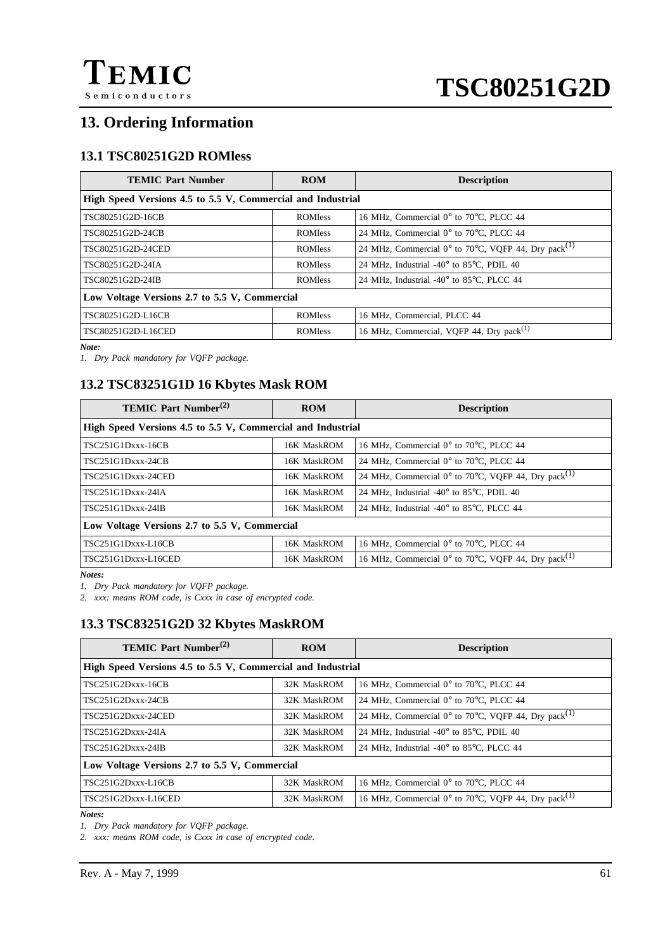

# **13. Ordering Information**

# **13.1 TSC80251G2D ROMless**

| <b>TEMIC Part Number</b>                                    | <b>ROM</b>      | <b>Description</b>                                                       |  |
|-------------------------------------------------------------|-----------------|--------------------------------------------------------------------------|--|
| High Speed Versions 4.5 to 5.5 V, Commercial and Industrial |                 |                                                                          |  |
| TSC80251G2D-16CB                                            | <b>ROM</b> less | 16 MHz, Commercial $0^{\circ}$ to 70 $^{\circ}$ C, PLCC 44               |  |
| TSC80251G2D-24CB                                            | <b>ROMIess</b>  | 24 MHz, Commercial 0° to 70°C, PLCC 44                                   |  |
| TSC80251G2D-24CED                                           | <b>ROMIess</b>  | 24 MHz, Commercial $0^{\circ}$ to 70°C, VQFP 44, Dry pack <sup>(1)</sup> |  |
| TSC80251G2D-24IA                                            | <b>ROM</b> less | 24 MHz, Industrial -40 $\degree$ to 85 $\degree$ C, PDIL 40              |  |
| TSC80251G2D-24IB                                            | <b>ROM</b> less | 24 MHz, Industrial -40 $\degree$ to 85 $\degree$ C, PLCC 44              |  |
| Low Voltage Versions 2.7 to 5.5 V, Commercial               |                 |                                                                          |  |
| TSC80251G2D-L16CB                                           | <b>ROMless</b>  | 16 MHz, Commercial, PLCC 44                                              |  |
| TSC80251G2D-L16CED                                          | <b>ROM</b> less | 16 MHz, Commercial, VQFP 44, Dry pack <sup>(1)</sup>                     |  |

*Note:*

*1. Dry Pack mandatory for VQFP package.*

# **13.2 TSC83251G1D 16 Kbytes Mask ROM**

| <b>TEMIC Part Number</b> <sup>(2)</sup>                     | <b>ROM</b>  | <b>Description</b>                                                       |  |
|-------------------------------------------------------------|-------------|--------------------------------------------------------------------------|--|
| High Speed Versions 4.5 to 5.5 V, Commercial and Industrial |             |                                                                          |  |
| <b>TSC251G1Dxxx-16CB</b>                                    | 16K MaskROM | 16 MHz, Commercial 0° to 70°C, PLCC 44                                   |  |
| <b>TSC251G1Dxxx-24CB</b>                                    | 16K MaskROM | 24 MHz, Commercial $0^{\circ}$ to 70 $^{\circ}$ C, PLCC 44               |  |
| TSC251G1Dxxx-24CED                                          | 16K MaskROM | 24 MHz, Commercial $0^{\circ}$ to 70°C, VQFP 44, Dry pack <sup>(1)</sup> |  |
| $TSC251G1Dxxx-24IA$                                         | 16K MaskROM | 24 MHz, Industrial -40 $\degree$ to 85 $\degree$ C, PDIL 40              |  |
| <b>TSC251G1Dxxx-24IB</b>                                    | 16K MaskROM | 24 MHz, Industrial $-40^{\circ}$ to 85 $^{\circ}$ C, PLCC 44             |  |
| Low Voltage Versions 2.7 to 5.5 V, Commercial               |             |                                                                          |  |
| <b>TSC251G1Dxxx-L16CB</b>                                   | 16K MaskROM | 16 MHz, Commercial 0° to 70°C, PLCC 44                                   |  |
| TSC251G1Dxxx-L16CED                                         | 16K MaskROM | 16 MHz, Commercial $0^{\circ}$ to 70°C, VQFP 44, Dry pack <sup>(1)</sup> |  |

*Notes:*

*1. Dry Pack mandatory for VQFP package.*

*2. xxx: means ROM code, is Cxxx in case of encrypted code.*

# **13.3 TSC83251G2D 32 Kbytes MaskROM**

| <b>TEMIC Part Number</b> <sup>(2)</sup>                     | <b>ROM</b>  | <b>Description</b>                                                       |  |
|-------------------------------------------------------------|-------------|--------------------------------------------------------------------------|--|
| High Speed Versions 4.5 to 5.5 V, Commercial and Industrial |             |                                                                          |  |
| TSC251G2Dxxx-16CB                                           | 32K MaskROM | 16 MHz, Commercial 0° to 70°C, PLCC 44                                   |  |
| TSC251G2Dxxx-24CB                                           | 32K MaskROM | 24 MHz, Commercial $0^{\circ}$ to 70 $^{\circ}$ C, PLCC 44               |  |
| TSC251G2Dxxx-24CED                                          | 32K MaskROM | 24 MHz, Commercial $0^{\circ}$ to 70°C, VQFP 44, Dry pack <sup>(1)</sup> |  |
| TSC251G2Dxxx-24IA                                           | 32K MaskROM | 24 MHz, Industrial -40 $\degree$ to 85 $\degree$ C, PDIL 40              |  |
| TSC251G2Dxxx-24IB                                           | 32K MaskROM | 24 MHz, Industrial -40 $\degree$ to 85 $\degree$ C, PLCC 44              |  |
| Low Voltage Versions 2.7 to 5.5 V, Commercial               |             |                                                                          |  |
| TSC251G2Dxxx-L16CB                                          | 32K MaskROM | 16 MHz, Commercial 0° to 70°C, PLCC 44                                   |  |
| TSC251G2Dxxx-L16CED                                         | 32K MaskROM | 16 MHz, Commercial $0^{\circ}$ to 70°C, VQFP 44, Dry pack <sup>(1)</sup> |  |

*Notes:*

*1. Dry Pack mandatory for VQFP package.*

*2. xxx: means ROM code, is Cxxx in case of encrypted code.*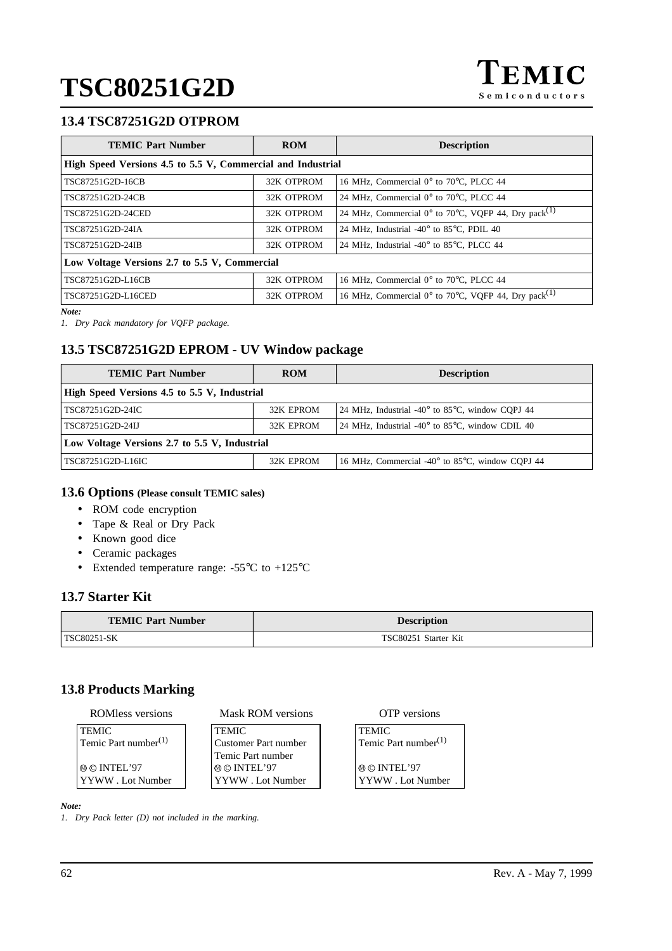# **13.4 TSC87251G2D OTPROM**

| <b>TEMIC Part Number</b>                                    | <b>ROM</b> | <b>Description</b>                                                       |  |
|-------------------------------------------------------------|------------|--------------------------------------------------------------------------|--|
| High Speed Versions 4.5 to 5.5 V, Commercial and Industrial |            |                                                                          |  |
| TSC87251G2D-16CB                                            | 32K OTPROM | 16 MHz, Commercial 0° to 70°C, PLCC 44                                   |  |
| TSC87251G2D-24CB                                            | 32K OTPROM | 24 MHz, Commercial $0^{\circ}$ to 70 $^{\circ}$ C, PLCC 44               |  |
| TSC87251G2D-24CED                                           | 32K OTPROM | 24 MHz, Commercial $0^{\circ}$ to 70°C, VQFP 44, Dry pack <sup>(1)</sup> |  |
| TSC87251G2D-24IA                                            | 32K OTPROM | 24 MHz, Industrial -40 $\degree$ to 85 $\degree$ C, PDIL 40              |  |
| TSC87251G2D-24IB                                            | 32K OTPROM | 24 MHz, Industrial -40 $\degree$ to 85 $\degree$ C, PLCC 44              |  |
| Low Voltage Versions 2.7 to 5.5 V, Commercial               |            |                                                                          |  |
| TSC87251G2D-L16CB                                           | 32K OTPROM | 16 MHz, Commercial 0° to 70°C, PLCC 44                                   |  |
| TSC87251G2D-L16CED                                          | 32K OTPROM | 16 MHz, Commercial $0^{\circ}$ to 70°C, VQFP 44, Dry pack <sup>(1)</sup> |  |

*Note:*

*1. Dry Pack mandatory for VQFP package.*

# **13.5 TSC87251G2D EPROM - UV Window package**

| <b>TEMIC Part Number</b>                      | <b>ROM</b> | <b>Description</b>                                                   |  |
|-----------------------------------------------|------------|----------------------------------------------------------------------|--|
| High Speed Versions 4.5 to 5.5 V, Industrial  |            |                                                                      |  |
| TSC87251G2D-24IC                              | 32K EPROM  | 24 MHz, Industrial -40 $\degree$ to 85 $\degree$ C, window COPJ 44   |  |
| TSC87251G2D-24LJ                              | 32K EPROM  | 24 MHz, Industrial -40 $^{\circ}$ to 85 $^{\circ}$ C, window CDIL 40 |  |
| Low Voltage Versions 2.7 to 5.5 V, Industrial |            |                                                                      |  |
| TSC87251G2D-L16IC                             | 32K EPROM  | 16 MHz, Commercial -40° to 85°C, window CQPJ 44                      |  |

# **13.6 Options (Please consult TEMIC sales)**

- ROM code encryption
- Tape & Real or Dry Pack
- Known good dice
- Ceramic packages
- Extended temperature range: -55°C to +125°C

# **13.7 Starter Kit**

| <b>TEMIC Part Number</b> | <b>Description</b>   |
|--------------------------|----------------------|
| TSC80251-SK              | TSC80251 Starter Kit |

# **13.8 Products Marking**

| <b>ROM</b> ess versions          | Mask ROM versions    | <b>OTP</b> versions       |
|----------------------------------|----------------------|---------------------------|
| <b>TEMIC</b>                     | <b>TEMIC</b>         | <b>TEMIC</b>              |
| Temic Part number <sup>(1)</sup> | Customer Part number | Temic Part number $(1)$   |
|                                  | Temic Part number    |                           |
| $@@$ INTEL'97                    | $@@$ INTEL'97        | $  \circledcirc$ INTEL'97 |
| YYWW. Lot Number                 | YYWW. Lot Number     | YYWW. Lot Number          |

*Note:*

*1. Dry Pack letter (D) not included in the marking.*